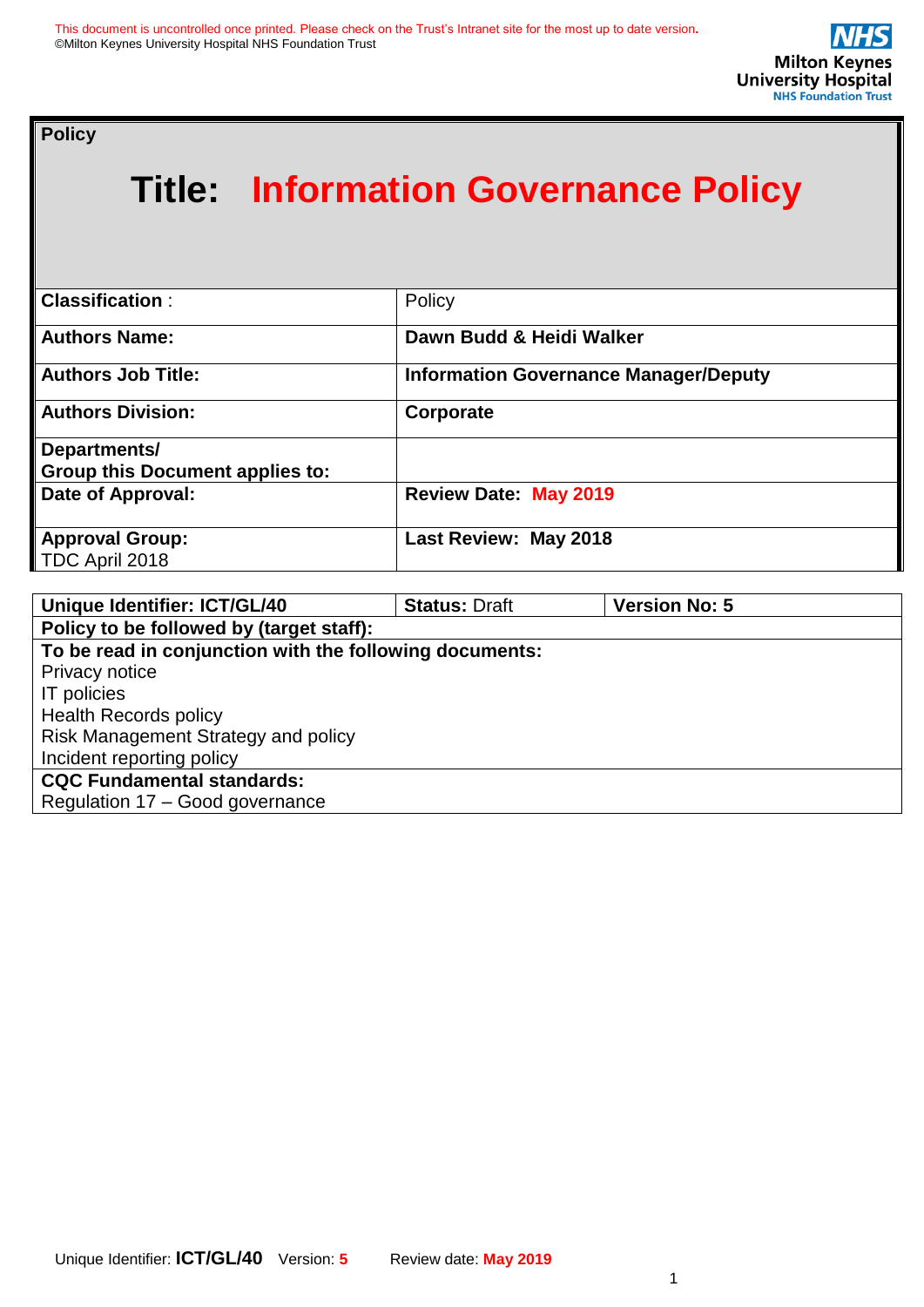**Policy** 

# **Title: Information Governance Policy**

| <b>Classification:</b>                 | Policy                                       |
|----------------------------------------|----------------------------------------------|
| <b>Authors Name:</b>                   | Dawn Budd & Heidi Walker                     |
| <b>Authors Job Title:</b>              | <b>Information Governance Manager/Deputy</b> |
| <b>Authors Division:</b>               | Corporate                                    |
| Departments/                           |                                              |
| <b>Group this Document applies to:</b> |                                              |
| Date of Approval:                      | <b>Review Date: May 2019</b>                 |
| <b>Approval Group:</b>                 | Last Review: May 2018                        |
| TDC April 2018                         |                                              |

| <b>Unique Identifier: ICT/GL/40</b>                     | <b>Status: Draft</b> | <b>Version No: 5</b> |  |
|---------------------------------------------------------|----------------------|----------------------|--|
| Policy to be followed by (target staff):                |                      |                      |  |
| To be read in conjunction with the following documents: |                      |                      |  |
| Privacy notice                                          |                      |                      |  |
| IT policies                                             |                      |                      |  |
| <b>Health Records policy</b>                            |                      |                      |  |
| Risk Management Strategy and policy                     |                      |                      |  |
| Incident reporting policy                               |                      |                      |  |
| <b>CQC Fundamental standards:</b>                       |                      |                      |  |
| Regulation 17 - Good governance                         |                      |                      |  |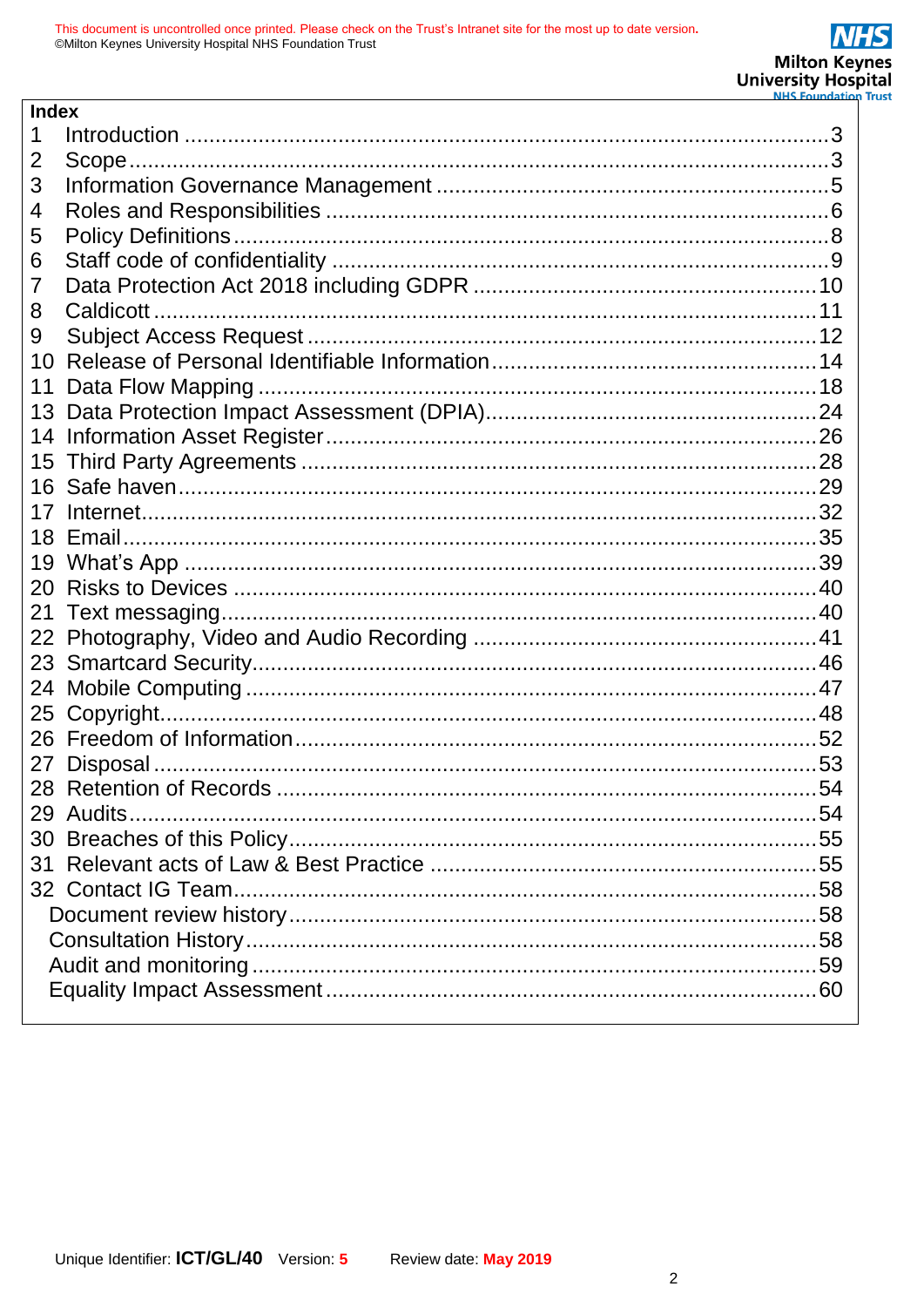| <b>Index</b> |  |
|--------------|--|
|              |  |
| 2            |  |
| 3            |  |
| 4            |  |
| 5            |  |
| 6            |  |
| 7            |  |
| 8            |  |
| 9            |  |
| 10           |  |
| 11           |  |
| 13           |  |
| 14           |  |
| 15           |  |
| 16           |  |
| 17           |  |
| 18           |  |
| 19           |  |
| 20           |  |
| 21           |  |
| 22           |  |
| 23           |  |
| 24           |  |
| 25           |  |
| 26           |  |
| 27           |  |
|              |  |
|              |  |
|              |  |
| 31           |  |
|              |  |
|              |  |
|              |  |
|              |  |
|              |  |
|              |  |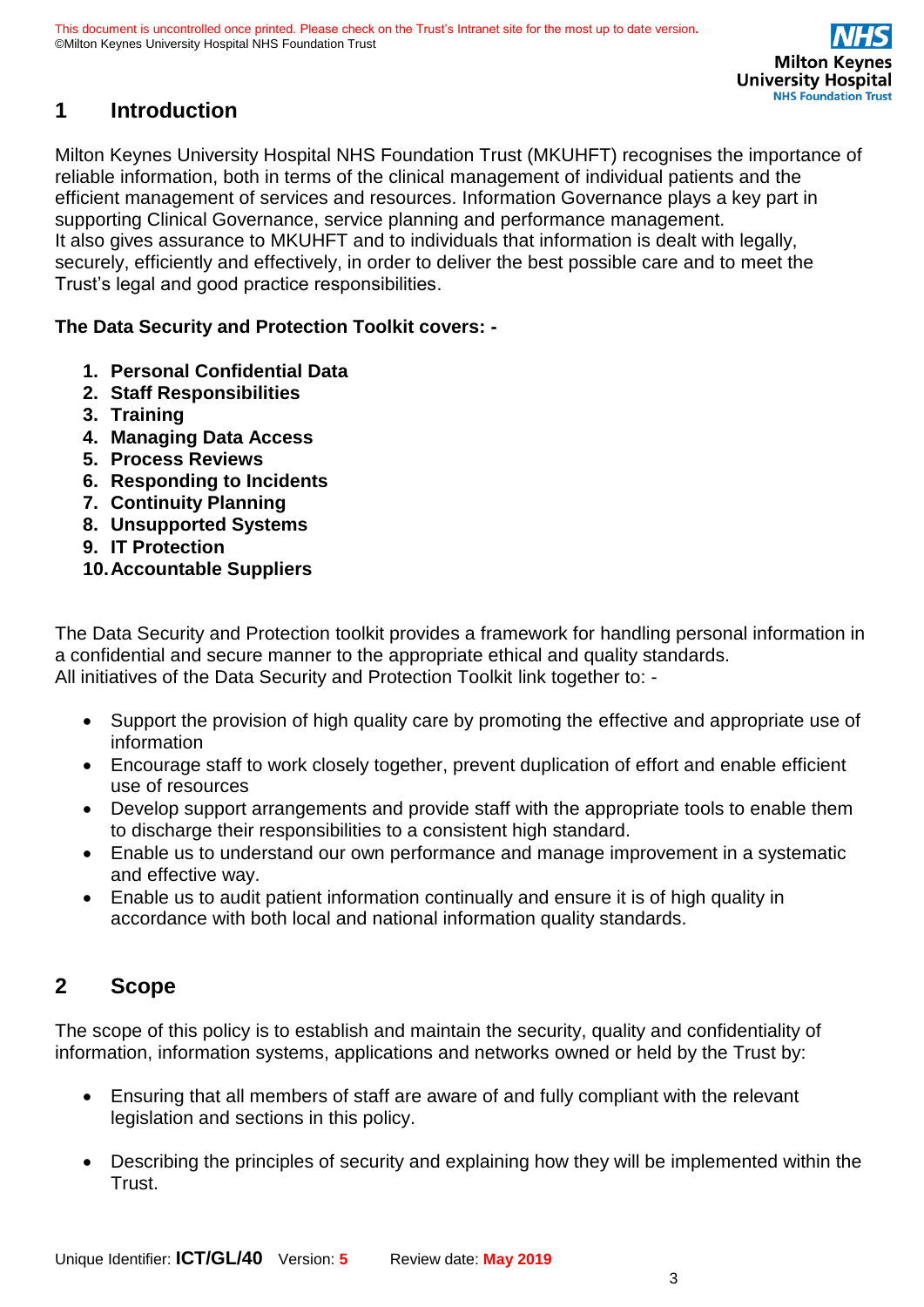# <span id="page-2-0"></span>**1 Introduction**

Milton Keynes University Hospital NHS Foundation Trust (MKUHFT) recognises the importance of reliable information, both in terms of the clinical management of individual patients and the efficient management of services and resources. Information Governance plays a key part in supporting Clinical Governance, service planning and performance management. It also gives assurance to MKUHFT and to individuals that information is dealt with legally, securely, efficiently and effectively, in order to deliver the best possible care and to meet the Trust's legal and good practice responsibilities.

**The Data Security and Protection Toolkit covers: -**

- **1. Personal Confidential Data**
- **2. Staff Responsibilities**
- **3. Training**
- **4. Managing Data Access**
- **5. Process Reviews**
- **6. Responding to Incidents**
- **7. Continuity Planning**
- **8. Unsupported Systems**
- **9. IT Protection**
- **10.Accountable Suppliers**

The Data Security and Protection toolkit provides a framework for handling personal information in a confidential and secure manner to the appropriate ethical and quality standards. All initiatives of the Data Security and Protection Toolkit link together to: -

- Support the provision of high quality care by promoting the effective and appropriate use of information
- Encourage staff to work closely together, prevent duplication of effort and enable efficient use of resources
- Develop support arrangements and provide staff with the appropriate tools to enable them to discharge their responsibilities to a consistent high standard.
- Enable us to understand our own performance and manage improvement in a systematic and effective way.
- Enable us to audit patient information continually and ensure it is of high quality in accordance with both local and national information quality standards.

# <span id="page-2-1"></span>**2 Scope**

The scope of this policy is to establish and maintain the security, quality and confidentiality of information, information systems, applications and networks owned or held by the Trust by:

- Ensuring that all members of staff are aware of and fully compliant with the relevant legislation and sections in this policy.
- Describing the principles of security and explaining how they will be implemented within the Trust.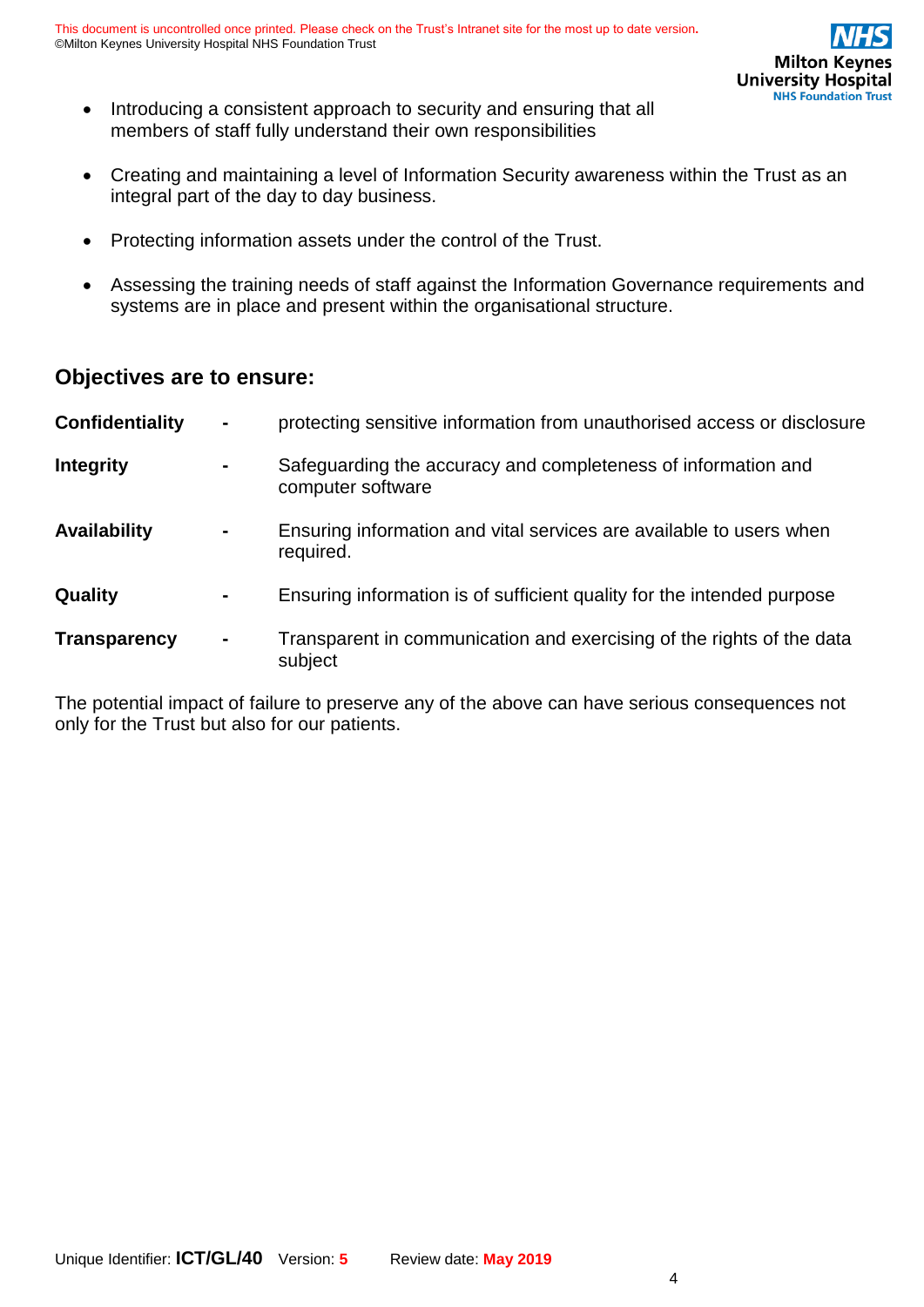- Introducing a consistent approach to security and ensuring that all members of staff fully understand their own responsibilities
- Creating and maintaining a level of Information Security awareness within the Trust as an integral part of the day to day business.
- Protecting information assets under the control of the Trust.
- Assessing the training needs of staff against the Information Governance requirements and systems are in place and present within the organisational structure.

# **Objectives are to ensure:**

| <b>Confidentiality</b> | $\blacksquare$ | protecting sensitive information from unauthorised access or disclosure            |
|------------------------|----------------|------------------------------------------------------------------------------------|
| <b>Integrity</b>       | $\blacksquare$ | Safeguarding the accuracy and completeness of information and<br>computer software |
| <b>Availability</b>    | $\blacksquare$ | Ensuring information and vital services are available to users when<br>required.   |
| Quality                | $\blacksquare$ | Ensuring information is of sufficient quality for the intended purpose             |
| <b>Transparency</b>    | $\blacksquare$ | Transparent in communication and exercising of the rights of the data<br>subject   |

The potential impact of failure to preserve any of the above can have serious consequences not only for the Trust but also for our patients.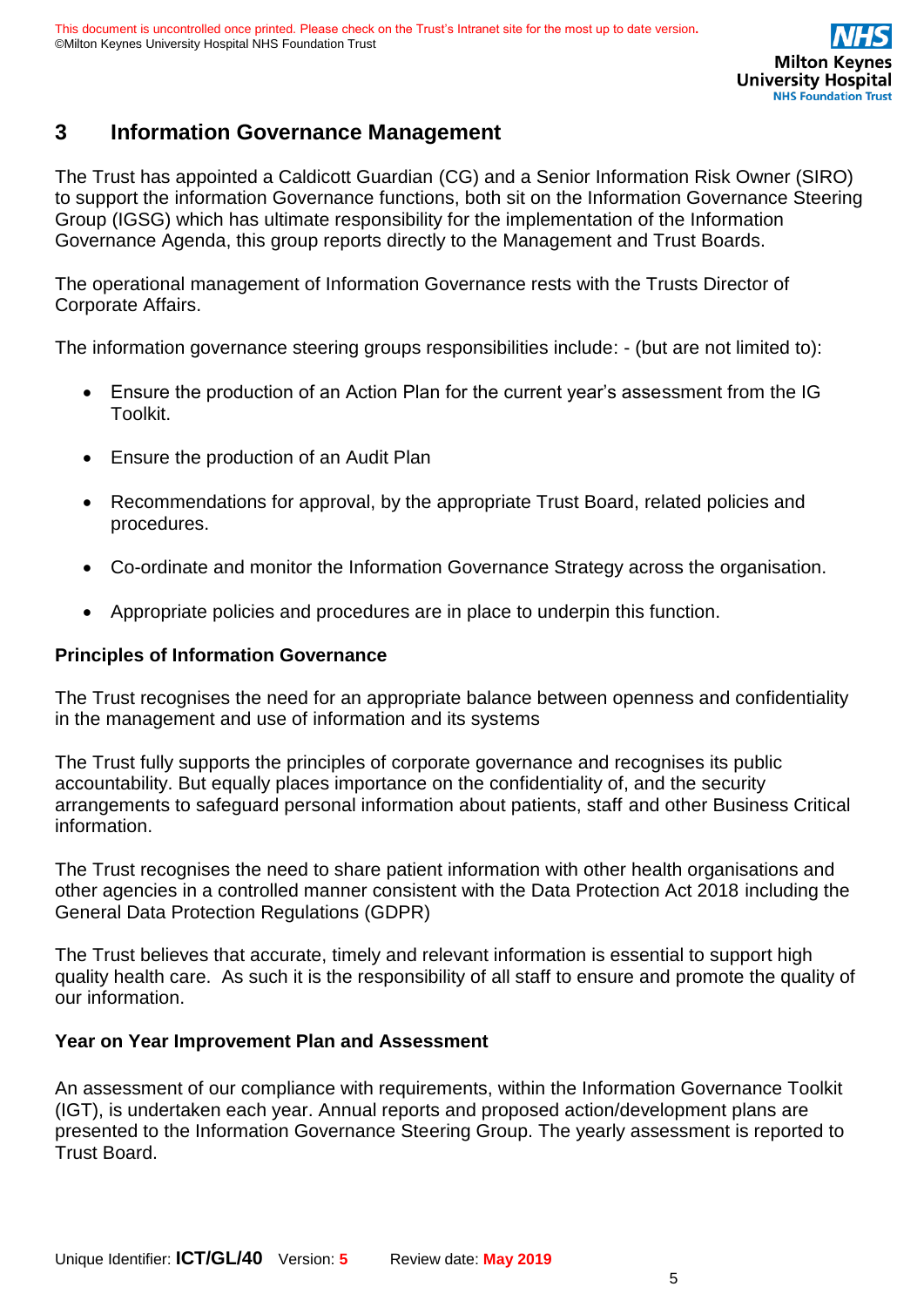# <span id="page-4-0"></span>**3 Information Governance Management**

The Trust has appointed a Caldicott Guardian (CG) and a Senior Information Risk Owner (SIRO) to support the information Governance functions, both sit on the Information Governance Steering Group (IGSG) which has ultimate responsibility for the implementation of the Information Governance Agenda, this group reports directly to the Management and Trust Boards.

The operational management of Information Governance rests with the Trusts Director of Corporate Affairs.

The information governance steering groups responsibilities include: - (but are not limited to):

- Ensure the production of an Action Plan for the current year's assessment from the IG Toolkit.
- Ensure the production of an Audit Plan
- Recommendations for approval, by the appropriate Trust Board, related policies and procedures.
- Co-ordinate and monitor the Information Governance Strategy across the organisation.
- Appropriate policies and procedures are in place to underpin this function.

### **Principles of Information Governance**

The Trust recognises the need for an appropriate balance between openness and confidentiality in the management and use of information and its systems

The Trust fully supports the principles of corporate governance and recognises its public accountability. But equally places importance on the confidentiality of, and the security arrangements to safeguard personal information about patients, staff and other Business Critical information.

The Trust recognises the need to share patient information with other health organisations and other agencies in a controlled manner consistent with the Data Protection Act 2018 including the General Data Protection Regulations (GDPR)

The Trust believes that accurate, timely and relevant information is essential to support high quality health care. As such it is the responsibility of all staff to ensure and promote the quality of our information.

### **Year on Year Improvement Plan and Assessment**

An assessment of our compliance with requirements, within the Information Governance Toolkit (IGT), is undertaken each year. Annual reports and proposed action/development plans are presented to the Information Governance Steering Group. The yearly assessment is reported to Trust Board.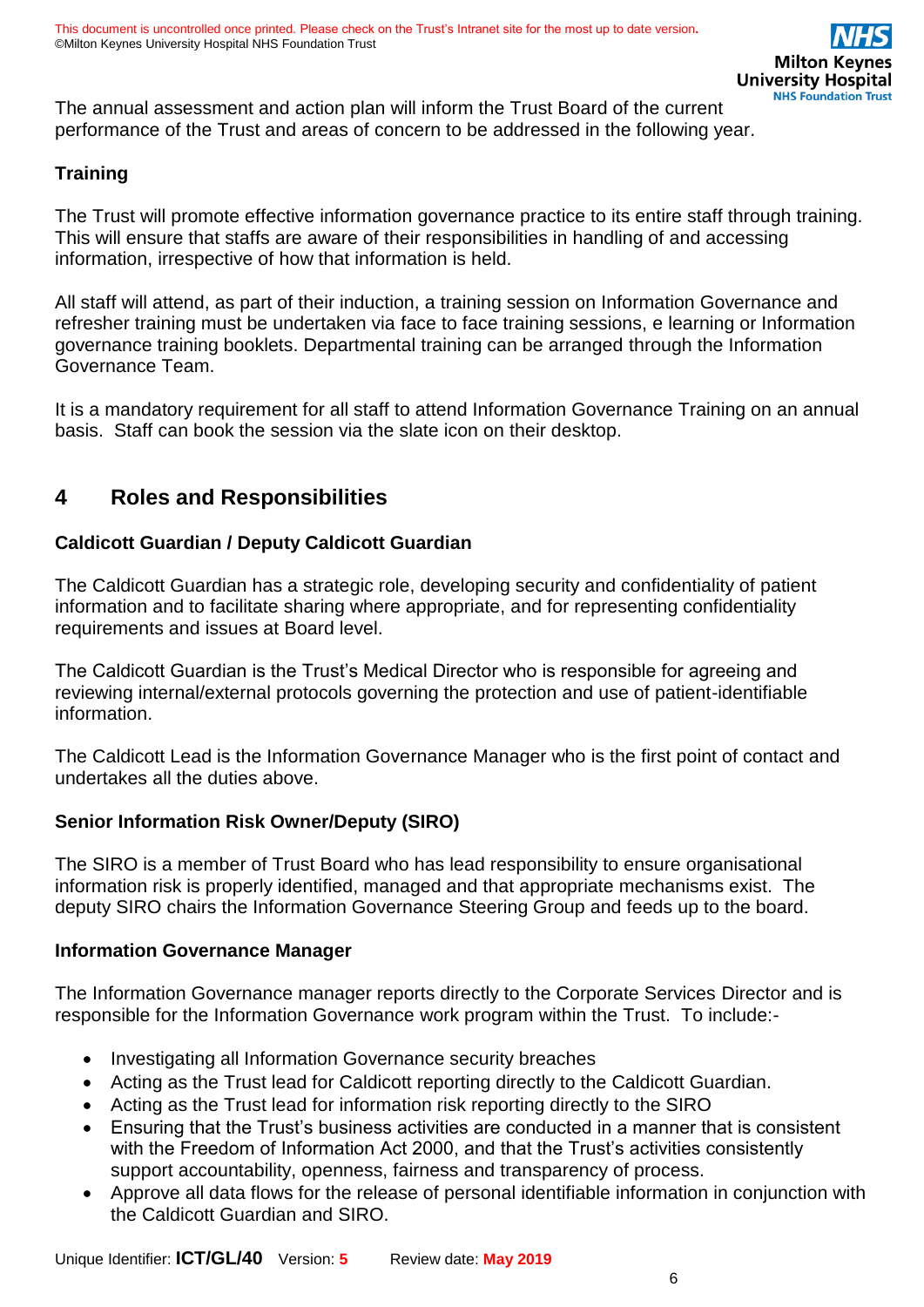The annual assessment and action plan will inform the Trust Board of the current performance of the Trust and areas of concern to be addressed in the following year.

### **Training**

The Trust will promote effective information governance practice to its entire staff through training. This will ensure that staffs are aware of their responsibilities in handling of and accessing information, irrespective of how that information is held.

All staff will attend, as part of their induction, a training session on Information Governance and refresher training must be undertaken via face to face training sessions, e learning or Information governance training booklets. Departmental training can be arranged through the Information Governance Team.

It is a mandatory requirement for all staff to attend Information Governance Training on an annual basis. Staff can book the session via the slate icon on their desktop.

# <span id="page-5-0"></span>**4 Roles and Responsibilities**

### **Caldicott Guardian / Deputy Caldicott Guardian**

The Caldicott Guardian has a strategic role, developing security and confidentiality of patient information and to facilitate sharing where appropriate, and for representing confidentiality requirements and issues at Board level.

The Caldicott Guardian is the Trust's Medical Director who is responsible for agreeing and reviewing internal/external protocols governing the protection and use of patient-identifiable information.

The Caldicott Lead is the Information Governance Manager who is the first point of contact and undertakes all the duties above.

### **Senior Information Risk Owner/Deputy (SIRO)**

The SIRO is a member of Trust Board who has lead responsibility to ensure organisational information risk is properly identified, managed and that appropriate mechanisms exist. The deputy SIRO chairs the Information Governance Steering Group and feeds up to the board.

### **Information Governance Manager**

The Information Governance manager reports directly to the Corporate Services Director and is responsible for the Information Governance work program within the Trust. To include:-

- Investigating all Information Governance security breaches
- Acting as the Trust lead for Caldicott reporting directly to the Caldicott Guardian.
- Acting as the Trust lead for information risk reporting directly to the SIRO
- Ensuring that the Trust's business activities are conducted in a manner that is consistent with the Freedom of Information Act 2000, and that the Trust's activities consistently support accountability, openness, fairness and transparency of process.
- Approve all data flows for the release of personal identifiable information in conjunction with the Caldicott Guardian and SIRO.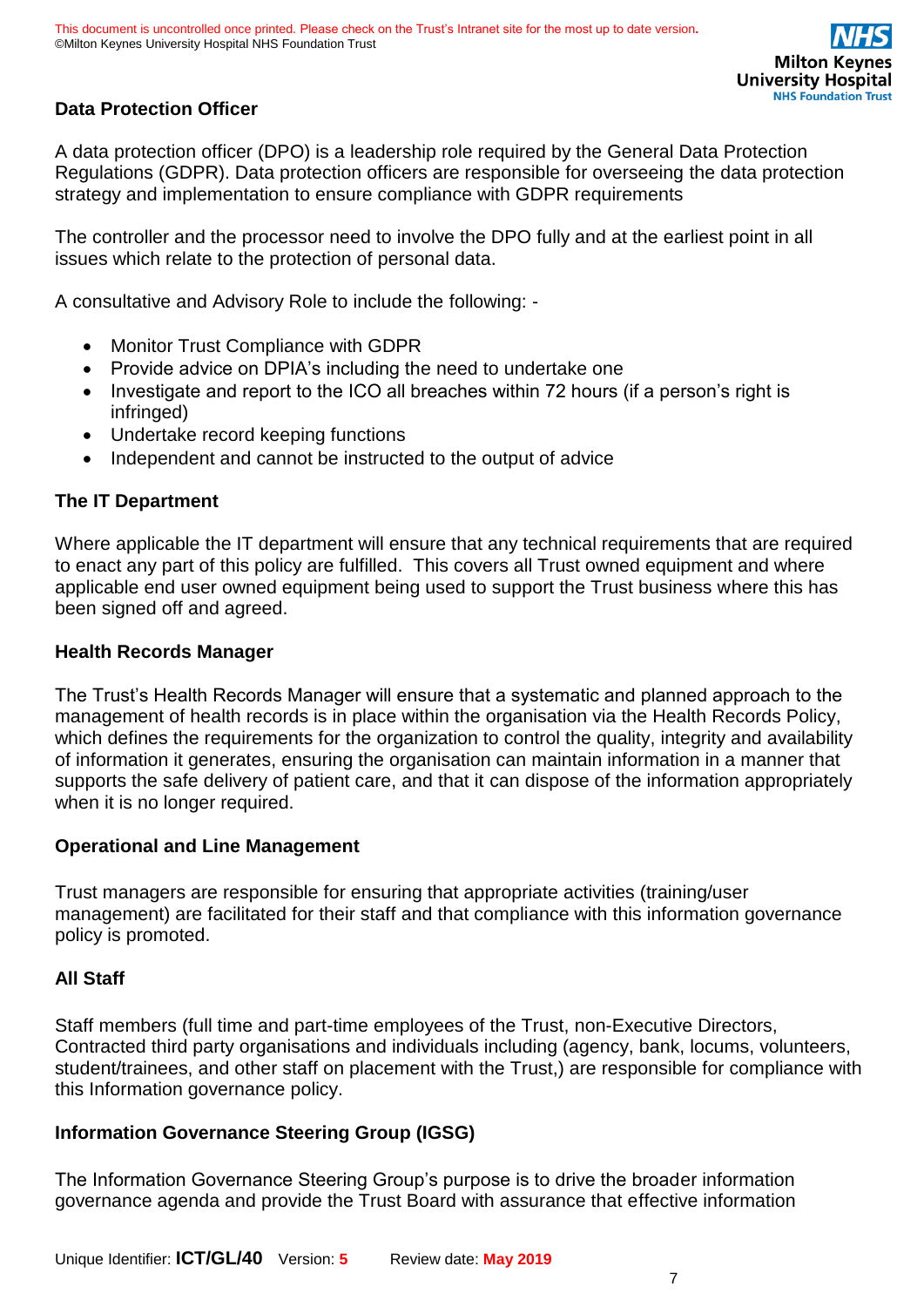### **Data Protection Officer**

A data protection officer (DPO) is a leadership role required by the General Data Protection Regulations (GDPR). Data protection officers are responsible for overseeing the data protection strategy and implementation to ensure compliance with GDPR requirements

The controller and the processor need to involve the DPO fully and at the earliest point in all issues which relate to the protection of personal data.

A consultative and Advisory Role to include the following: -

- Monitor Trust Compliance with GDPR
- Provide advice on DPIA's including the need to undertake one
- Investigate and report to the ICO all breaches within 72 hours (if a person's right is infringed)
- Undertake record keeping functions
- Independent and cannot be instructed to the output of advice

### **The IT Department**

Where applicable the IT department will ensure that any technical requirements that are required to enact any part of this policy are fulfilled. This covers all Trust owned equipment and where applicable end user owned equipment being used to support the Trust business where this has been signed off and agreed.

### **Health Records Manager**

The Trust's Health Records Manager will ensure that a systematic and planned approach to the management of health records is in place within the organisation via the Health Records Policy, which defines the requirements for the organization to control the quality, integrity and availability of information it generates, ensuring the organisation can maintain information in a manner that supports the safe delivery of patient care, and that it can dispose of the information appropriately when it is no longer required.

### **Operational and Line Management**

Trust managers are responsible for ensuring that appropriate activities (training/user management) are facilitated for their staff and that compliance with this information governance policy is promoted.

### **All Staff**

Staff members (full time and part-time employees of the Trust, non-Executive Directors, Contracted third party organisations and individuals including (agency, bank, locums, volunteers, student/trainees, and other staff on placement with the Trust,) are responsible for compliance with this Information governance policy.

### **Information Governance Steering Group (IGSG)**

The Information Governance Steering Group's purpose is to drive the broader information governance agenda and provide the Trust Board with assurance that effective information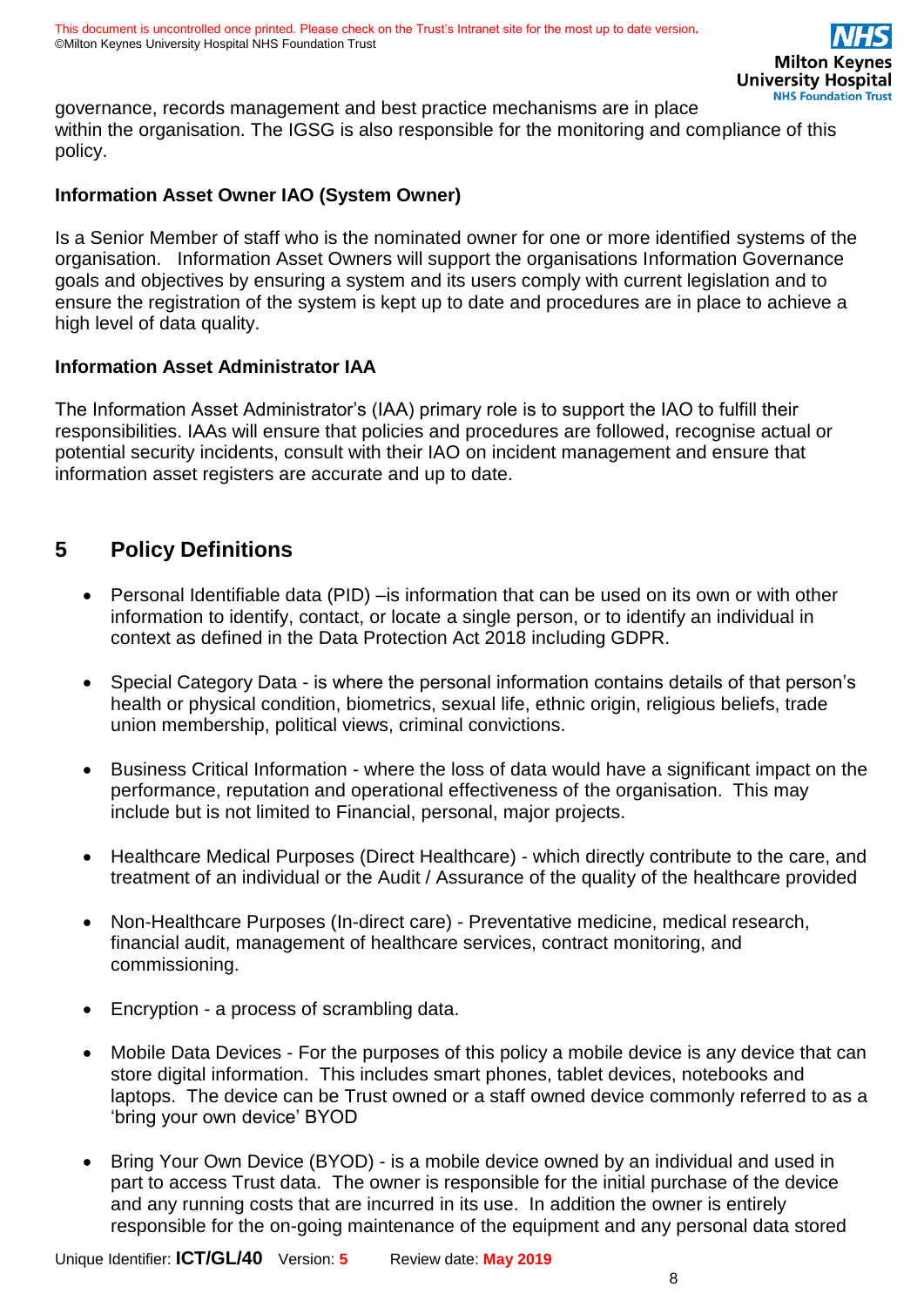governance, records management and best practice mechanisms are in place within the organisation. The IGSG is also responsible for the monitoring and compliance of this policy.

### **Information Asset Owner IAO (System Owner)**

Is a Senior Member of staff who is the nominated owner for one or more identified systems of the organisation. Information Asset Owners will support the organisations Information Governance goals and objectives by ensuring a system and its users comply with current legislation and to ensure the registration of the system is kept up to date and procedures are in place to achieve a high level of data quality.

### **Information Asset Administrator IAA**

The Information Asset Administrator's (IAA) primary role is to support the IAO to fulfill their responsibilities. IAAs will ensure that policies and procedures are followed, recognise actual or potential security incidents, consult with their IAO on incident management and ensure that information asset registers are accurate and up to date.

# <span id="page-7-0"></span>**5 Policy Definitions**

- Personal Identifiable data (PID) is information that can be used on its own or with other information to identify, contact, or locate a single person, or to identify an individual in context as defined in the Data Protection Act 2018 including GDPR.
- Special Category Data is where the personal information contains details of that person's health or physical condition, biometrics, sexual life, ethnic origin, religious beliefs, trade union membership, political views, criminal convictions.
- Business Critical Information where the loss of data would have a significant impact on the performance, reputation and operational effectiveness of the organisation. This may include but is not limited to Financial, personal, major projects.
- Healthcare Medical Purposes (Direct Healthcare) which directly contribute to the care, and treatment of an individual or the Audit / Assurance of the quality of the healthcare provided
- Non-Healthcare Purposes (In-direct care) Preventative medicine, medical research, financial audit, management of healthcare services, contract monitoring, and commissioning.
- Encryption a process of scrambling data.
- Mobile Data Devices For the purposes of this policy a mobile device is any device that can store digital information. This includes smart phones, tablet devices, notebooks and laptops. The device can be Trust owned or a staff owned device commonly referred to as a 'bring your own device' BYOD
- Bring Your Own Device (BYOD) is a mobile device owned by an individual and used in part to access Trust data. The owner is responsible for the initial purchase of the device and any running costs that are incurred in its use. In addition the owner is entirely responsible for the on-going maintenance of the equipment and any personal data stored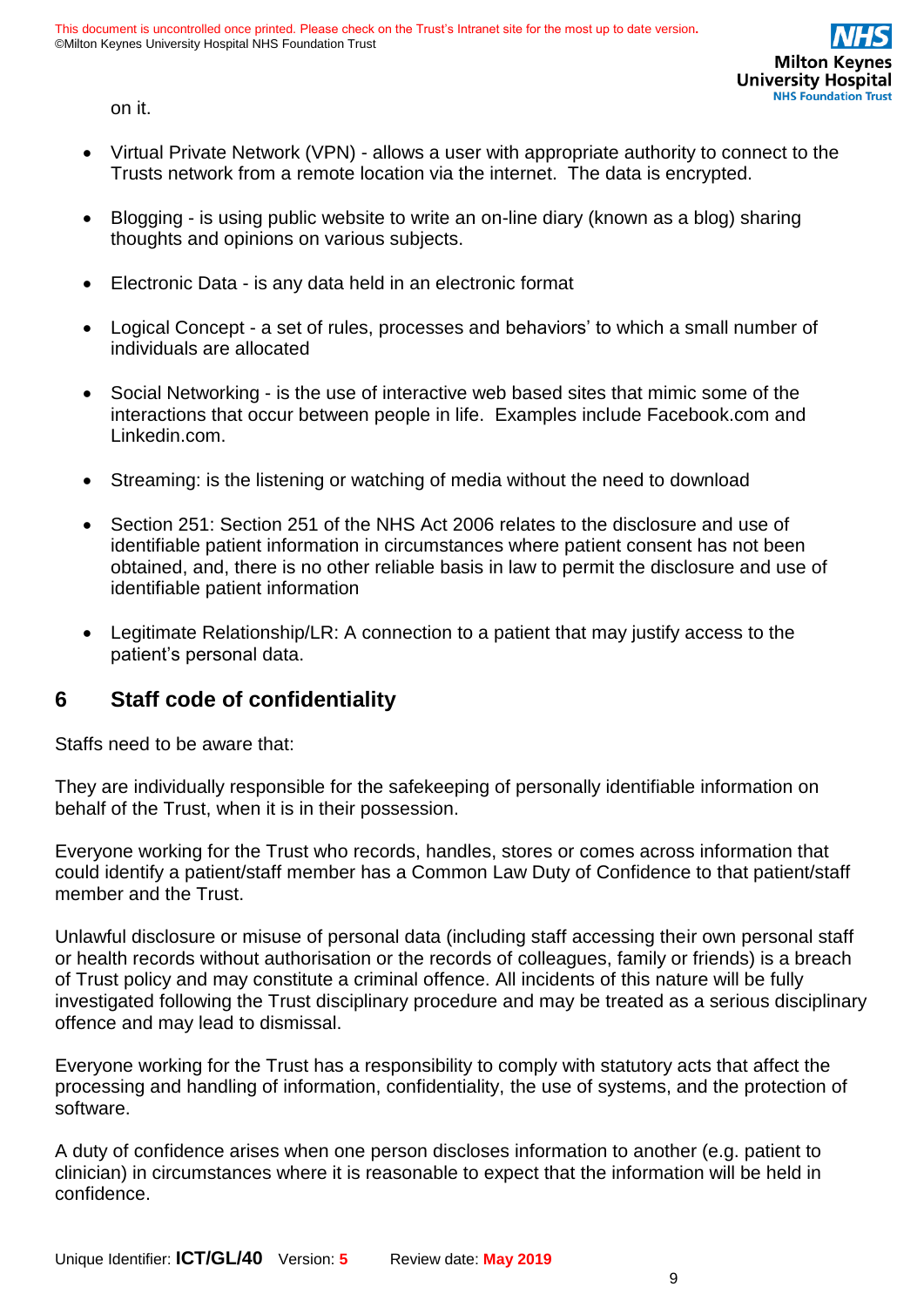on it.

- Virtual Private Network (VPN) allows a user with appropriate authority to connect to the Trusts network from a remote location via the internet. The data is encrypted.
- Blogging is using public website to write an on-line diary (known as a blog) sharing thoughts and opinions on various subjects.
- Electronic Data is any data held in an electronic format
- Logical Concept a set of rules, processes and behaviors' to which a small number of individuals are allocated
- Social Networking is the use of interactive web based sites that mimic some of the interactions that occur between people in life. Examples include Facebook.com and Linkedin.com.
- Streaming: is the listening or watching of media without the need to download
- Section 251: Section 251 of the NHS Act 2006 relates to the disclosure and use of identifiable patient information in circumstances where patient consent has not been obtained, and, there is no other reliable basis in law to permit the disclosure and use of identifiable patient information
- Legitimate Relationship/LR: A connection to a patient that may justify access to the patient's personal data.

### <span id="page-8-0"></span>**6 Staff code of confidentiality**

Staffs need to be aware that:

They are individually responsible for the safekeeping of personally identifiable information on behalf of the Trust, when it is in their possession.

Everyone working for the Trust who records, handles, stores or comes across information that could identify a patient/staff member has a Common Law Duty of Confidence to that patient/staff member and the Trust.

Unlawful disclosure or misuse of personal data (including staff accessing their own personal staff or health records without authorisation or the records of colleagues, family or friends) is a breach of Trust policy and may constitute a criminal offence. All incidents of this nature will be fully investigated following the Trust disciplinary procedure and may be treated as a serious disciplinary offence and may lead to dismissal.

Everyone working for the Trust has a responsibility to comply with statutory acts that affect the processing and handling of information, confidentiality, the use of systems, and the protection of software.

A duty of confidence arises when one person discloses information to another (e.g. patient to clinician) in circumstances where it is reasonable to expect that the information will be held in confidence.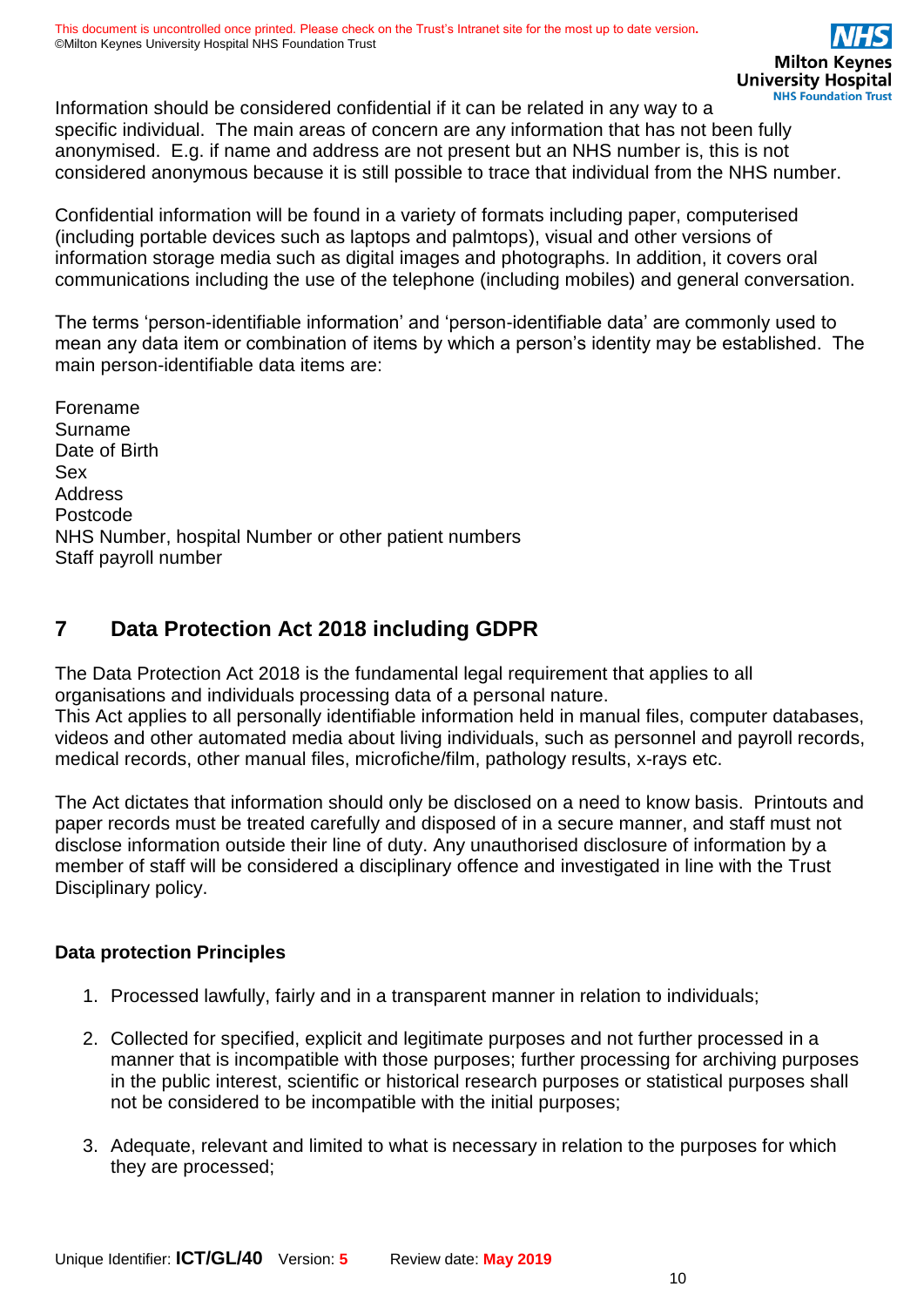Information should be considered confidential if it can be related in any way to a specific individual. The main areas of concern are any information that has not been fully anonymised. E.g. if name and address are not present but an NHS number is, this is not considered anonymous because it is still possible to trace that individual from the NHS number.

Confidential information will be found in a variety of formats including paper, computerised (including portable devices such as laptops and palmtops), visual and other versions of information storage media such as digital images and photographs. In addition, it covers oral communications including the use of the telephone (including mobiles) and general conversation.

The terms 'person-identifiable information' and 'person-identifiable data' are commonly used to mean any data item or combination of items by which a person's identity may be established. The main person-identifiable data items are:

Forename Surname Date of Birth Sex Address Postcode NHS Number, hospital Number or other patient numbers Staff payroll number

# <span id="page-9-0"></span>**7 Data Protection Act 2018 including GDPR**

The Data Protection Act 2018 is the fundamental legal requirement that applies to all organisations and individuals processing data of a personal nature.

This Act applies to all personally identifiable information held in manual files, computer databases, videos and other automated media about living individuals, such as personnel and payroll records, medical records, other manual files, microfiche/film, pathology results, x-rays etc.

The Act dictates that information should only be disclosed on a need to know basis. Printouts and paper records must be treated carefully and disposed of in a secure manner, and staff must not disclose information outside their line of duty. Any unauthorised disclosure of information by a member of staff will be considered a disciplinary offence and investigated in line with the Trust Disciplinary policy.

### **Data protection Principles**

- 1. Processed lawfully, fairly and in a transparent manner in relation to individuals;
- 2. Collected for specified, explicit and legitimate purposes and not further processed in a manner that is incompatible with those purposes; further processing for archiving purposes in the public interest, scientific or historical research purposes or statistical purposes shall not be considered to be incompatible with the initial purposes;
- 3. Adequate, relevant and limited to what is necessary in relation to the purposes for which they are processed;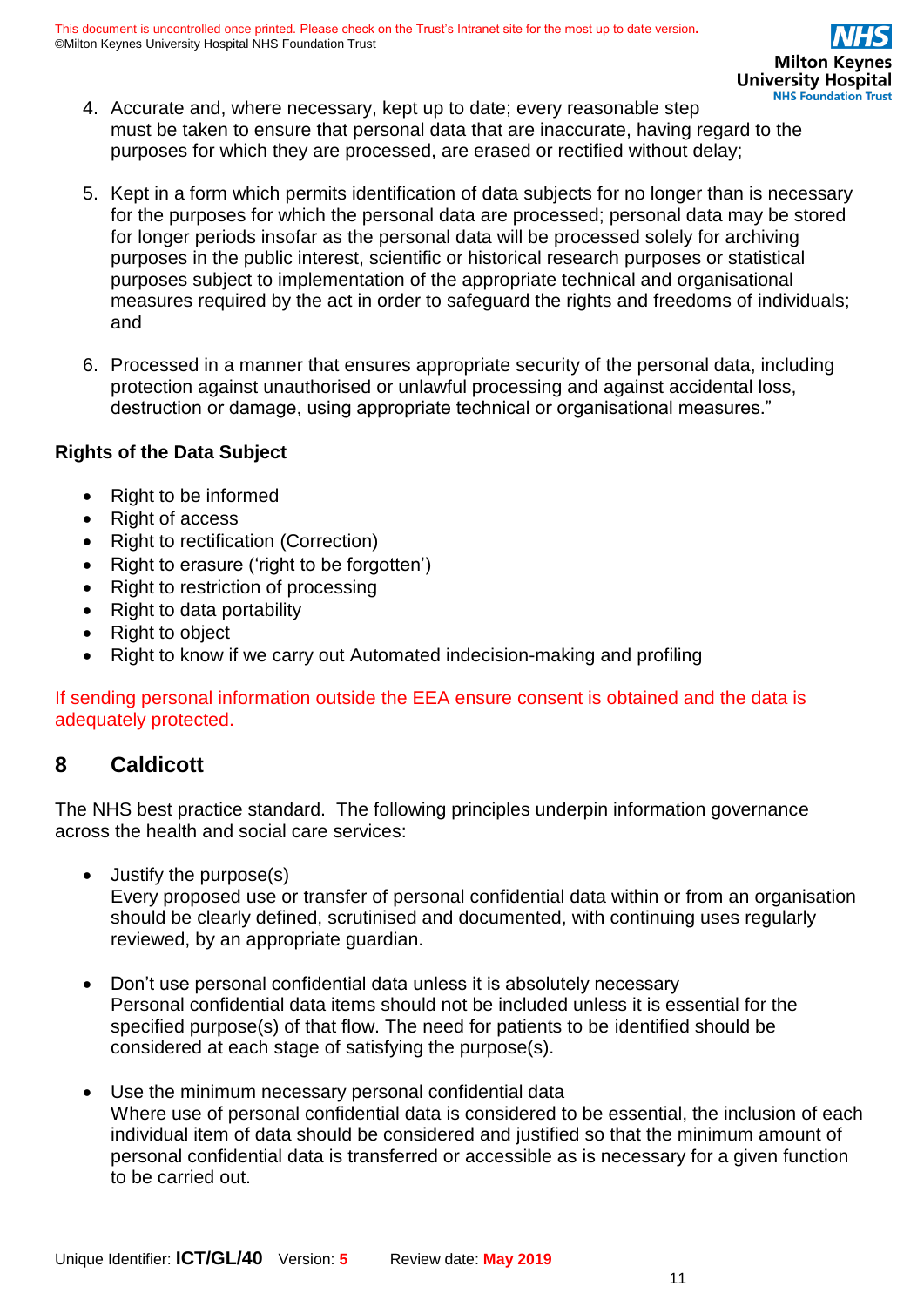- 4. Accurate and, where necessary, kept up to date; every reasonable step must be taken to ensure that personal data that are inaccurate, having regard to the purposes for which they are processed, are erased or rectified without delay;
- 5. Kept in a form which permits identification of data subjects for no longer than is necessary for the purposes for which the personal data are processed; personal data may be stored for longer periods insofar as the personal data will be processed solely for archiving purposes in the public interest, scientific or historical research purposes or statistical purposes subject to implementation of the appropriate technical and organisational measures required by the act in order to safeguard the rights and freedoms of individuals; and
- 6. Processed in a manner that ensures appropriate security of the personal data, including protection against unauthorised or unlawful processing and against accidental loss, destruction or damage, using appropriate technical or organisational measures."

### **Rights of the Data Subject**

- Right to be informed
- Right of access
- Right to rectification (Correction)
- Right to erasure ('right to be forgotten')
- Right to restriction of processing
- Right to data portability
- Right to object
- Right to know if we carry out Automated indecision-making and profiling

If sending personal information outside the EEA ensure consent is obtained and the data is adequately protected.

# <span id="page-10-0"></span>**8 Caldicott**

The NHS best practice standard. The following principles underpin information governance across the health and social care services:

• Justify the purpose(s)

Every proposed use or transfer of personal confidential data within or from an organisation should be clearly defined, scrutinised and documented, with continuing uses regularly reviewed, by an appropriate guardian.

- Don't use personal confidential data unless it is absolutely necessary Personal confidential data items should not be included unless it is essential for the specified purpose(s) of that flow. The need for patients to be identified should be considered at each stage of satisfying the purpose(s).
- Use the minimum necessary personal confidential data Where use of personal confidential data is considered to be essential, the inclusion of each individual item of data should be considered and justified so that the minimum amount of personal confidential data is transferred or accessible as is necessary for a given function to be carried out.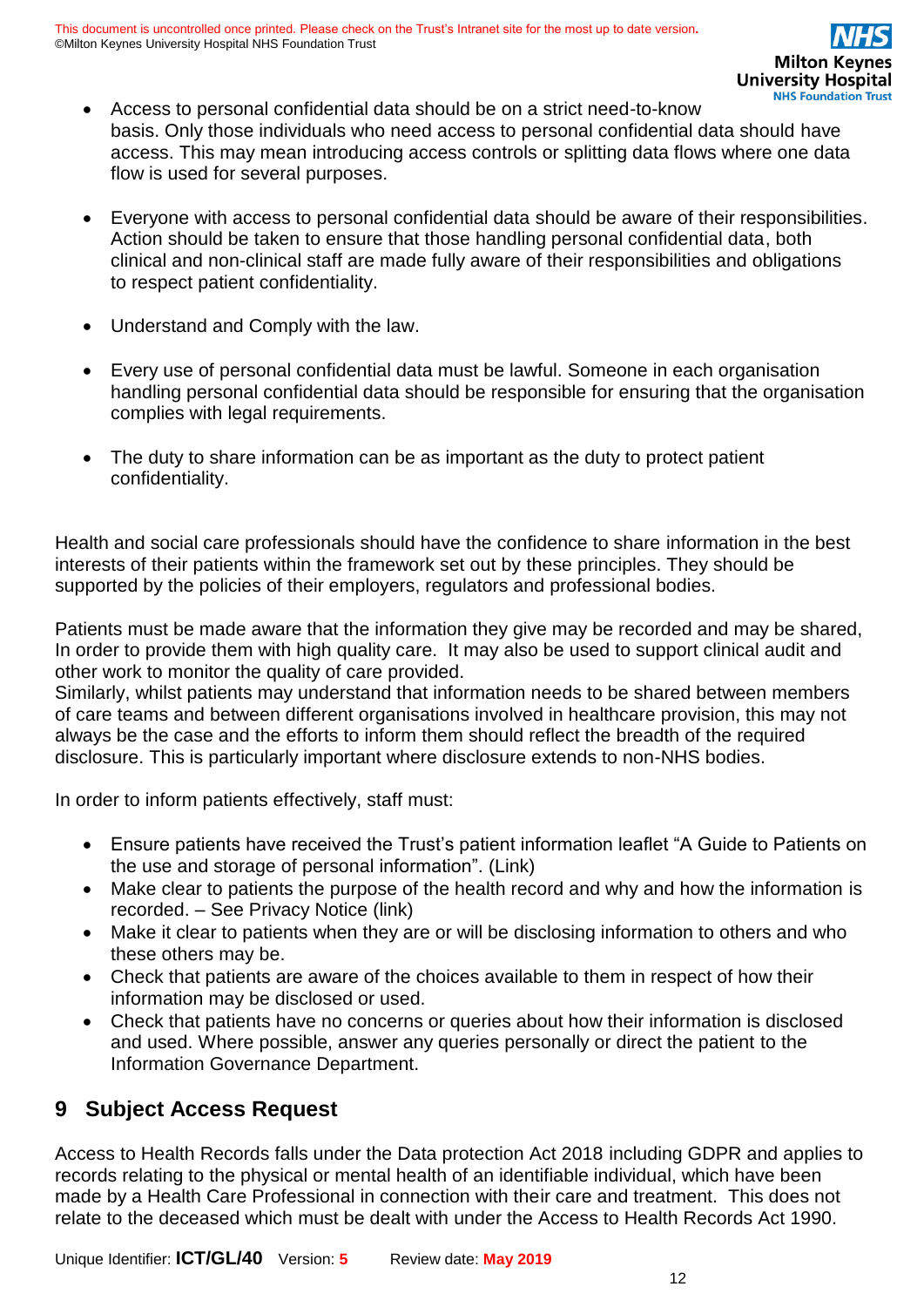- Access to personal confidential data should be on a strict need-to-know basis. Only those individuals who need access to personal confidential data should have access. This may mean introducing access controls or splitting data flows where one data flow is used for several purposes.
- Everyone with access to personal confidential data should be aware of their responsibilities. Action should be taken to ensure that those handling personal confidential data, both clinical and non-clinical staff are made fully aware of their responsibilities and obligations to respect patient confidentiality.
- Understand and Comply with the law.
- Every use of personal confidential data must be lawful. Someone in each organisation handling personal confidential data should be responsible for ensuring that the organisation complies with legal requirements.
- The duty to share information can be as important as the duty to protect patient confidentiality.

Health and social care professionals should have the confidence to share information in the best interests of their patients within the framework set out by these principles. They should be supported by the policies of their employers, regulators and professional bodies.

Patients must be made aware that the information they give may be recorded and may be shared, In order to provide them with high quality care. It may also be used to support clinical audit and other work to monitor the quality of care provided.

Similarly, whilst patients may understand that information needs to be shared between members of care teams and between different organisations involved in healthcare provision, this may not always be the case and the efforts to inform them should reflect the breadth of the required disclosure. This is particularly important where disclosure extends to non-NHS bodies.

In order to inform patients effectively, staff must:

- Ensure patients have received the Trust's patient information leaflet "A Guide to Patients on the use and storage of personal information". (Link)
- Make clear to patients the purpose of the health record and why and how the information is recorded. – See Privacy Notice (link)
- Make it clear to patients when they are or will be disclosing information to others and who these others may be.
- Check that patients are aware of the choices available to them in respect of how their information may be disclosed or used.
- Check that patients have no concerns or queries about how their information is disclosed and used. Where possible, answer any queries personally or direct the patient to the Information Governance Department.

# <span id="page-11-0"></span>**9 Subject Access Request**

Access to Health Records falls under the Data protection Act 2018 including GDPR and applies to records relating to the physical or mental health of an identifiable individual, which have been made by a Health Care Professional in connection with their care and treatment. This does not relate to the deceased which must be dealt with under the Access to Health Records Act 1990.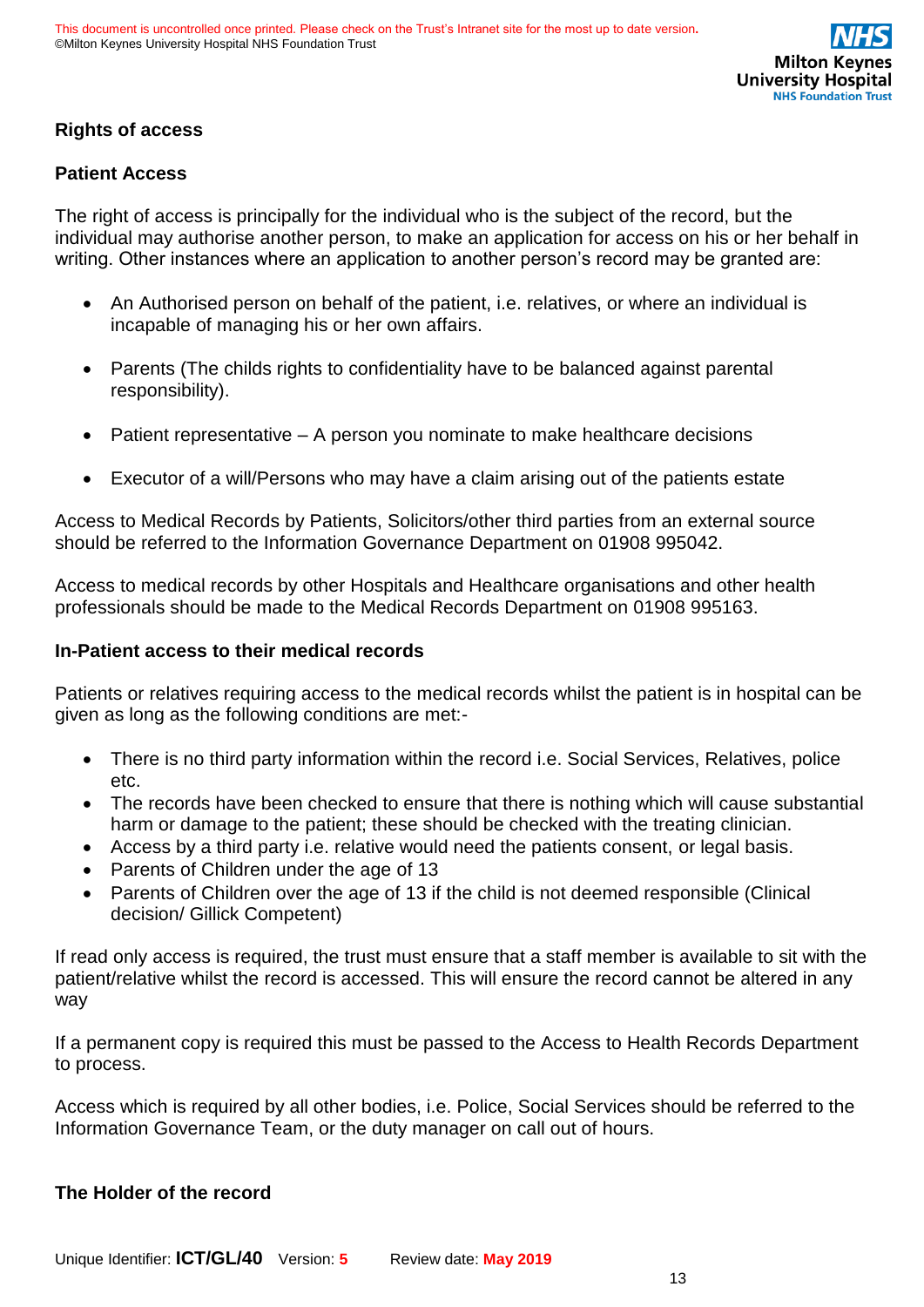### **Rights of access**

### **Patient Access**

The right of access is principally for the individual who is the subject of the record, but the individual may authorise another person, to make an application for access on his or her behalf in writing. Other instances where an application to another person's record may be granted are:

- An Authorised person on behalf of the patient, i.e. relatives, or where an individual is incapable of managing his or her own affairs.
- Parents (The childs rights to confidentiality have to be balanced against parental responsibility).
- Patient representative A person you nominate to make healthcare decisions
- Executor of a will/Persons who may have a claim arising out of the patients estate

Access to Medical Records by Patients, Solicitors/other third parties from an external source should be referred to the Information Governance Department on 01908 995042.

Access to medical records by other Hospitals and Healthcare organisations and other health professionals should be made to the Medical Records Department on 01908 995163.

### **In-Patient access to their medical records**

Patients or relatives requiring access to the medical records whilst the patient is in hospital can be given as long as the following conditions are met:-

- There is no third party information within the record i.e. Social Services, Relatives, police etc.
- The records have been checked to ensure that there is nothing which will cause substantial harm or damage to the patient; these should be checked with the treating clinician.
- Access by a third party i.e. relative would need the patients consent, or legal basis.
- Parents of Children under the age of 13
- Parents of Children over the age of 13 if the child is not deemed responsible (Clinical decision/ Gillick Competent)

If read only access is required, the trust must ensure that a staff member is available to sit with the patient/relative whilst the record is accessed. This will ensure the record cannot be altered in any way

If a permanent copy is required this must be passed to the Access to Health Records Department to process.

Access which is required by all other bodies, i.e. Police, Social Services should be referred to the Information Governance Team, or the duty manager on call out of hours.

### **The Holder of the record**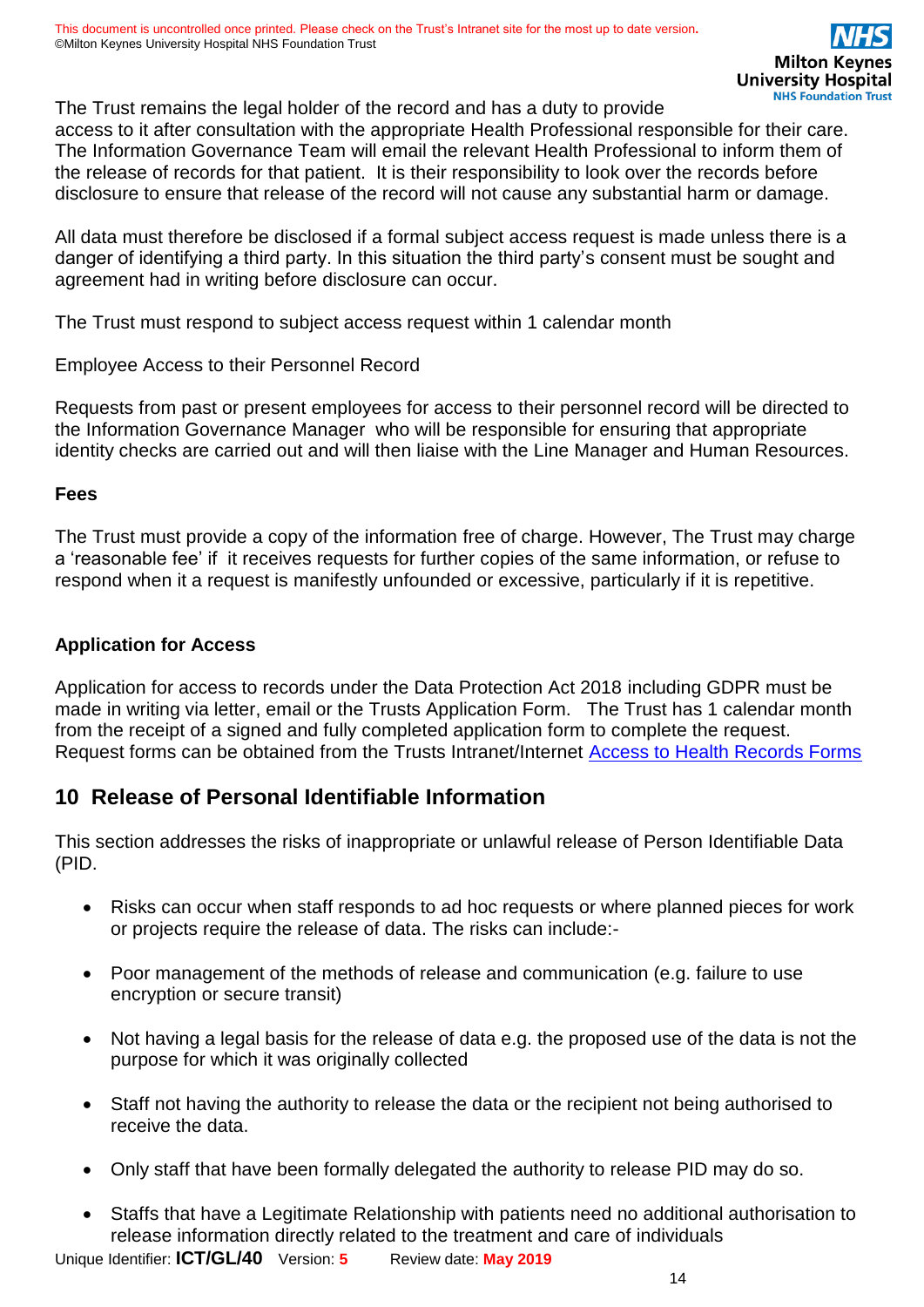The Trust remains the legal holder of the record and has a duty to provide access to it after consultation with the appropriate Health Professional responsible for their care. The Information Governance Team will email the relevant Health Professional to inform them of

the release of records for that patient. It is their responsibility to look over the records before disclosure to ensure that release of the record will not cause any substantial harm or damage.

All data must therefore be disclosed if a formal subject access request is made unless there is a danger of identifying a third party. In this situation the third party's consent must be sought and agreement had in writing before disclosure can occur.

The Trust must respond to subject access request within 1 calendar month

Employee Access to their Personnel Record

Requests from past or present employees for access to their personnel record will be directed to the Information Governance Manager who will be responsible for ensuring that appropriate identity checks are carried out and will then liaise with the Line Manager and Human Resources.

### **Fees**

The Trust must provide a copy of the information free of charge. However, The Trust may charge a 'reasonable fee' if it receives requests for further copies of the same information, or refuse to respond when it a request is manifestly unfounded or excessive, particularly if it is repetitive.

### **Application for Access**

Application for access to records under the Data Protection Act 2018 including GDPR must be made in writing via letter, email or the Trusts Application Form. The Trust has 1 calendar month from the receipt of a signed and fully completed application form to complete the request. Request forms can be obtained from the Trusts Intranet/Internet **Access to Health Records Forms** 

# <span id="page-13-0"></span>**10 Release of Personal Identifiable Information**

This section addresses the risks of inappropriate or unlawful release of Person Identifiable Data (PID.

- Risks can occur when staff responds to ad hoc requests or where planned pieces for work or projects require the release of data. The risks can include:-
- Poor management of the methods of release and communication (e.g. failure to use encryption or secure transit)
- Not having a legal basis for the release of data e.g. the proposed use of the data is not the purpose for which it was originally collected
- Staff not having the authority to release the data or the recipient not being authorised to receive the data.
- Only staff that have been formally delegated the authority to release PID may do so.
- Staffs that have a Legitimate Relationship with patients need no additional authorisation to release information directly related to the treatment and care of individuals

Unique Identifier: **ICT/GL/40** Version: **5** Review date: **May 2019**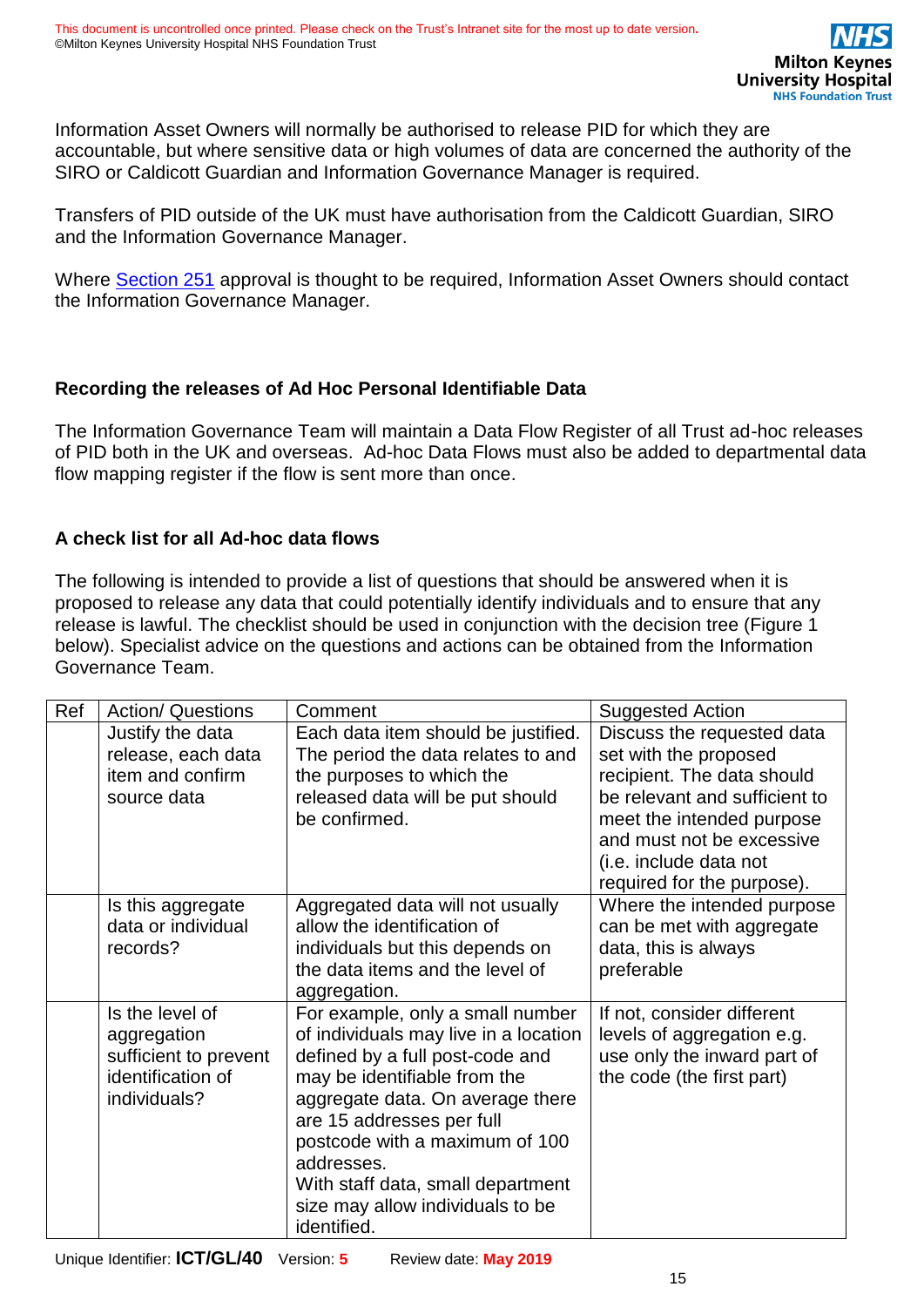Information Asset Owners will normally be authorised to release PID for which they are accountable, but where sensitive data or high volumes of data are concerned the authority of the SIRO or Caldicott Guardian and Information Governance Manager is required.

Transfers of PID outside of the UK must have authorisation from the Caldicott Guardian, SIRO and the Information Governance Manager.

Where [Section 251](http://www.hra.nhs.uk/about-the-hra/our-committees/section-251/what-is-section-251/) approval is thought to be required, Information Asset Owners should contact the Information Governance Manager.

### **Recording the releases of Ad Hoc Personal Identifiable Data**

The Information Governance Team will maintain a Data Flow Register of all Trust ad-hoc releases of PID both in the UK and overseas. Ad-hoc Data Flows must also be added to departmental data flow mapping register if the flow is sent more than once.

### **A check list for all Ad-hoc data flows**

The following is intended to provide a list of questions that should be answered when it is proposed to release any data that could potentially identify individuals and to ensure that any release is lawful. The checklist should be used in conjunction with the decision tree (Figure 1 below). Specialist advice on the questions and actions can be obtained from the Information Governance Team.

| Ref | <b>Action/ Questions</b><br>Comment                                                          |                                                                                                                                                                                                                                                                                                                                                       | <b>Suggested Action</b>                                                                                                                                                                                                              |
|-----|----------------------------------------------------------------------------------------------|-------------------------------------------------------------------------------------------------------------------------------------------------------------------------------------------------------------------------------------------------------------------------------------------------------------------------------------------------------|--------------------------------------------------------------------------------------------------------------------------------------------------------------------------------------------------------------------------------------|
|     | Justify the data<br>release, each data<br>item and confirm<br>source data                    | Each data item should be justified.<br>The period the data relates to and<br>the purposes to which the<br>released data will be put should<br>be confirmed.                                                                                                                                                                                           | Discuss the requested data<br>set with the proposed<br>recipient. The data should<br>be relevant and sufficient to<br>meet the intended purpose<br>and must not be excessive<br>(i.e. include data not<br>required for the purpose). |
|     | Is this aggregate<br>data or individual<br>records?                                          | Aggregated data will not usually<br>allow the identification of<br>individuals but this depends on<br>the data items and the level of<br>aggregation.                                                                                                                                                                                                 | Where the intended purpose<br>can be met with aggregate<br>data, this is always<br>preferable                                                                                                                                        |
|     | Is the level of<br>aggregation<br>sufficient to prevent<br>identification of<br>individuals? | For example, only a small number<br>of individuals may live in a location<br>defined by a full post-code and<br>may be identifiable from the<br>aggregate data. On average there<br>are 15 addresses per full<br>postcode with a maximum of 100<br>addresses.<br>With staff data, small department<br>size may allow individuals to be<br>identified. | If not, consider different<br>levels of aggregation e.g.<br>use only the inward part of<br>the code (the first part)                                                                                                                 |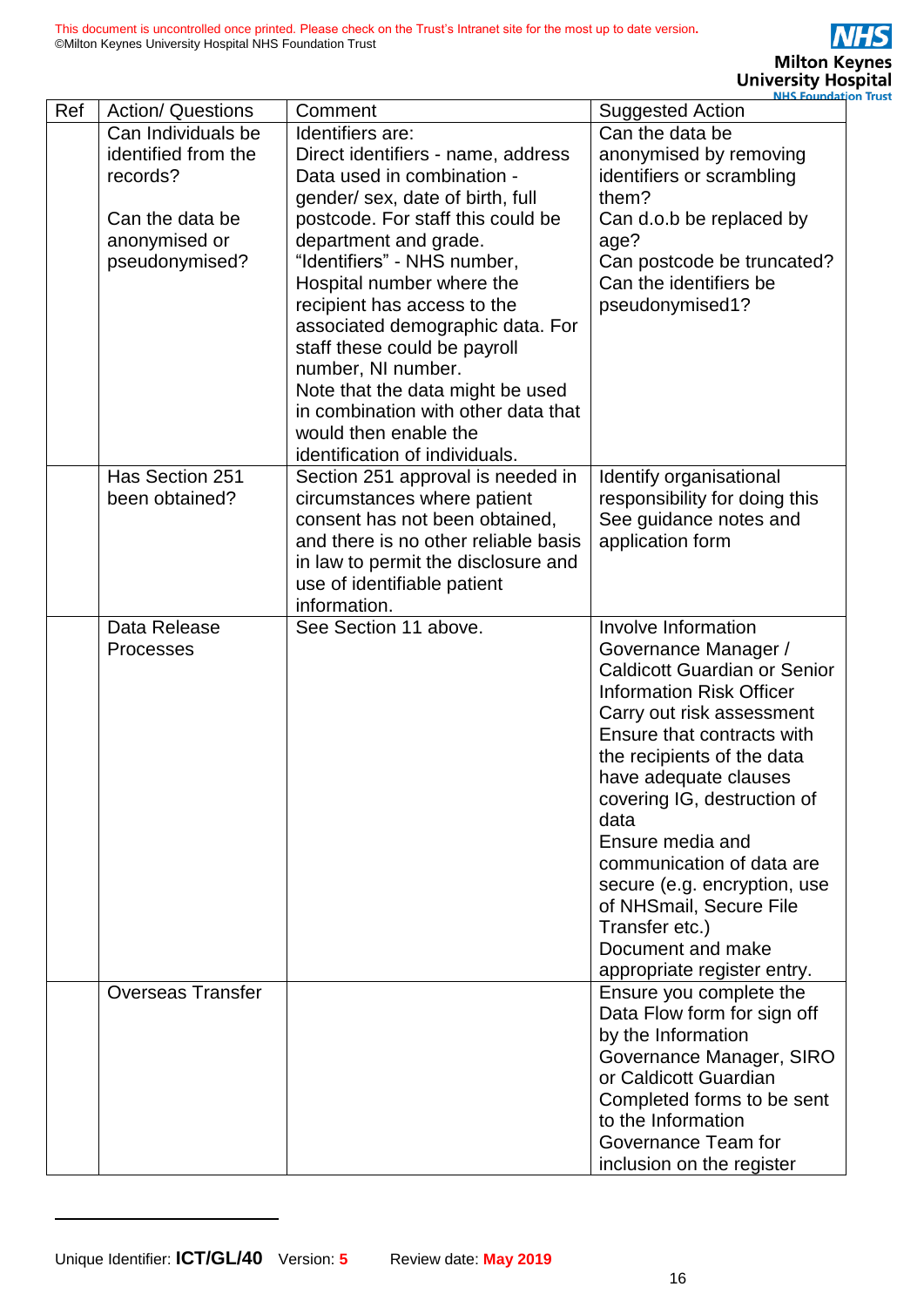|     |                          |                                      | <b>NHS Foundation</b>               |
|-----|--------------------------|--------------------------------------|-------------------------------------|
| Ref | <b>Action/ Questions</b> | Comment                              | <b>Suggested Action</b>             |
|     | Can Individuals be       | Identifiers are:                     | Can the data be                     |
|     | identified from the      | Direct identifiers - name, address   | anonymised by removing              |
|     | records?                 | Data used in combination -           | identifiers or scrambling           |
|     |                          | gender/ sex, date of birth, full     | them?                               |
|     | Can the data be          | postcode. For staff this could be    | Can d.o.b be replaced by            |
|     |                          |                                      |                                     |
|     | anonymised or            | department and grade.                | age?                                |
|     | pseudonymised?           | "Identifiers" - NHS number,          | Can postcode be truncated?          |
|     |                          | Hospital number where the            | Can the identifiers be              |
|     |                          | recipient has access to the          | pseudonymised1?                     |
|     |                          | associated demographic data. For     |                                     |
|     |                          | staff these could be payroll         |                                     |
|     |                          | number, NI number.                   |                                     |
|     |                          | Note that the data might be used     |                                     |
|     |                          | in combination with other data that  |                                     |
|     |                          | would then enable the                |                                     |
|     |                          | identification of individuals.       |                                     |
|     | Has Section 251          | Section 251 approval is needed in    | Identify organisational             |
|     | been obtained?           | circumstances where patient          | responsibility for doing this       |
|     |                          | consent has not been obtained,       | See guidance notes and              |
|     |                          | and there is no other reliable basis | application form                    |
|     |                          | in law to permit the disclosure and  |                                     |
|     |                          | use of identifiable patient          |                                     |
|     |                          | information.                         |                                     |
|     | Data Release             | See Section 11 above.                | Involve Information                 |
|     | Processes                |                                      | Governance Manager /                |
|     |                          |                                      | <b>Caldicott Guardian or Senior</b> |
|     |                          |                                      | <b>Information Risk Officer</b>     |
|     |                          |                                      | Carry out risk assessment           |
|     |                          |                                      | Ensure that contracts with          |
|     |                          |                                      |                                     |
|     |                          |                                      | the recipients of the data          |
|     |                          |                                      | have adequate clauses               |
|     |                          |                                      | covering IG, destruction of         |
|     |                          |                                      | data                                |
|     |                          |                                      | Ensure media and                    |
|     |                          |                                      | communication of data are           |
|     |                          |                                      | secure (e.g. encryption, use        |
|     |                          |                                      | of NHSmail, Secure File             |
|     |                          |                                      | Transfer etc.)                      |
|     |                          |                                      | Document and make                   |
|     |                          |                                      | appropriate register entry.         |
|     | <b>Overseas Transfer</b> |                                      | Ensure you complete the             |
|     |                          |                                      | Data Flow form for sign off         |
|     |                          |                                      | by the Information                  |
|     |                          |                                      | Governance Manager, SIRO            |
|     |                          |                                      | or Caldicott Guardian               |
|     |                          |                                      | Completed forms to be sent          |
|     |                          |                                      | to the Information                  |
|     |                          |                                      | Governance Team for                 |
|     |                          |                                      | inclusion on the register           |
|     |                          |                                      |                                     |

l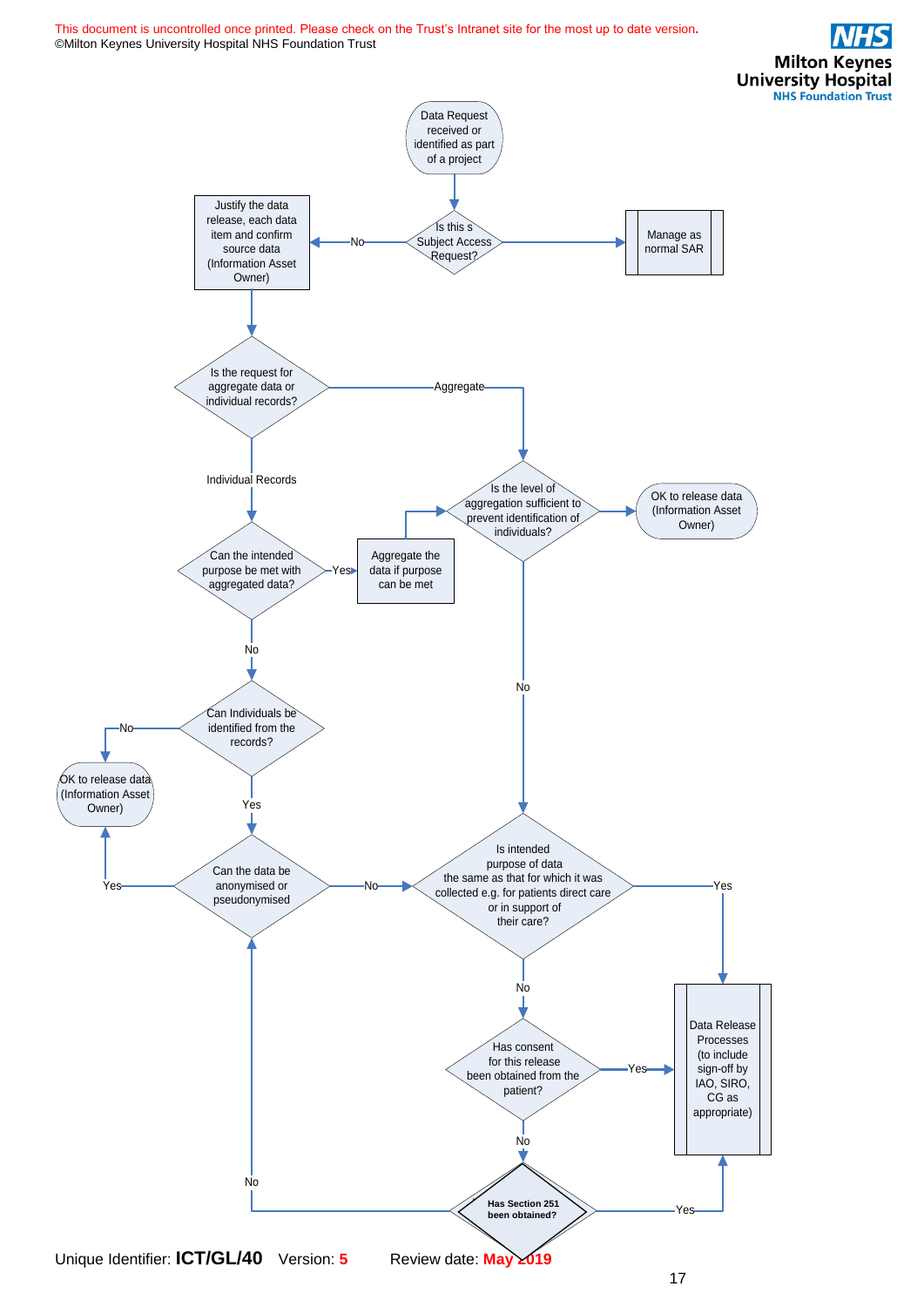This document is uncontrolled once printed. Please check on the Trust's Intranet site for the most up to date version**.** ©Milton Keynes University Hospital NHS Foundation Trust

**Milton Keynes University Hospital NHS Foundation Trust** 

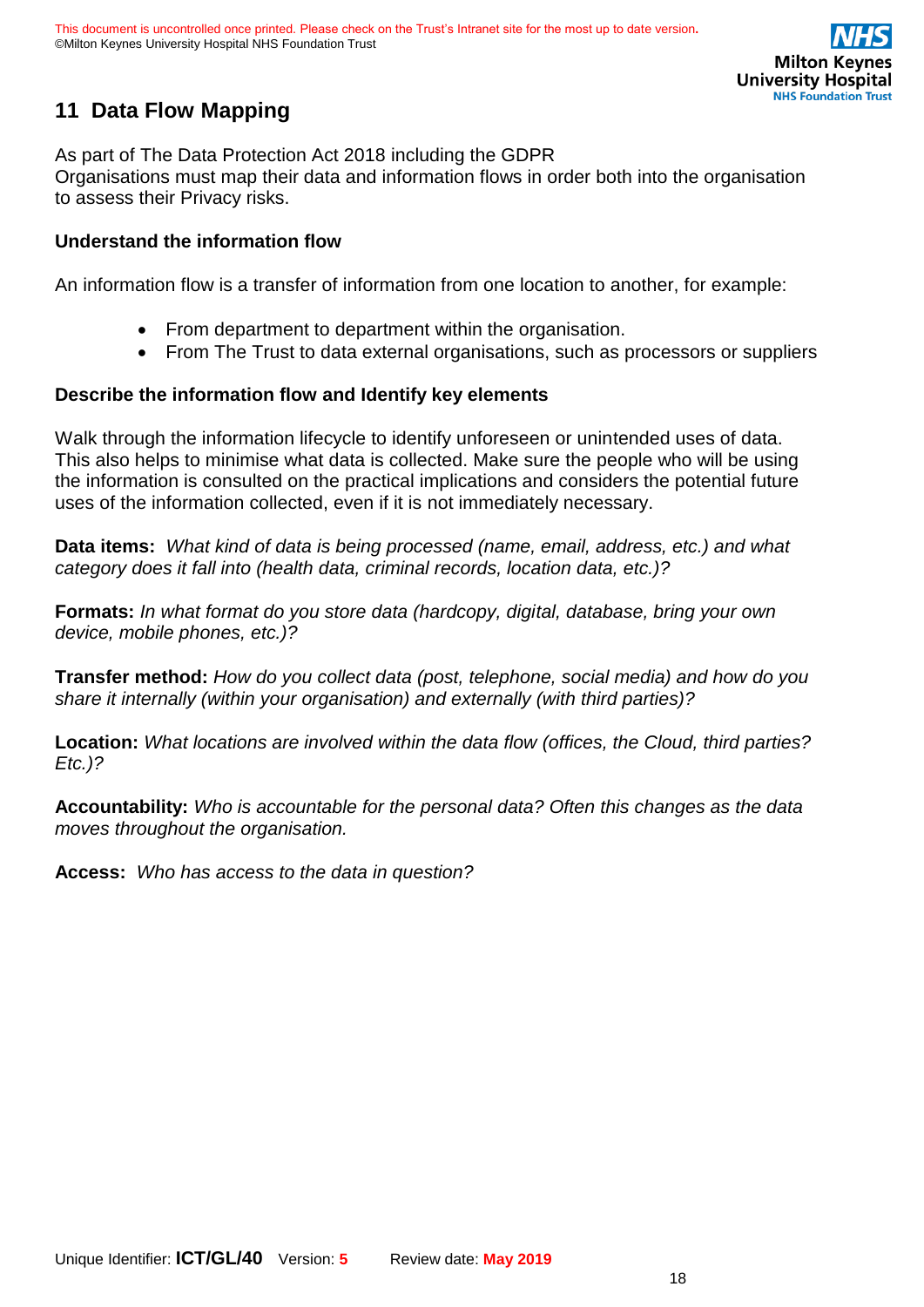

# <span id="page-17-0"></span>**11 Data Flow Mapping**

As part of The Data Protection Act 2018 including the GDPR Organisations must map their data and information flows in order both into the organisation to assess their Privacy risks.

### **Understand the information flow**

An information flow is a transfer of information from one location to another, for example:

- From department to department within the organisation.
- From The Trust to data external organisations, such as processors or suppliers

### **Describe the information flow and Identify key elements**

Walk through the information lifecycle to identify unforeseen or unintended uses of data. This also helps to minimise what data is collected. Make sure the people who will be using the information is consulted on the practical implications and considers the potential future uses of the information collected, even if it is not immediately necessary.

**Data items:** *What kind of data is being processed (name, email, address, etc.) and what category does it fall into (health data, criminal records, location data, etc.)?*

**Formats:** *In what format do you store data (hardcopy, digital, database, bring your own device, mobile phones, etc.)?* 

**Transfer method:** *How do you collect data (post, telephone, social media) and how do you share it internally (within your organisation) and externally (with third parties)?*

**Location:** *What locations are involved within the data flow (offices, the Cloud, third parties? Etc.)?*

**Accountability:** *Who is accountable for the personal data? Often this changes as the data moves throughout the organisation.*

**Access:** *Who has access to the data in question?*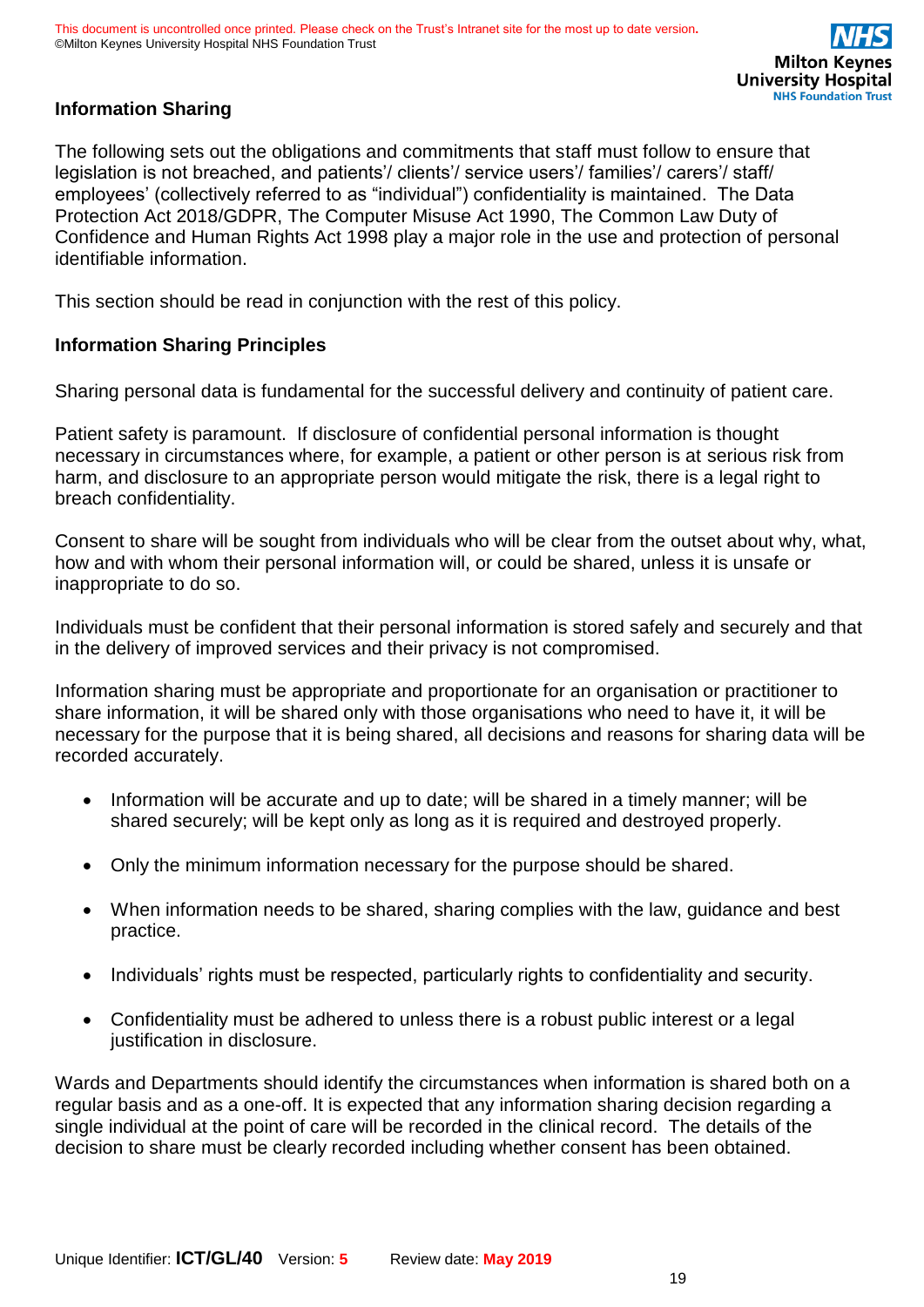### **Information Sharing**

The following sets out the obligations and commitments that staff must follow to ensure that legislation is not breached, and patients'/ clients'/ service users'/ families'/ carers'/ staff/ employees' (collectively referred to as "individual") confidentiality is maintained. The Data Protection Act 2018/GDPR, The Computer Misuse Act 1990, The Common Law Duty of Confidence and Human Rights Act 1998 play a major role in the use and protection of personal identifiable information.

This section should be read in conjunction with the rest of this policy.

### **Information Sharing Principles**

Sharing personal data is fundamental for the successful delivery and continuity of patient care.

Patient safety is paramount. If disclosure of confidential personal information is thought necessary in circumstances where, for example, a patient or other person is at serious risk from harm, and disclosure to an appropriate person would mitigate the risk, there is a legal right to breach confidentiality.

Consent to share will be sought from individuals who will be clear from the outset about why, what, how and with whom their personal information will, or could be shared, unless it is unsafe or inappropriate to do so.

Individuals must be confident that their personal information is stored safely and securely and that in the delivery of improved services and their privacy is not compromised.

Information sharing must be appropriate and proportionate for an organisation or practitioner to share information, it will be shared only with those organisations who need to have it, it will be necessary for the purpose that it is being shared, all decisions and reasons for sharing data will be recorded accurately.

- Information will be accurate and up to date; will be shared in a timely manner; will be shared securely; will be kept only as long as it is required and destroyed properly.
- Only the minimum information necessary for the purpose should be shared.
- When information needs to be shared, sharing complies with the law, guidance and best practice.
- Individuals' rights must be respected, particularly rights to confidentiality and security.
- Confidentiality must be adhered to unless there is a robust public interest or a legal justification in disclosure.

Wards and Departments should identify the circumstances when information is shared both on a regular basis and as a one-off. It is expected that any information sharing decision regarding a single individual at the point of care will be recorded in the clinical record. The details of the decision to share must be clearly recorded including whether consent has been obtained.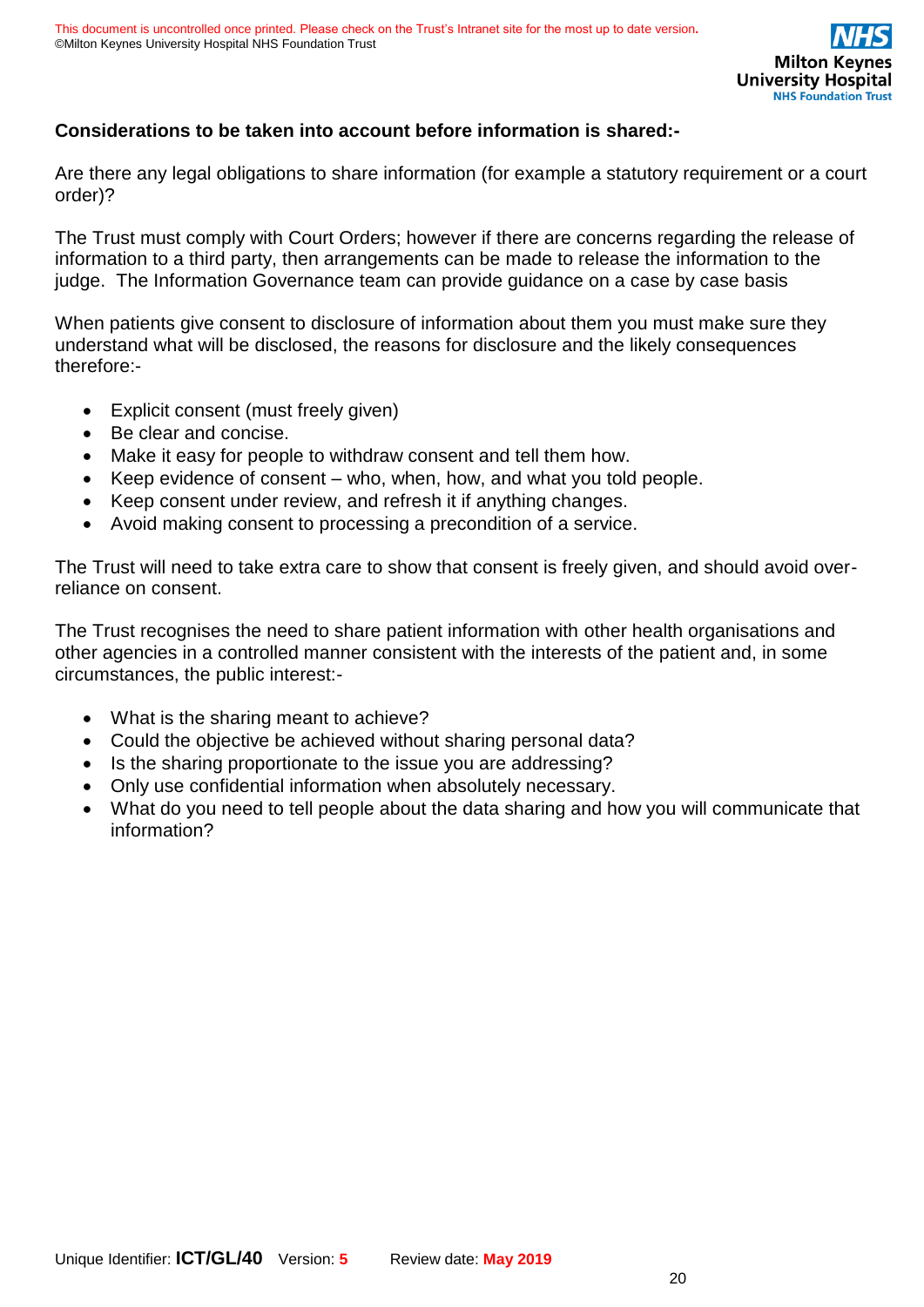### **Considerations to be taken into account before information is shared:-**

Are there any legal obligations to share information (for example a statutory requirement or a court order)?

The Trust must comply with Court Orders; however if there are concerns regarding the release of information to a third party, then arrangements can be made to release the information to the judge. The Information Governance team can provide guidance on a case by case basis

When patients give consent to disclosure of information about them you must make sure they understand what will be disclosed, the reasons for disclosure and the likely consequences therefore:-

- Explicit consent (must freely given)
- Be clear and concise.
- Make it easy for people to withdraw consent and tell them how.
- Keep evidence of consent who, when, how, and what you told people.
- Keep consent under review, and refresh it if anything changes.
- Avoid making consent to processing a precondition of a service.

The Trust will need to take extra care to show that consent is freely given, and should avoid overreliance on consent.

The Trust recognises the need to share patient information with other health organisations and other agencies in a controlled manner consistent with the interests of the patient and, in some circumstances, the public interest:-

- What is the sharing meant to achieve?
- Could the objective be achieved without sharing personal data?
- Is the sharing proportionate to the issue you are addressing?
- Only use confidential information when absolutely necessary.
- What do you need to tell people about the data sharing and how you will communicate that information?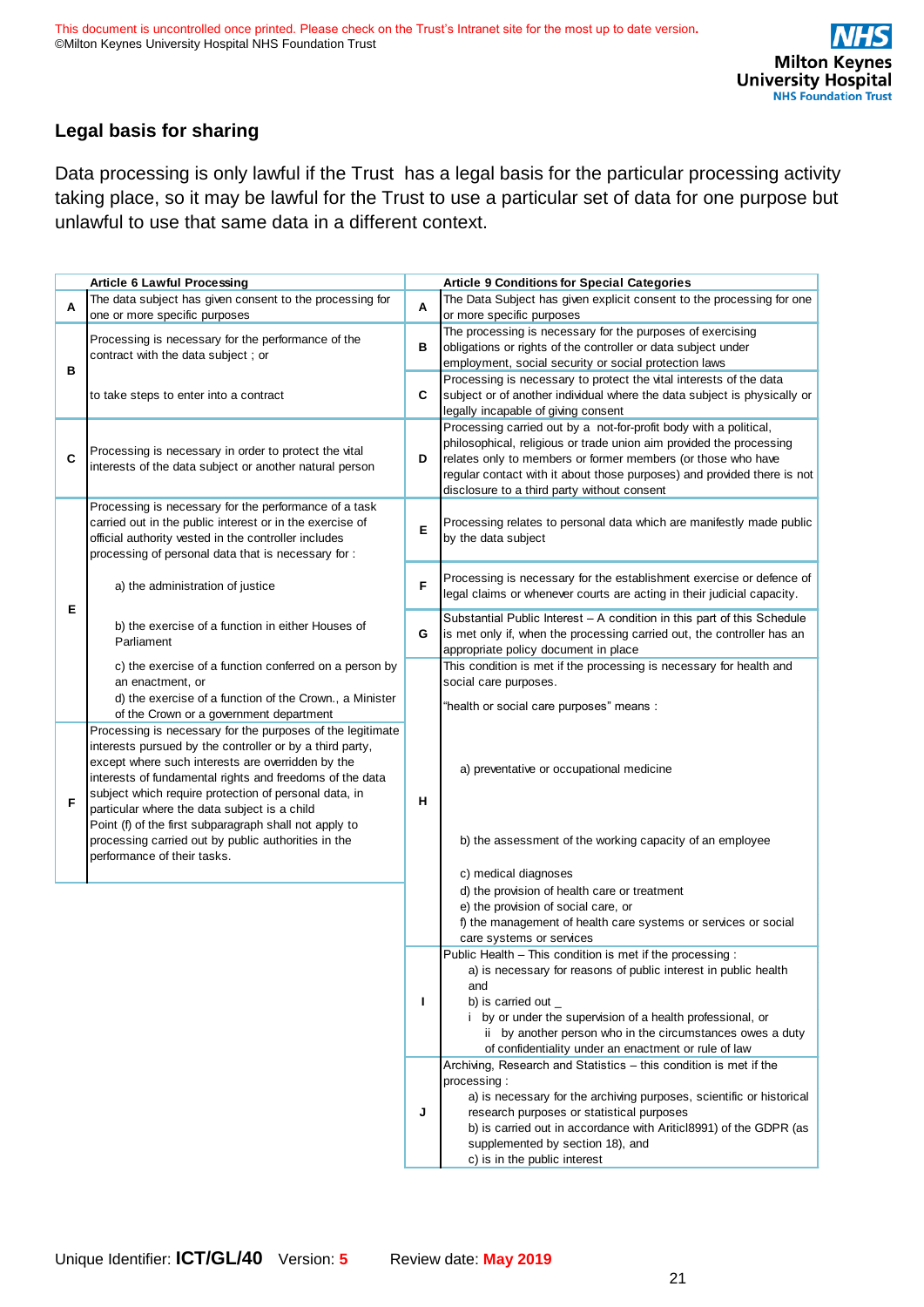### **Legal basis for sharing**

Data processing is only lawful if the Trust has a legal basis for the particular processing activity taking place, so it may be lawful for the Trust to use a particular set of data for one purpose but unlawful to use that same data in a different context.

|   | <b>Article 6 Lawful Processing</b>                                                                            |   | <b>Article 9 Conditions for Special Categories</b>                                                                                       |  |  |
|---|---------------------------------------------------------------------------------------------------------------|---|------------------------------------------------------------------------------------------------------------------------------------------|--|--|
|   | The data subject has given consent to the processing for                                                      |   | The Data Subject has given explicit consent to the processing for one                                                                    |  |  |
| Α | one or more specific purposes                                                                                 | А | or more specific purposes                                                                                                                |  |  |
|   | Processing is necessary for the performance of the                                                            |   | The processing is necessary for the purposes of exercising                                                                               |  |  |
|   | contract with the data subject; or                                                                            |   | obligations or rights of the controller or data subject under                                                                            |  |  |
| в |                                                                                                               |   | employment, social security or social protection laws                                                                                    |  |  |
|   |                                                                                                               |   | Processing is necessary to protect the vital interests of the data                                                                       |  |  |
|   | to take steps to enter into a contract                                                                        | С | subject or of another individual where the data subject is physically or                                                                 |  |  |
|   |                                                                                                               |   | legally incapable of giving consent                                                                                                      |  |  |
|   |                                                                                                               |   | Processing carried out by a not-for-profit body with a political,<br>philosophical, religious or trade union aim provided the processing |  |  |
| C | Processing is necessary in order to protect the vital                                                         | D | relates only to members or former members (or those who have                                                                             |  |  |
|   | interests of the data subject or another natural person                                                       |   | regular contact with it about those purposes) and provided there is not                                                                  |  |  |
|   |                                                                                                               |   | disclosure to a third party without consent                                                                                              |  |  |
|   | Processing is necessary for the performance of a task                                                         |   |                                                                                                                                          |  |  |
|   | carried out in the public interest or in the exercise of                                                      | Е | Processing relates to personal data which are manifestly made public                                                                     |  |  |
|   | official authority vested in the controller includes                                                          |   | by the data subject                                                                                                                      |  |  |
|   | processing of personal data that is necessary for:                                                            |   |                                                                                                                                          |  |  |
|   |                                                                                                               |   | Processing is necessary for the establishment exercise or defence of                                                                     |  |  |
|   | a) the administration of justice                                                                              | F | legal claims or whenever courts are acting in their judicial capacity.                                                                   |  |  |
| Е |                                                                                                               |   | Substantial Public Interest - A condition in this part of this Schedule                                                                  |  |  |
|   | b) the exercise of a function in either Houses of                                                             | G | is met only if, when the processing carried out, the controller has an                                                                   |  |  |
|   | Parliament                                                                                                    |   | appropriate policy document in place                                                                                                     |  |  |
|   | c) the exercise of a function conferred on a person by                                                        |   | This condition is met if the processing is necessary for health and                                                                      |  |  |
|   | an enactment, or                                                                                              |   | social care purposes.                                                                                                                    |  |  |
|   | d) the exercise of a function of the Crown., a Minister                                                       |   | "health or social care purposes" means:                                                                                                  |  |  |
|   | of the Crown or a government department                                                                       |   |                                                                                                                                          |  |  |
|   | Processing is necessary for the purposes of the legitimate                                                    |   |                                                                                                                                          |  |  |
|   | interests pursued by the controller or by a third party,                                                      |   |                                                                                                                                          |  |  |
|   | except where such interests are overridden by the<br>interests of fundamental rights and freedoms of the data |   | a) preventative or occupational medicine                                                                                                 |  |  |
|   | subject which require protection of personal data, in                                                         |   |                                                                                                                                          |  |  |
| F | particular where the data subject is a child                                                                  | н |                                                                                                                                          |  |  |
|   | Point (f) of the first subparagraph shall not apply to                                                        |   |                                                                                                                                          |  |  |
|   | processing carried out by public authorities in the                                                           |   | b) the assessment of the working capacity of an employee                                                                                 |  |  |
|   | performance of their tasks.                                                                                   |   |                                                                                                                                          |  |  |
|   |                                                                                                               |   | c) medical diagnoses                                                                                                                     |  |  |
|   |                                                                                                               |   | d) the provision of health care or treatment                                                                                             |  |  |
|   |                                                                                                               |   | e) the provision of social care, or                                                                                                      |  |  |
|   |                                                                                                               |   | f) the management of health care systems or services or social<br>care systems or services                                               |  |  |
|   |                                                                                                               |   | Public Health - This condition is met if the processing :                                                                                |  |  |
|   |                                                                                                               |   | a) is necessary for reasons of public interest in public health                                                                          |  |  |
|   |                                                                                                               |   | and                                                                                                                                      |  |  |
|   |                                                                                                               | ı | b) is carried out $\_$                                                                                                                   |  |  |
|   |                                                                                                               |   | i by or under the supervision of a health professional, or                                                                               |  |  |
|   |                                                                                                               |   | ii by another person who in the circumstances owes a duty                                                                                |  |  |
|   |                                                                                                               |   | of confidentiality under an enactment or rule of law                                                                                     |  |  |
|   |                                                                                                               |   | Archiving, Research and Statistics – this condition is met if the                                                                        |  |  |
|   |                                                                                                               |   | processing:<br>a) is necessary for the archiving purposes, scientific or historical                                                      |  |  |
|   |                                                                                                               | J | research purposes or statistical purposes                                                                                                |  |  |
|   |                                                                                                               |   | b) is carried out in accordance with Aritic 8991) of the GDPR (as                                                                        |  |  |
|   |                                                                                                               |   | supplemented by section 18), and                                                                                                         |  |  |
|   |                                                                                                               |   | c) is in the public interest                                                                                                             |  |  |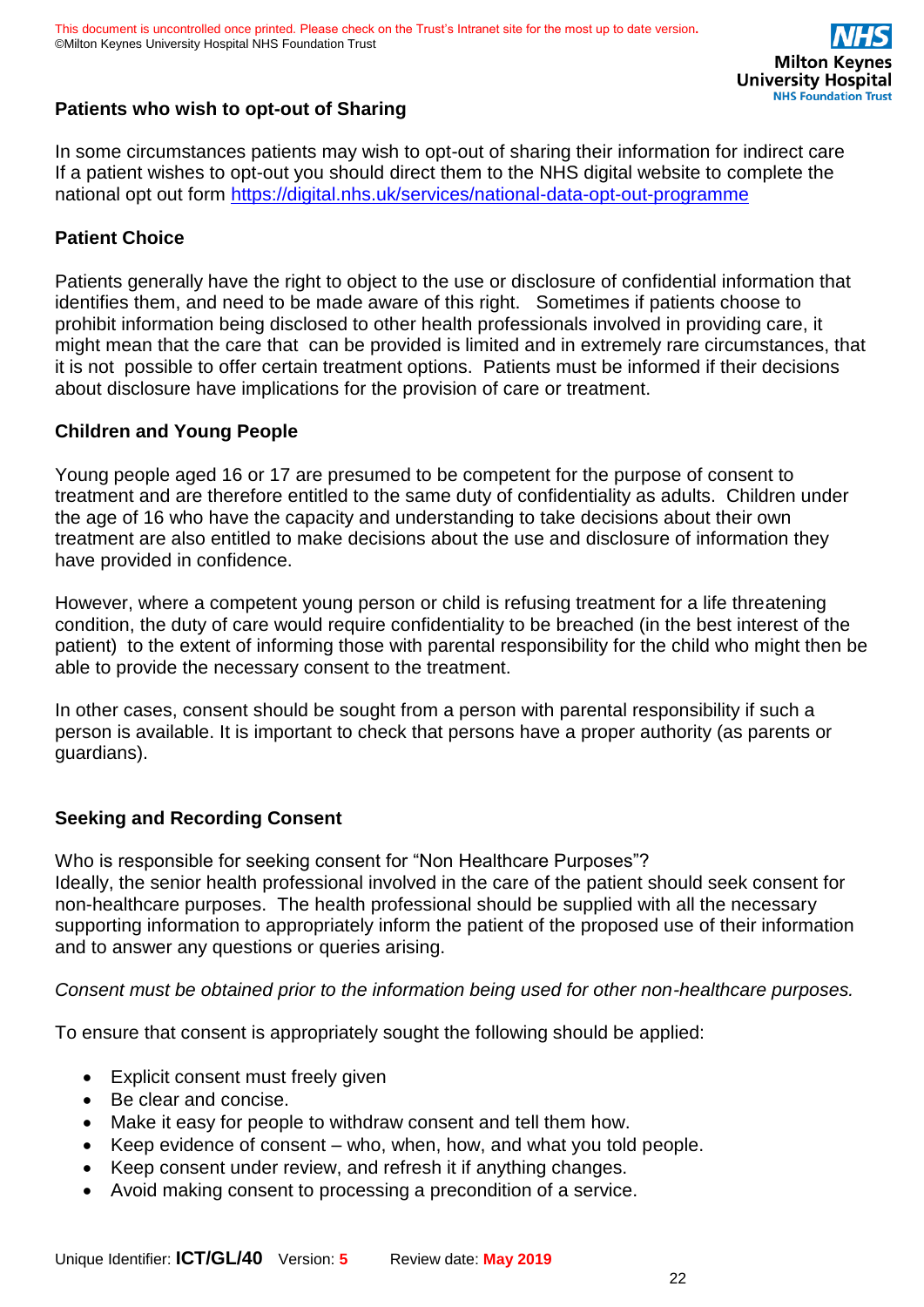

### **Patients who wish to opt-out of Sharing**

In some circumstances patients may wish to opt-out of sharing their information for indirect care If a patient wishes to opt-out you should direct them to the NHS digital website to complete the national opt out form <https://digital.nhs.uk/services/national-data-opt-out-programme>

### **Patient Choice**

Patients generally have the right to object to the use or disclosure of confidential information that identifies them, and need to be made aware of this right. Sometimes if patients choose to prohibit information being disclosed to other health professionals involved in providing care, it might mean that the care that can be provided is limited and in extremely rare circumstances, that it is not possible to offer certain treatment options. Patients must be informed if their decisions about disclosure have implications for the provision of care or treatment.

### **Children and Young People**

Young people aged 16 or 17 are presumed to be competent for the purpose of consent to treatment and are therefore entitled to the same duty of confidentiality as adults. Children under the age of 16 who have the capacity and understanding to take decisions about their own treatment are also entitled to make decisions about the use and disclosure of information they have provided in confidence.

However, where a competent young person or child is refusing treatment for a life threatening condition, the duty of care would require confidentiality to be breached (in the best interest of the patient) to the extent of informing those with parental responsibility for the child who might then be able to provide the necessary consent to the treatment.

In other cases, consent should be sought from a person with parental responsibility if such a person is available. It is important to check that persons have a proper authority (as parents or guardians).

### **Seeking and Recording Consent**

Who is responsible for seeking consent for "Non Healthcare Purposes"? Ideally, the senior health professional involved in the care of the patient should seek consent for non-healthcare purposes. The health professional should be supplied with all the necessary supporting information to appropriately inform the patient of the proposed use of their information and to answer any questions or queries arising.

*Consent must be obtained prior to the information being used for other non-healthcare purposes.*

To ensure that consent is appropriately sought the following should be applied:

- Explicit consent must freely given
- Be clear and concise.
- Make it easy for people to withdraw consent and tell them how.
- Keep evidence of consent who, when, how, and what you told people.
- Keep consent under review, and refresh it if anything changes.
- Avoid making consent to processing a precondition of a service.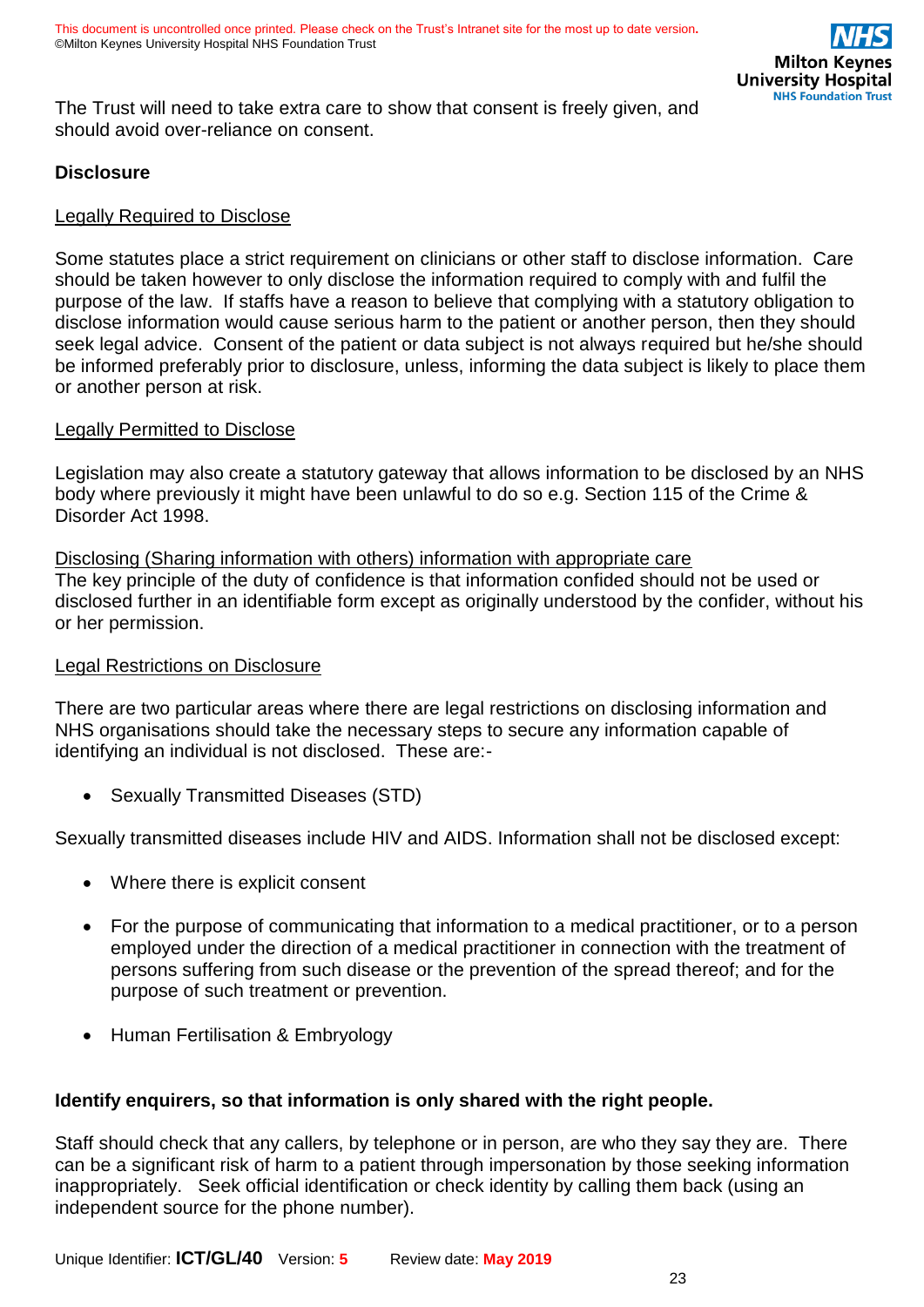The Trust will need to take extra care to show that consent is freely given, and should avoid over-reliance on consent.

### **Disclosure**

### Legally Required to Disclose

Some statutes place a strict requirement on clinicians or other staff to disclose information. Care should be taken however to only disclose the information required to comply with and fulfil the purpose of the law. If staffs have a reason to believe that complying with a statutory obligation to disclose information would cause serious harm to the patient or another person, then they should seek legal advice. Consent of the patient or data subject is not always required but he/she should be informed preferably prior to disclosure, unless, informing the data subject is likely to place them or another person at risk.

#### Legally Permitted to Disclose

Legislation may also create a statutory gateway that allows information to be disclosed by an NHS body where previously it might have been unlawful to do so e.g. Section 115 of the Crime & Disorder Act 1998.

#### Disclosing (Sharing information with others) information with appropriate care

The key principle of the duty of confidence is that information confided should not be used or disclosed further in an identifiable form except as originally understood by the confider, without his or her permission.

### **Legal Restrictions on Disclosure**

There are two particular areas where there are legal restrictions on disclosing information and NHS organisations should take the necessary steps to secure any information capable of identifying an individual is not disclosed. These are:-

• Sexually Transmitted Diseases (STD)

Sexually transmitted diseases include HIV and AIDS. Information shall not be disclosed except:

- Where there is explicit consent
- For the purpose of communicating that information to a medical practitioner, or to a person employed under the direction of a medical practitioner in connection with the treatment of persons suffering from such disease or the prevention of the spread thereof; and for the purpose of such treatment or prevention.
- Human Fertilisation & Embryology

### **Identify enquirers, so that information is only shared with the right people.**

Staff should check that any callers, by telephone or in person, are who they say they are. There can be a significant risk of harm to a patient through impersonation by those seeking information inappropriately. Seek official identification or check identity by calling them back (using an independent source for the phone number).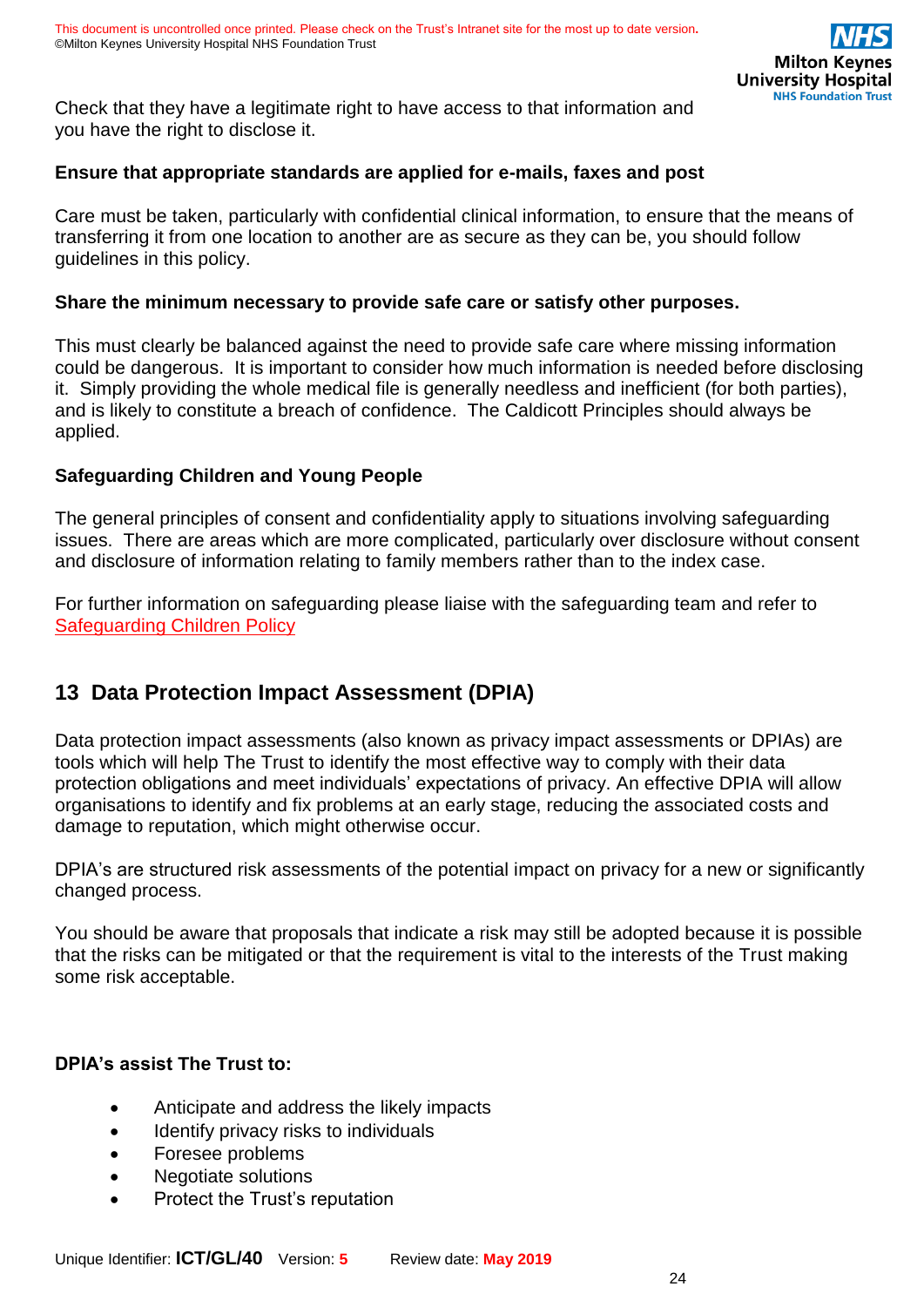Check that they have a legitimate right to have access to that information and you have the right to disclose it.

### **Ensure that appropriate standards are applied for e-mails, faxes and post**

Care must be taken, particularly with confidential clinical information, to ensure that the means of transferring it from one location to another are as secure as they can be, you should follow guidelines in this policy.

#### **Share the minimum necessary to provide safe care or satisfy other purposes.**

This must clearly be balanced against the need to provide safe care where missing information could be dangerous. It is important to consider how much information is needed before disclosing it. Simply providing the whole medical file is generally needless and inefficient (for both parties), and is likely to constitute a breach of confidence. The Caldicott Principles should always be applied.

### **Safeguarding Children and Young People**

The general principles of consent and confidentiality apply to situations involving safeguarding issues. There are areas which are more complicated, particularly over disclosure without consent and disclosure of information relating to family members rather than to the index case.

For further information on safeguarding please liaise with the safeguarding team and refer to [Safeguarding Children Policy](https://intranet.mkuh.nhs.uk/further-reading)

# <span id="page-23-0"></span>**13 Data Protection Impact Assessment (DPIA)**

Data protection impact assessments (also known as privacy impact assessments or DPIAs) are tools which will help The Trust to identify the most effective way to comply with their data protection obligations and meet individuals' expectations of privacy. An effective DPIA will allow organisations to identify and fix problems at an early stage, reducing the associated costs and damage to reputation, which might otherwise occur.

DPIA's are structured risk assessments of the potential impact on privacy for a new or significantly changed process.

You should be aware that proposals that indicate a risk may still be adopted because it is possible that the risks can be mitigated or that the requirement is vital to the interests of the Trust making some risk acceptable.

### **DPIA's assist The Trust to:**

- Anticipate and address the likely impacts
- Identify privacy risks to individuals
- Foresee problems
- Negotiate solutions
- Protect the Trust's reputation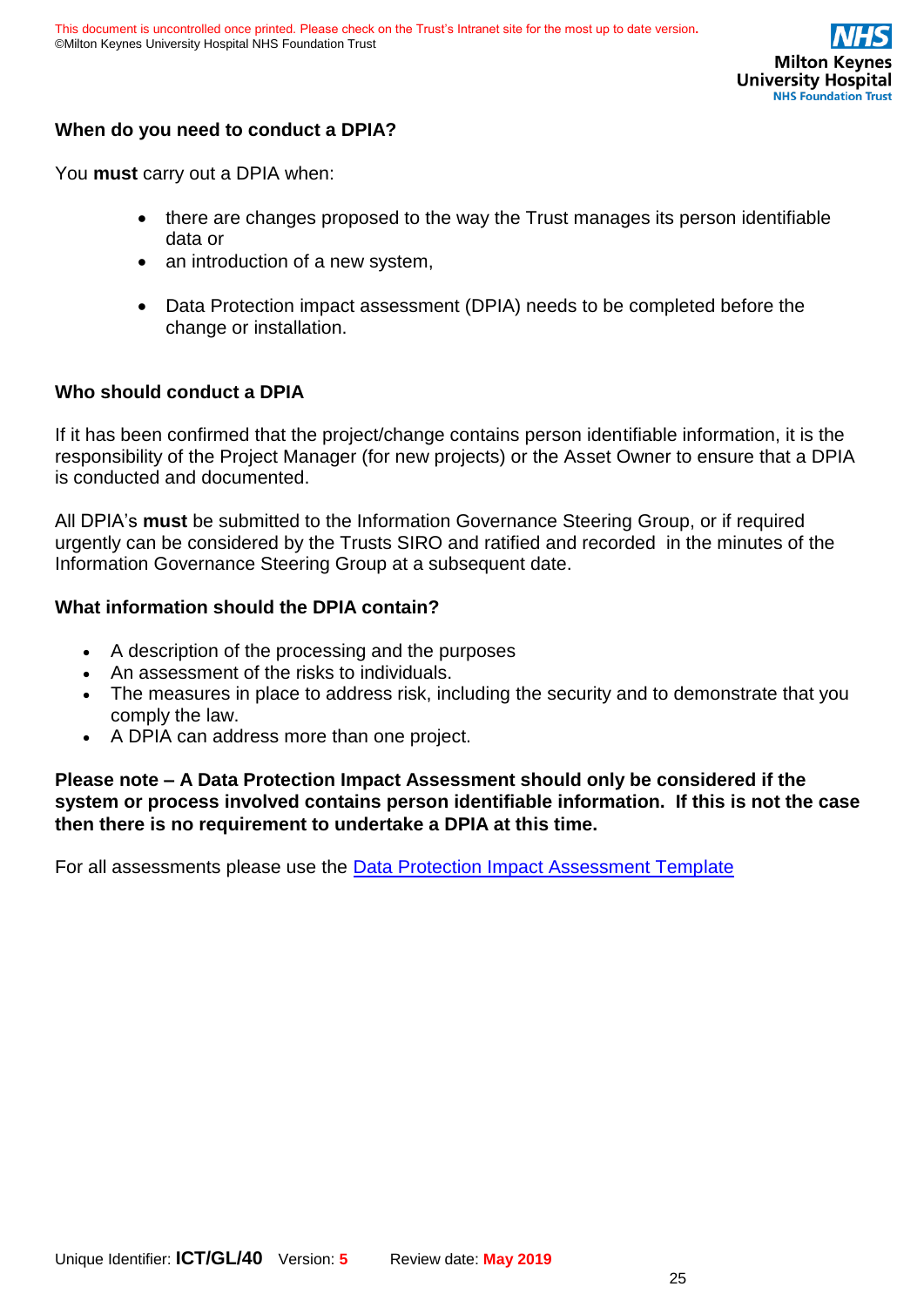

### **When do you need to conduct a DPIA?**

You **must** carry out a DPIA when:

- there are changes proposed to the way the Trust manages its person identifiable data or
- an introduction of a new system,
- Data Protection impact assessment (DPIA) needs to be completed before the change or installation.

### **Who should conduct a DPIA**

If it has been confirmed that the project/change contains person identifiable information, it is the responsibility of the Project Manager (for new projects) or the Asset Owner to ensure that a DPIA is conducted and documented.

All DPIA's **must** be submitted to the Information Governance Steering Group, or if required urgently can be considered by the Trusts SIRO and ratified and recorded in the minutes of the Information Governance Steering Group at a subsequent date.

#### **What information should the DPIA contain?**

- A description of the processing and the purposes
- An assessment of the risks to individuals.
- The measures in place to address risk, including the security and to demonstrate that you comply the law.
- A DPIA can address more than one project.

**Please note – A Data Protection Impact Assessment should only be considered if the system or process involved contains person identifiable information. If this is not the case then there is no requirement to undertake a DPIA at this time.**

For all assessments please use the **Data Protection Impact Assessment Template**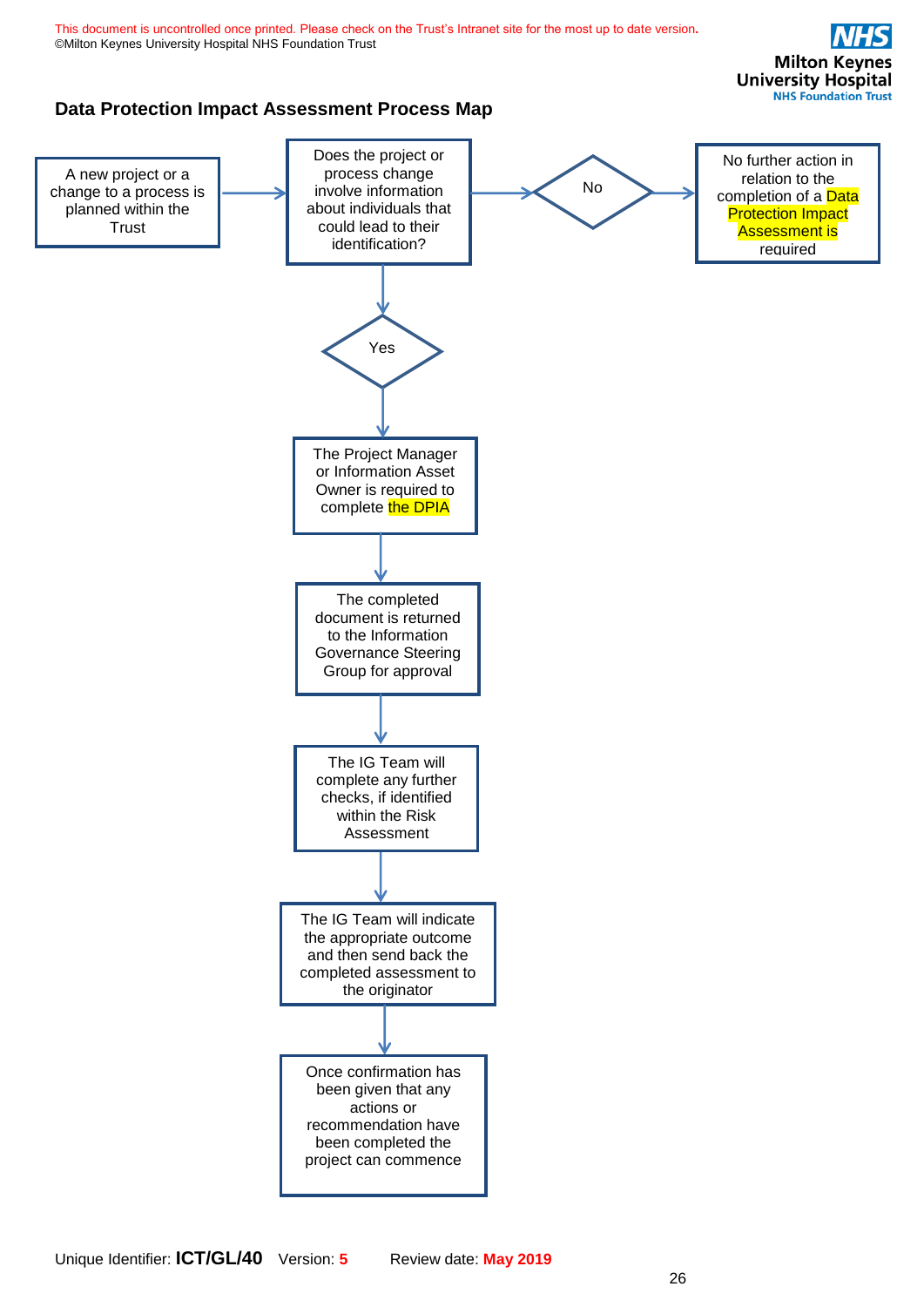<span id="page-25-0"></span>

Unique Identifier: **ICT/GL/40** Version: **5** Review date: **May 2019**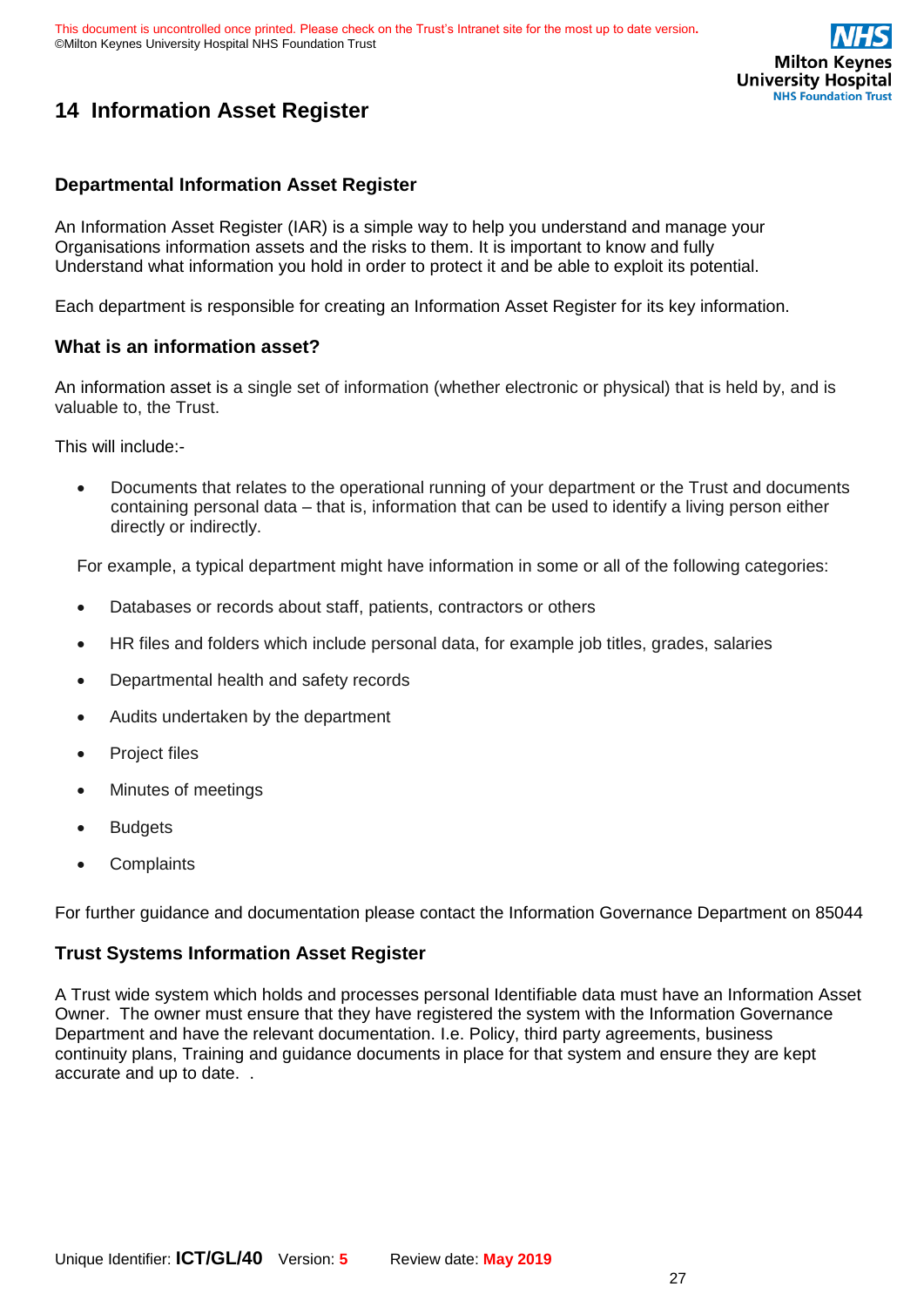

# **14 Information Asset Register**

#### **Departmental Information Asset Register**

An Information Asset Register (IAR) is a simple way to help you understand and manage your Organisations information assets and the risks to them. It is important to know and fully Understand what information you hold in order to protect it and be able to exploit its potential.

Each department is responsible for creating an Information Asset Register for its key information.

#### **What is an information asset?**

An information asset is a single set of information (whether electronic or physical) that is held by, and is valuable to, the Trust.

This will include:-

• Documents that relates to the operational running of your department or the Trust and documents containing personal data – that is, information that can be used to identify a living person either directly or indirectly.

For example, a typical department might have information in some or all of the following categories:

- Databases or records about staff, patients, contractors or others
- HR files and folders which include personal data, for example job titles, grades, salaries
- Departmental health and safety records
- Audits undertaken by the department
- Project files
- Minutes of meetings
- **Budgets**
- **Complaints**

For further guidance and documentation please contact the Information Governance Department on 85044

#### **Trust Systems Information Asset Register**

A Trust wide system which holds and processes personal Identifiable data must have an Information Asset Owner. The owner must ensure that they have registered the system with the Information Governance Department and have the relevant documentation. I.e. Policy, third party agreements, business continuity plans, Training and guidance documents in place for that system and ensure they are kept accurate and up to date. .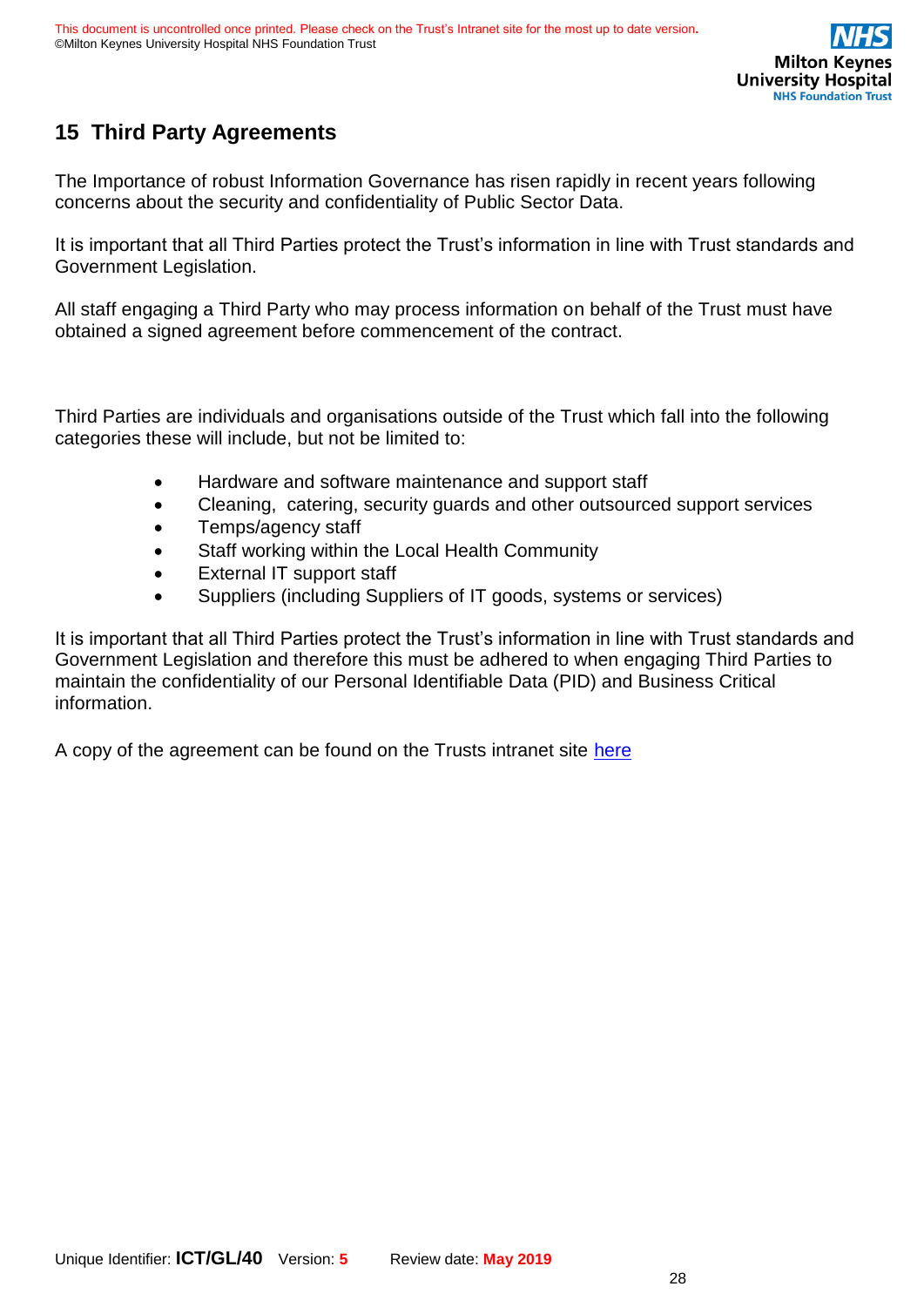

# <span id="page-27-0"></span>**15 Third Party Agreements**

The Importance of robust Information Governance has risen rapidly in recent years following concerns about the security and confidentiality of Public Sector Data.

It is important that all Third Parties protect the Trust's information in line with Trust standards and Government Legislation.

All staff engaging a Third Party who may process information on behalf of the Trust must have obtained a signed agreement before commencement of the contract.

Third Parties are individuals and organisations outside of the Trust which fall into the following categories these will include, but not be limited to:

- Hardware and software maintenance and support staff
- Cleaning, catering, security guards and other outsourced support services
- Temps/agency staff
- Staff working within the Local Health Community
- External IT support staff
- Suppliers (including Suppliers of IT goods, systems or services)

It is important that all Third Parties protect the Trust's information in line with Trust standards and Government Legislation and therefore this must be adhered to when engaging Third Parties to maintain the confidentiality of our Personal Identifiable Data (PID) and Business Critical information.

A copy of the agreement can be found on the Trusts intranet site [here](file:///C:/Users/hlwalker/AppData/Local/Microsoft/Windows/INetCache/Policies%20&%20Procedures/1%20Live%20Policies/Solicitors%20Trust%20Third%20Party%20Agreement%20version%20Final%204.doc)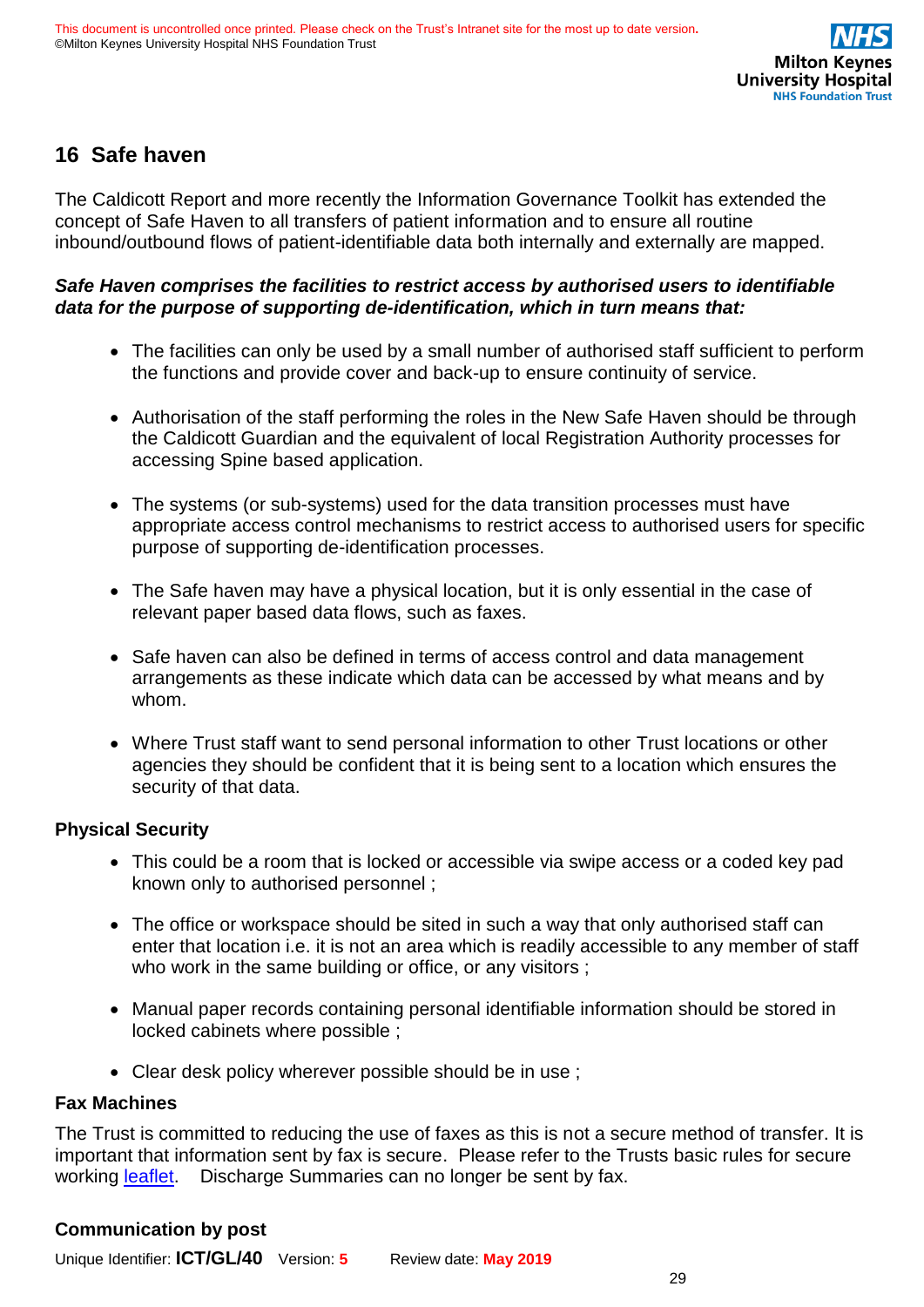

# <span id="page-28-0"></span>**16 Safe haven**

The Caldicott Report and more recently the Information Governance Toolkit has extended the concept of Safe Haven to all transfers of patient information and to ensure all routine inbound/outbound flows of patient-identifiable data both internally and externally are mapped.

### *Safe Haven comprises the facilities to restrict access by authorised users to identifiable data for the purpose of supporting de-identification, which in turn means that:*

- The facilities can only be used by a small number of authorised staff sufficient to perform the functions and provide cover and back-up to ensure continuity of service.
- Authorisation of the staff performing the roles in the New Safe Haven should be through the Caldicott Guardian and the equivalent of local Registration Authority processes for accessing Spine based application.
- The systems (or sub-systems) used for the data transition processes must have appropriate access control mechanisms to restrict access to authorised users for specific purpose of supporting de-identification processes.
- The Safe haven may have a physical location, but it is only essential in the case of relevant paper based data flows, such as faxes.
- Safe haven can also be defined in terms of access control and data management arrangements as these indicate which data can be accessed by what means and by whom.
- Where Trust staff want to send personal information to other Trust locations or other agencies they should be confident that it is being sent to a location which ensures the security of that data.

### **Physical Security**

- This could be a room that is locked or accessible via swipe access or a coded key pad known only to authorised personnel ;
- The office or workspace should be sited in such a way that only authorised staff can enter that location i.e. it is not an area which is readily accessible to any member of staff who work in the same building or office, or any visitors;
- Manual paper records containing personal identifiable information should be stored in locked cabinets where possible ;
- Clear desk policy wherever possible should be in use ;

### **Fax Machines**

The Trust is committed to reducing the use of faxes as this is not a secure method of transfer. It is important that information sent by fax is secure. Please refer to the Trusts basic rules for secure working [leaflet.](file:///C:/Users/hlwalker/AppData/Local/Microsoft/Windows/INetCache/Content.Outlook/Booklets/Basic%20rules%20for%20secure%20working%20GDPR%20Vr7.doc) Discharge Summaries can no longer be sent by fax.

### **Communication by post**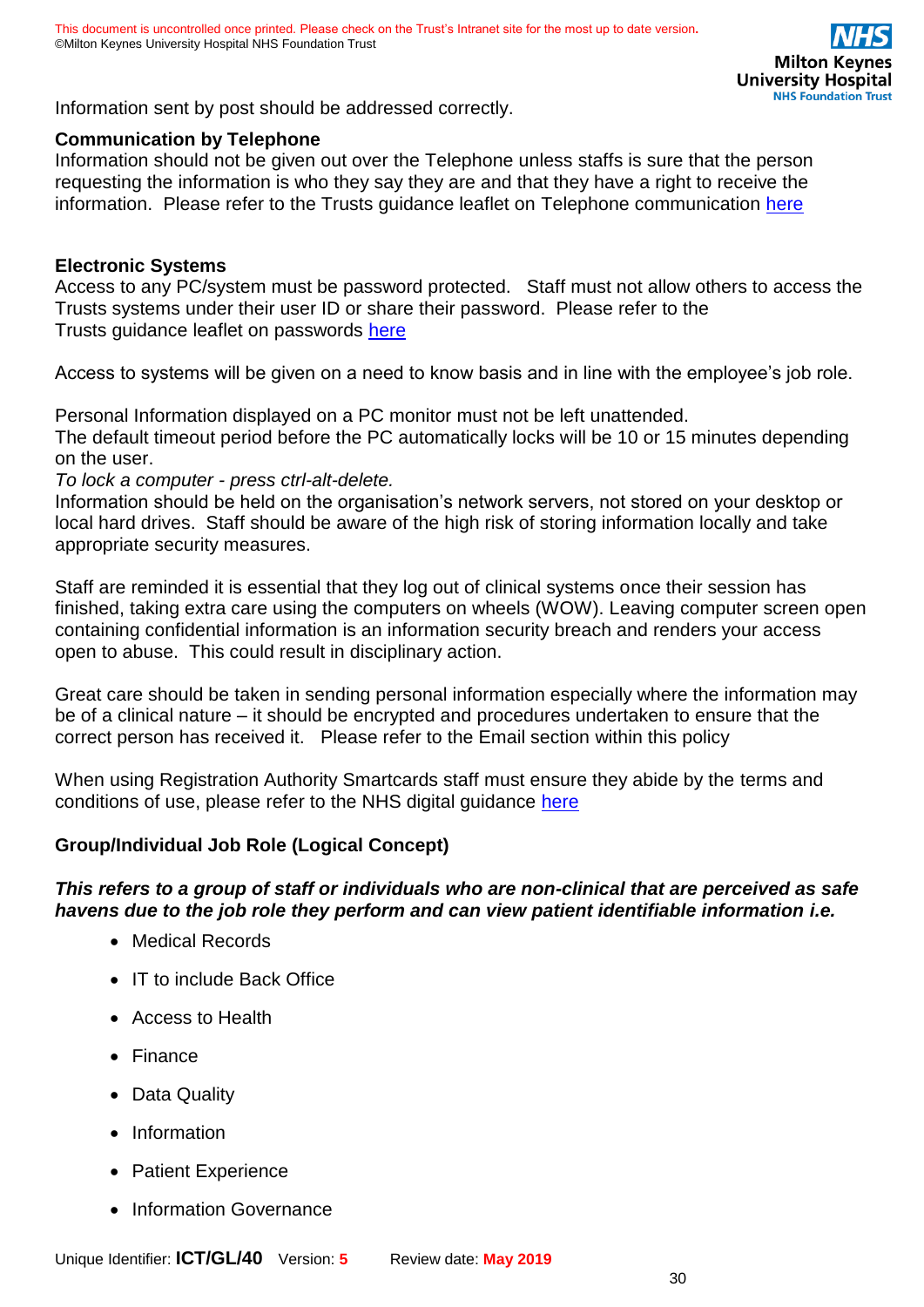Information sent by post should be addressed correctly.

### **Communication by Telephone**

Information should not be given out over the Telephone unless staffs is sure that the person requesting the information is who they say they are and that they have a right to receive the information. Please refer to the Trusts guidance leaflet on Telephone communication [here](file:///C:/Users/hlwalker/AppData/Local/Microsoft/Windows/INetCache/Content.Outlook/Booklets/Basic%20rules%20for%20secure%20working%20GDPR%20Vr7.doc)

### **Electronic Systems**

Access to any PC/system must be password protected. Staff must not allow others to access the Trusts systems under their user ID or share their password. Please refer to the Trusts guidance leaflet on passwords [here](file:///C:/Users/hlwalker/AppData/Local/Microsoft/Windows/INetCache/Content.Outlook/Booklets/Basic%20rules%20for%20secure%20working%20GDPR%20Vr7.doc)

Access to systems will be given on a need to know basis and in line with the employee's job role.

Personal Information displayed on a PC monitor must not be left unattended.

The default timeout period before the PC automatically locks will be 10 or 15 minutes depending on the user.

#### *To lock a computer - press ctrl-alt-delete.*

Information should be held on the organisation's network servers, not stored on your desktop or local hard drives. Staff should be aware of the high risk of storing information locally and take appropriate security measures.

Staff are reminded it is essential that they log out of clinical systems once their session has finished, taking extra care using the computers on wheels (WOW). Leaving computer screen open containing confidential information is an information security breach and renders your access open to abuse. This could result in disciplinary action.

Great care should be taken in sending personal information especially where the information may be of a clinical nature – it should be encrypted and procedures undertaken to ensure that the correct person has received it. Please refer to the Email section within this policy

When using Registration Authority Smartcards staff must ensure they abide by the terms and conditions of use, please refer to the NHS digital guidance [here](https://digital.nhs.uk/services/registration-authorities-and-smartcards/spine-2-care-identity-service-if-not-own-section/care-identity-service-guidance-leaflets)

### **Group/Individual Job Role (Logical Concept)**

### *This refers to a group of staff or individuals who are non-clinical that are perceived as safe havens due to the job role they perform and can view patient identifiable information i.e.*

- Medical Records
- IT to include Back Office
- Access to Health
- Finance
- Data Quality
- Information
- Patient Experience
- Information Governance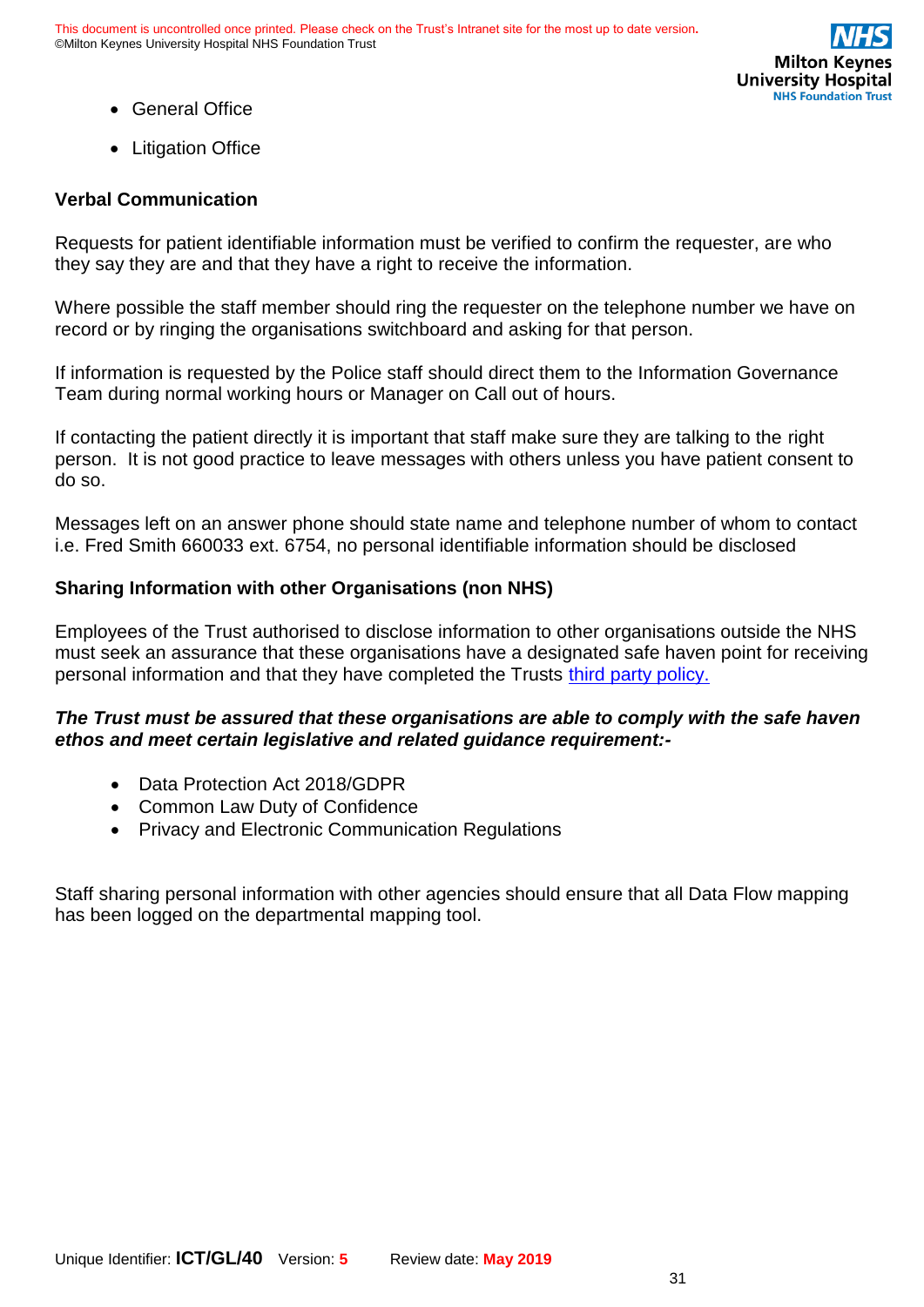

- General Office
- Litigation Office

### **Verbal Communication**

Requests for patient identifiable information must be verified to confirm the requester, are who they say they are and that they have a right to receive the information.

Where possible the staff member should ring the requester on the telephone number we have on record or by ringing the organisations switchboard and asking for that person.

If information is requested by the Police staff should direct them to the Information Governance Team during normal working hours or Manager on Call out of hours.

If contacting the patient directly it is important that staff make sure they are talking to the right person. It is not good practice to leave messages with others unless you have patient consent to do so.

Messages left on an answer phone should state name and telephone number of whom to contact i.e. Fred Smith 660033 ext. 6754, no personal identifiable information should be disclosed

### **Sharing Information with other Organisations (non NHS)**

Employees of the Trust authorised to disclose information to other organisations outside the NHS must seek an assurance that these organisations have a designated safe haven point for receiving personal information and that they have completed the Trusts [third party policy.](file:///C:/Users/hlwalker/AppData/Local/Microsoft/Windows/INetCache/Policies%20&%20Procedures/1%20Live%20Policies/Solicitors%20Trust%20Third%20Party%20Agreement%20version%20Final%204.doc)

### *The Trust must be assured that these organisations are able to comply with the safe haven ethos and meet certain legislative and related guidance requirement:-*

- Data Protection Act 2018/GDPR
- Common Law Duty of Confidence
- Privacy and Electronic Communication Regulations

Staff sharing personal information with other agencies should ensure that all Data Flow mapping has been logged on the departmental mapping tool.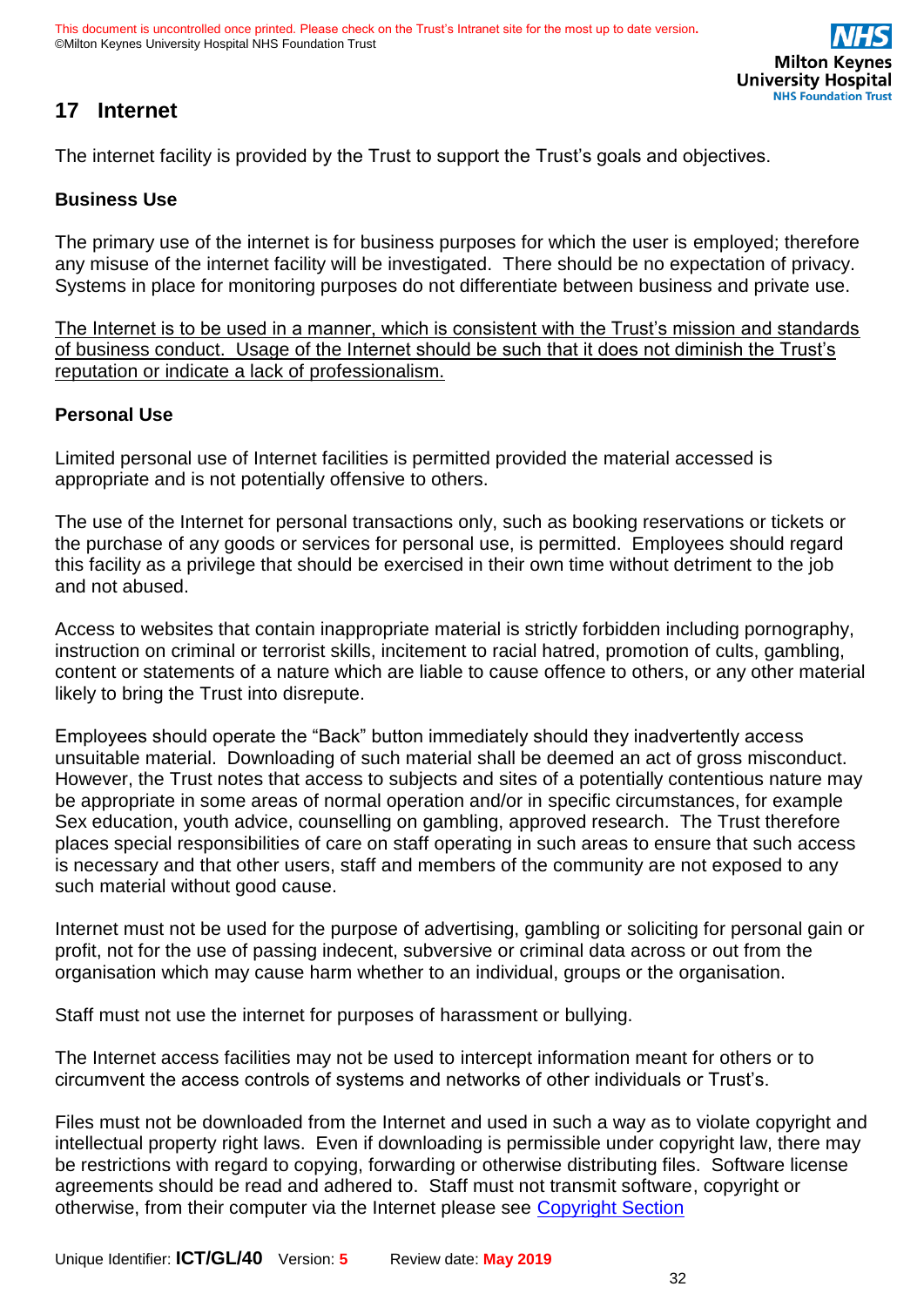# <span id="page-31-0"></span>**17 Internet**

The internet facility is provided by the Trust to support the Trust's goals and objectives.

### **Business Use**

The primary use of the internet is for business purposes for which the user is employed; therefore any misuse of the internet facility will be investigated. There should be no expectation of privacy. Systems in place for monitoring purposes do not differentiate between business and private use.

The Internet is to be used in a manner, which is consistent with the Trust's mission and standards of business conduct. Usage of the Internet should be such that it does not diminish the Trust's reputation or indicate a lack of professionalism.

### **Personal Use**

Limited personal use of Internet facilities is permitted provided the material accessed is appropriate and is not potentially offensive to others.

The use of the Internet for personal transactions only, such as booking reservations or tickets or the purchase of any goods or services for personal use, is permitted. Employees should regard this facility as a privilege that should be exercised in their own time without detriment to the job and not abused.

Access to websites that contain inappropriate material is strictly forbidden including pornography, instruction on criminal or terrorist skills, incitement to racial hatred, promotion of cults, gambling, content or statements of a nature which are liable to cause offence to others, or any other material likely to bring the Trust into disrepute.

Employees should operate the "Back" button immediately should they inadvertently access unsuitable material. Downloading of such material shall be deemed an act of gross misconduct. However, the Trust notes that access to subjects and sites of a potentially contentious nature may be appropriate in some areas of normal operation and/or in specific circumstances, for example Sex education, youth advice, counselling on gambling, approved research. The Trust therefore places special responsibilities of care on staff operating in such areas to ensure that such access is necessary and that other users, staff and members of the community are not exposed to any such material without good cause.

Internet must not be used for the purpose of advertising, gambling or soliciting for personal gain or profit, not for the use of passing indecent, subversive or criminal data across or out from the organisation which may cause harm whether to an individual, groups or the organisation.

Staff must not use the internet for purposes of harassment or bullying.

The Internet access facilities may not be used to intercept information meant for others or to circumvent the access controls of systems and networks of other individuals or Trust's.

Files must not be downloaded from the Internet and used in such a way as to violate copyright and intellectual property right laws. Even if downloading is permissible under copyright law, there may be restrictions with regard to copying, forwarding or otherwise distributing files. Software license agreements should be read and adhered to. Staff must not transmit software, copyright or otherwise, from their computer via the Internet please see [Copyright Section](#page-47-1)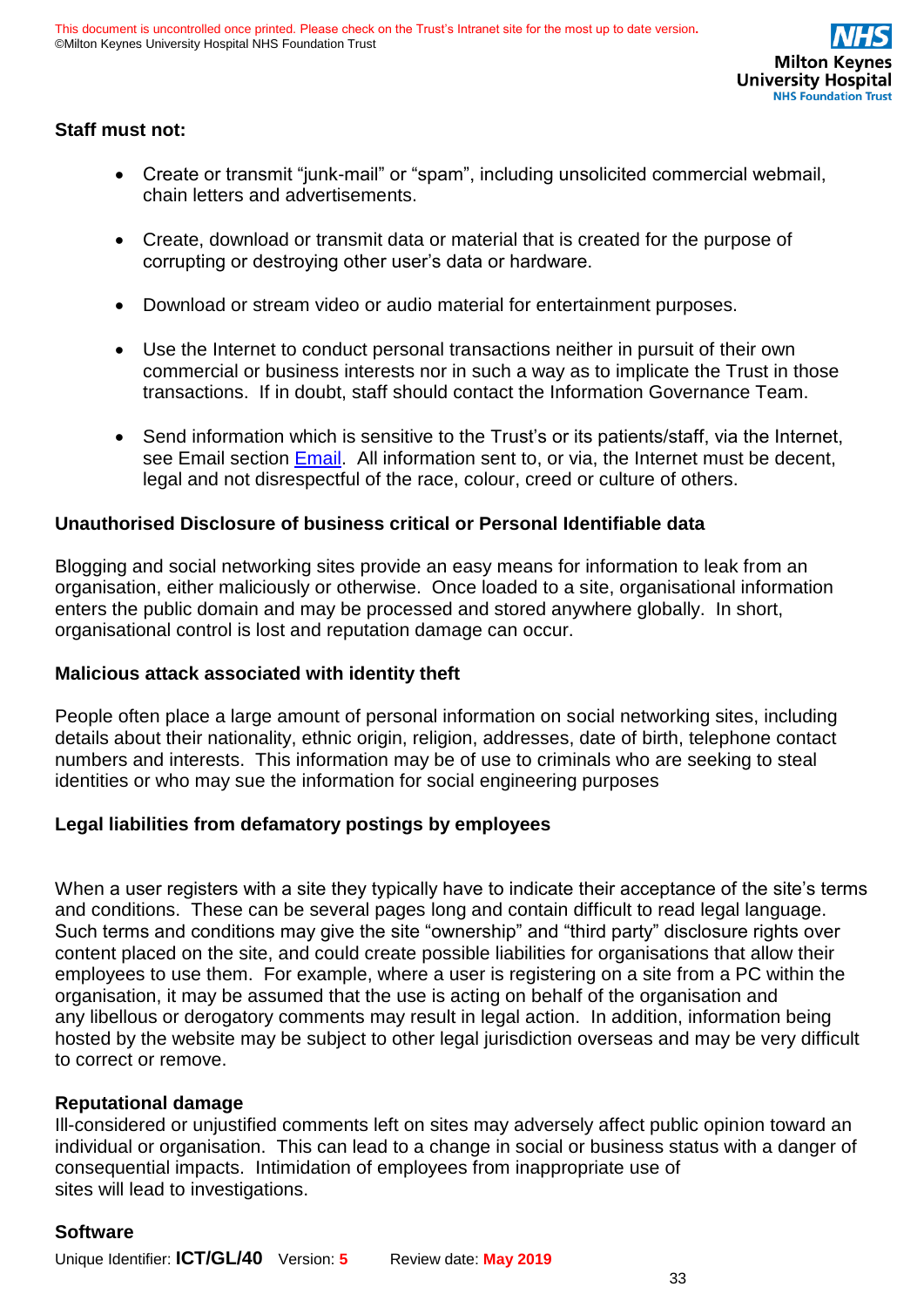### **Staff must not:**

- Create or transmit "junk-mail" or "spam", including unsolicited commercial webmail, chain letters and advertisements.
- Create, download or transmit data or material that is created for the purpose of corrupting or destroying other user's data or hardware.
- Download or stream video or audio material for entertainment purposes.
- Use the Internet to conduct personal transactions neither in pursuit of their own commercial or business interests nor in such a way as to implicate the Trust in those transactions. If in doubt, staff should contact the Information Governance Team.
- Send information which is sensitive to the Trust's or its patients/staff, via the Internet, see Email section [Email.](#page-34-1) All information sent to, or via, the Internet must be decent, legal and not disrespectful of the race, colour, creed or culture of others.

### **Unauthorised Disclosure of business critical or Personal Identifiable data**

Blogging and social networking sites provide an easy means for information to leak from an organisation, either maliciously or otherwise. Once loaded to a site, organisational information enters the public domain and may be processed and stored anywhere globally. In short, organisational control is lost and reputation damage can occur.

### **Malicious attack associated with identity theft**

People often place a large amount of personal information on social networking sites, including details about their nationality, ethnic origin, religion, addresses, date of birth, telephone contact numbers and interests. This information may be of use to criminals who are seeking to steal identities or who may sue the information for social engineering purposes

### **Legal liabilities from defamatory postings by employees**

When a user registers with a site they typically have to indicate their acceptance of the site's terms and conditions. These can be several pages long and contain difficult to read legal language. Such terms and conditions may give the site "ownership" and "third party" disclosure rights over content placed on the site, and could create possible liabilities for organisations that allow their employees to use them. For example, where a user is registering on a site from a PC within the organisation, it may be assumed that the use is acting on behalf of the organisation and any libellous or derogatory comments may result in legal action. In addition, information being hosted by the website may be subject to other legal jurisdiction overseas and may be very difficult to correct or remove.

### **Reputational damage**

Ill-considered or unjustified comments left on sites may adversely affect public opinion toward an individual or organisation. This can lead to a change in social or business status with a danger of consequential impacts. Intimidation of employees from inappropriate use of sites will lead to investigations.

### **Software**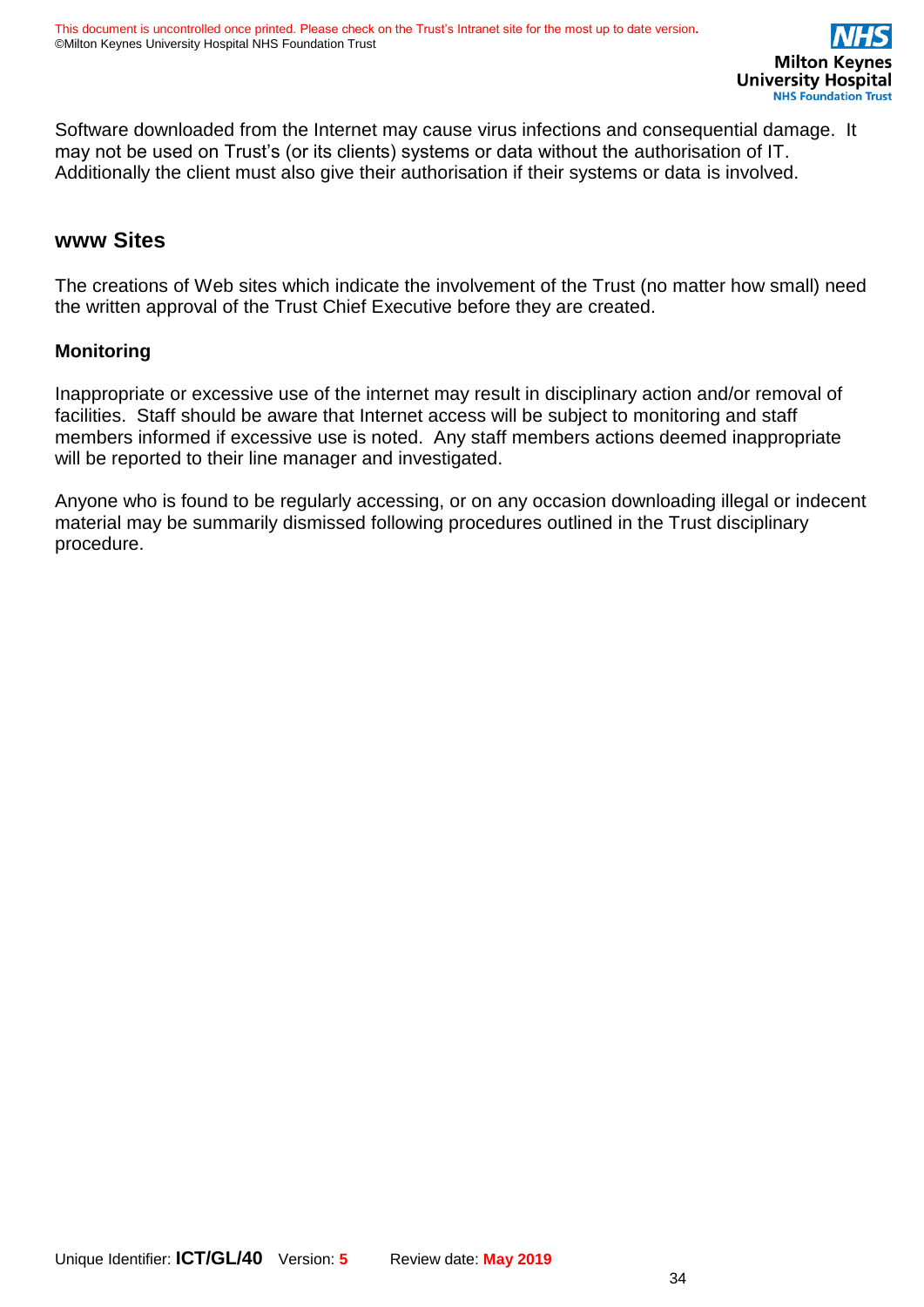Software downloaded from the Internet may cause virus infections and consequential damage. It may not be used on Trust's (or its clients) systems or data without the authorisation of IT. Additionally the client must also give their authorisation if their systems or data is involved.

### **www Sites**

The creations of Web sites which indicate the involvement of the Trust (no matter how small) need the written approval of the Trust Chief Executive before they are created.

### **Monitoring**

Inappropriate or excessive use of the internet may result in disciplinary action and/or removal of facilities. Staff should be aware that Internet access will be subject to monitoring and staff members informed if excessive use is noted. Any staff members actions deemed inappropriate will be reported to their line manager and investigated.

Anyone who is found to be regularly accessing, or on any occasion downloading illegal or indecent material may be summarily dismissed following procedures outlined in the Trust disciplinary procedure.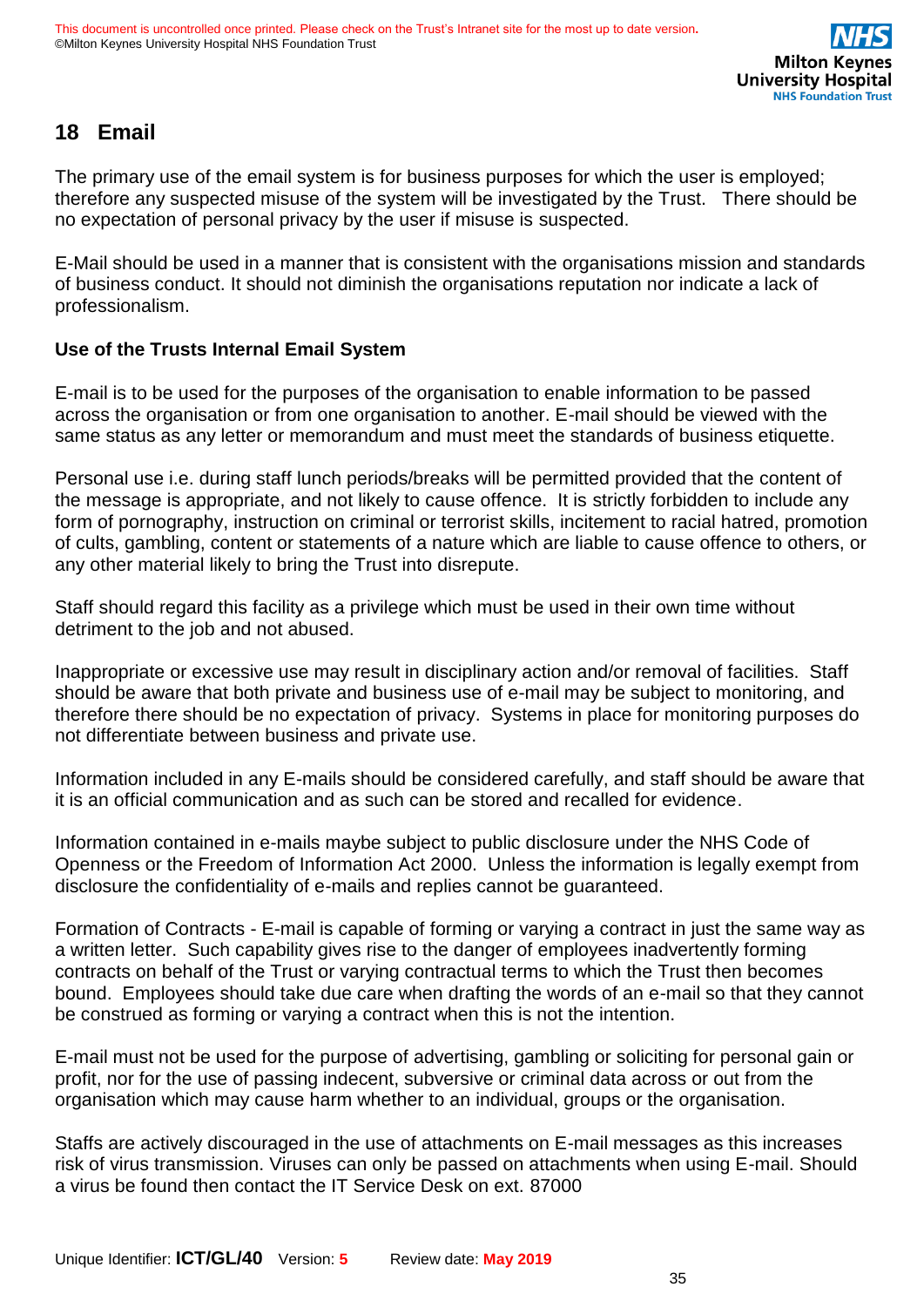# <span id="page-34-1"></span><span id="page-34-0"></span>**18 Email**

The primary use of the email system is for business purposes for which the user is employed; therefore any suspected misuse of the system will be investigated by the Trust. There should be no expectation of personal privacy by the user if misuse is suspected.

E-Mail should be used in a manner that is consistent with the organisations mission and standards of business conduct. It should not diminish the organisations reputation nor indicate a lack of professionalism.

### **Use of the Trusts Internal Email System**

E-mail is to be used for the purposes of the organisation to enable information to be passed across the organisation or from one organisation to another. E-mail should be viewed with the same status as any letter or memorandum and must meet the standards of business etiquette.

Personal use i.e. during staff lunch periods/breaks will be permitted provided that the content of the message is appropriate, and not likely to cause offence. It is strictly forbidden to include any form of pornography, instruction on criminal or terrorist skills, incitement to racial hatred, promotion of cults, gambling, content or statements of a nature which are liable to cause offence to others, or any other material likely to bring the Trust into disrepute.

Staff should regard this facility as a privilege which must be used in their own time without detriment to the job and not abused.

Inappropriate or excessive use may result in disciplinary action and/or removal of facilities. Staff should be aware that both private and business use of e-mail may be subject to monitoring, and therefore there should be no expectation of privacy. Systems in place for monitoring purposes do not differentiate between business and private use.

Information included in any E-mails should be considered carefully, and staff should be aware that it is an official communication and as such can be stored and recalled for evidence.

Information contained in e-mails maybe subject to public disclosure under the NHS Code of Openness or the Freedom of Information Act 2000. Unless the information is legally exempt from disclosure the confidentiality of e-mails and replies cannot be guaranteed.

Formation of Contracts - E-mail is capable of forming or varying a contract in just the same way as a written letter. Such capability gives rise to the danger of employees inadvertently forming contracts on behalf of the Trust or varying contractual terms to which the Trust then becomes bound. Employees should take due care when drafting the words of an e-mail so that they cannot be construed as forming or varying a contract when this is not the intention.

E-mail must not be used for the purpose of advertising, gambling or soliciting for personal gain or profit, nor for the use of passing indecent, subversive or criminal data across or out from the organisation which may cause harm whether to an individual, groups or the organisation.

Staffs are actively discouraged in the use of attachments on E-mail messages as this increases risk of virus transmission. Viruses can only be passed on attachments when using E-mail. Should a virus be found then contact the IT Service Desk on ext. 87000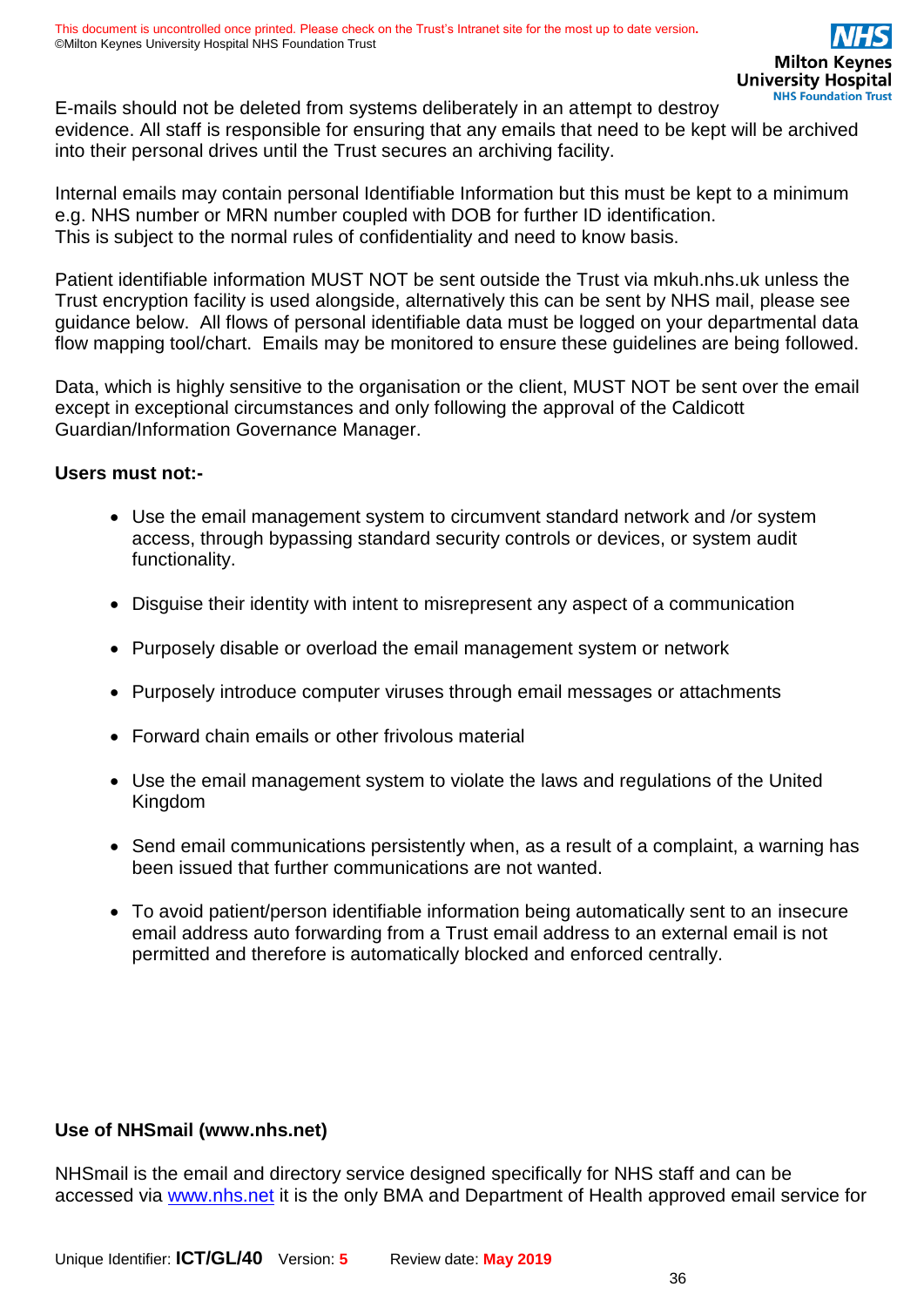E-mails should not be deleted from systems deliberately in an attempt to destroy evidence. All staff is responsible for ensuring that any emails that need to be kept will be archived into their personal drives until the Trust secures an archiving facility.

Internal emails may contain personal Identifiable Information but this must be kept to a minimum e.g. NHS number or MRN number coupled with DOB for further ID identification. This is subject to the normal rules of confidentiality and need to know basis.

Patient identifiable information MUST NOT be sent outside the Trust via mkuh.nhs.uk unless the Trust encryption facility is used alongside, alternatively this can be sent by NHS mail, please see guidance below. All flows of personal identifiable data must be logged on your departmental data flow mapping tool/chart. Emails may be monitored to ensure these guidelines are being followed.

Data, which is highly sensitive to the organisation or the client, MUST NOT be sent over the email except in exceptional circumstances and only following the approval of the Caldicott Guardian/Information Governance Manager.

#### **Users must not:-**

- Use the email management system to circumvent standard network and /or system access, through bypassing standard security controls or devices, or system audit functionality.
- Disguise their identity with intent to misrepresent any aspect of a communication
- Purposely disable or overload the email management system or network
- Purposely introduce computer viruses through email messages or attachments
- Forward chain emails or other frivolous material
- Use the email management system to violate the laws and regulations of the United Kingdom
- Send email communications persistently when, as a result of a complaint, a warning has been issued that further communications are not wanted.
- To avoid patient/person identifiable information being automatically sent to an insecure email address auto forwarding from a Trust email address to an external email is not permitted and therefore is automatically blocked and enforced centrally.

### **Use of NHSmail (www.nhs.net)**

NHSmail is the email and directory service designed specifically for NHS staff and can be accessed via [www.nhs.net](http://www.nhs.net/) it is the only BMA and Department of Health approved email service for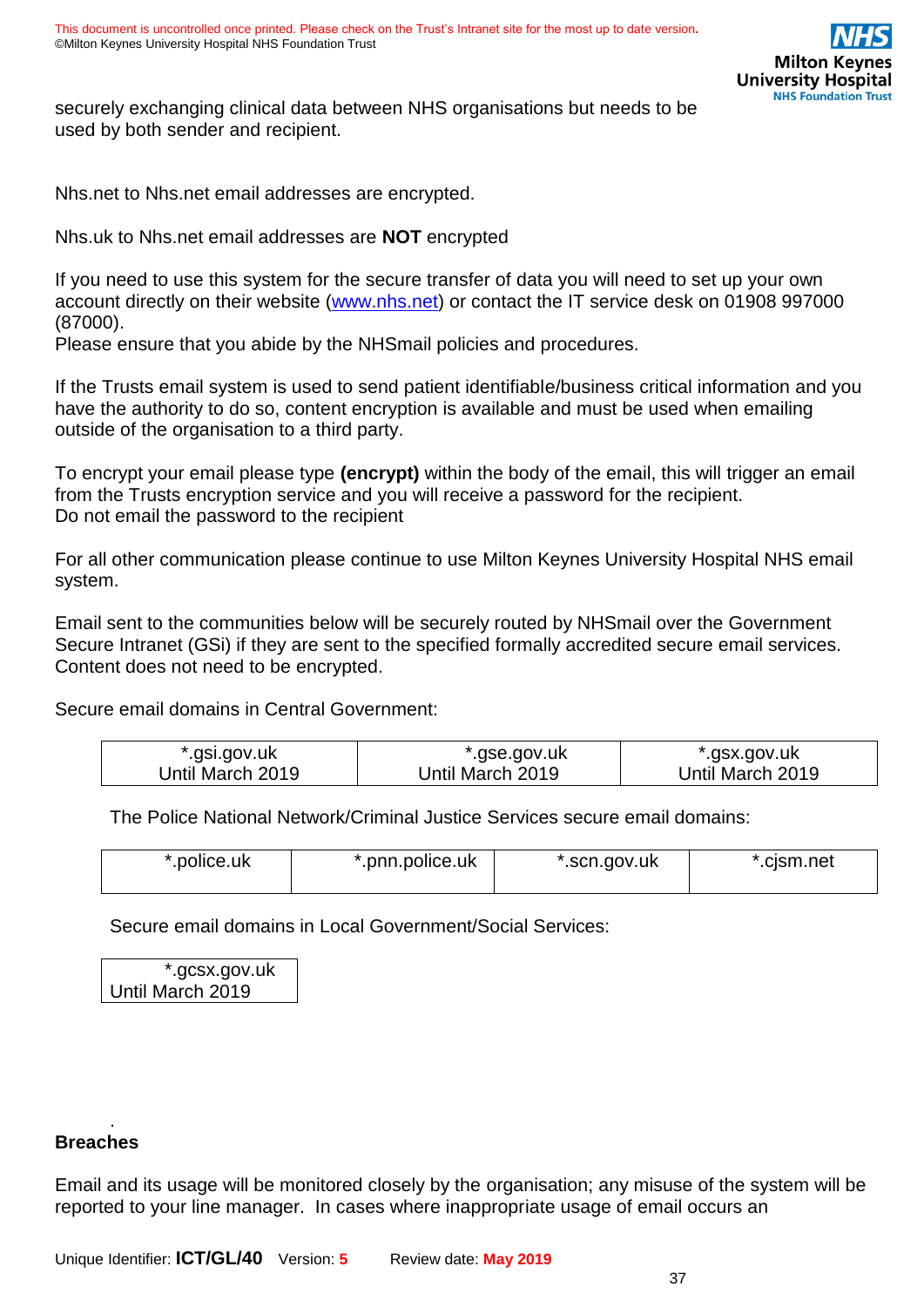

securely exchanging clinical data between NHS organisations but needs to be used by both sender and recipient.

Nhs.net to Nhs.net email addresses are encrypted.

Nhs.uk to Nhs.net email addresses are **NOT** encrypted

If you need to use this system for the secure transfer of data you will need to set up your own account directly on their website [\(www.nhs.net\)](http://www.nhs.net/) or contact the IT service desk on 01908 997000 (87000).

Please ensure that you abide by the NHSmail policies and procedures.

If the Trusts email system is used to send patient identifiable/business critical information and you have the authority to do so, content encryption is available and must be used when emailing outside of the organisation to a third party.

To encrypt your email please type **(encrypt)** within the body of the email, this will trigger an email from the Trusts encryption service and you will receive a password for the recipient. Do not email the password to the recipient

For all other communication please continue to use Milton Keynes University Hospital NHS email system.

Email sent to the communities below will be securely routed by NHSmail over the Government Secure Intranet (GSi) if they are sent to the specified formally accredited secure email services. Content does not need to be encrypted.

Secure email domains in Central Government:

| *.gsi.gov.uk     | `.gse.gov.uk     | `.gsx.gov.uk     |
|------------------|------------------|------------------|
| Until March 2019 | Jntil March 2019 | Until March 2019 |

The Police National Network/Criminal Justice Services secure email domains:

| *.police.uk | .pnn.police.uk | *.scn.gov.uk | .cism.net |
|-------------|----------------|--------------|-----------|
|             |                |              |           |

Secure email domains in Local Government/Social Services:

| *.gcsx.gov.uk    |  |  |
|------------------|--|--|
| Until March 2019 |  |  |

### **Breaches**

.

Email and its usage will be monitored closely by the organisation; any misuse of the system will be reported to your line manager. In cases where inappropriate usage of email occurs an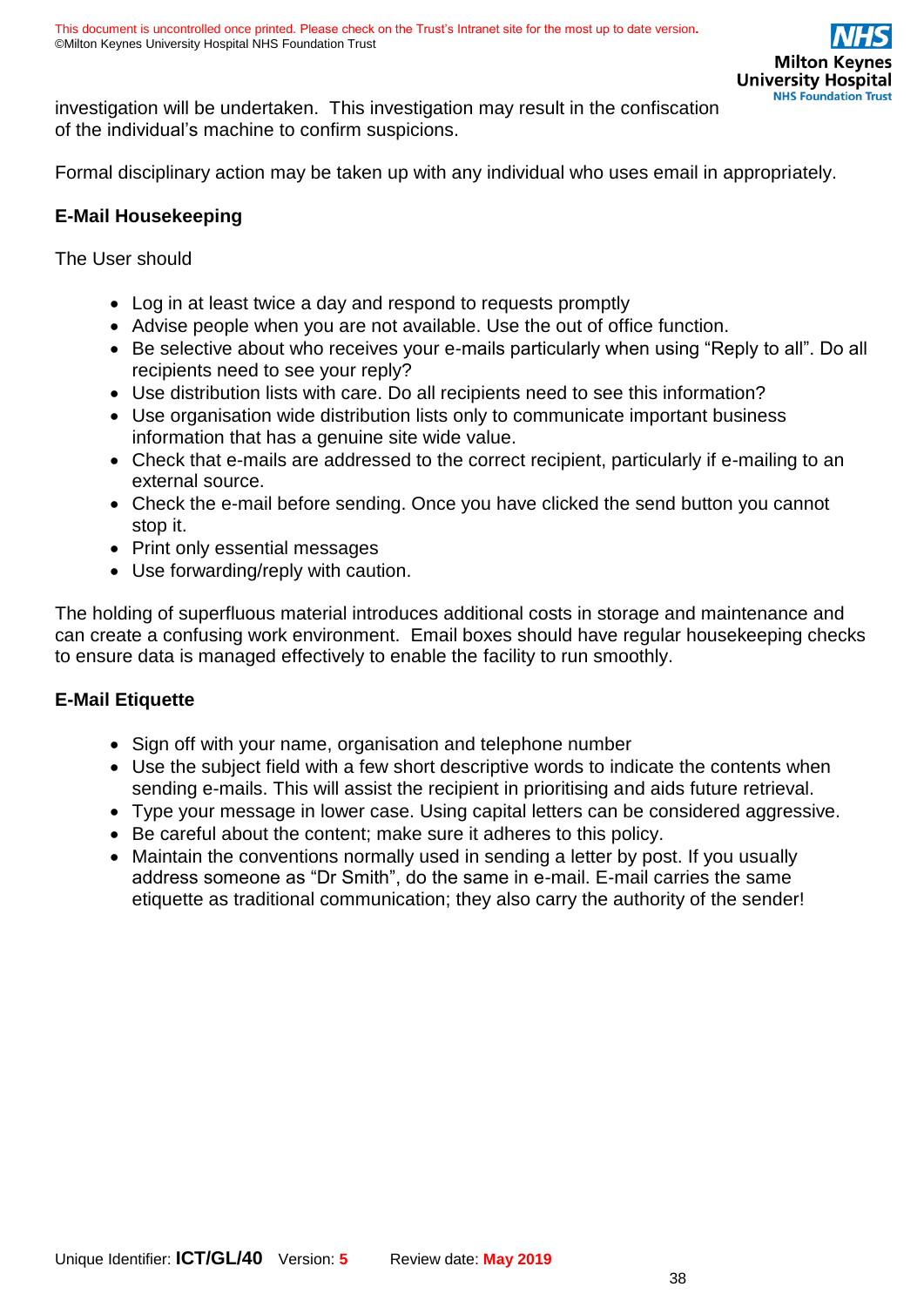investigation will be undertaken. This investigation may result in the confiscation of the individual's machine to confirm suspicions.

Formal disciplinary action may be taken up with any individual who uses email in appropriately.

### **E-Mail Housekeeping**

The User should

- Log in at least twice a day and respond to requests promptly
- Advise people when you are not available. Use the out of office function.
- Be selective about who receives your e-mails particularly when using "Reply to all". Do all recipients need to see your reply?
- Use distribution lists with care. Do all recipients need to see this information?
- Use organisation wide distribution lists only to communicate important business information that has a genuine site wide value.
- Check that e-mails are addressed to the correct recipient, particularly if e-mailing to an external source.
- Check the e-mail before sending. Once you have clicked the send button you cannot stop it.
- Print only essential messages
- Use forwarding/reply with caution.

The holding of superfluous material introduces additional costs in storage and maintenance and can create a confusing work environment. Email boxes should have regular housekeeping checks to ensure data is managed effectively to enable the facility to run smoothly.

### **E-Mail Etiquette**

- Sign off with your name, organisation and telephone number
- Use the subject field with a few short descriptive words to indicate the contents when sending e-mails. This will assist the recipient in prioritising and aids future retrieval.
- Type your message in lower case. Using capital letters can be considered aggressive.
- Be careful about the content; make sure it adheres to this policy.
- Maintain the conventions normally used in sending a letter by post. If you usually address someone as "Dr Smith", do the same in e-mail. E-mail carries the same etiquette as traditional communication; they also carry the authority of the sender!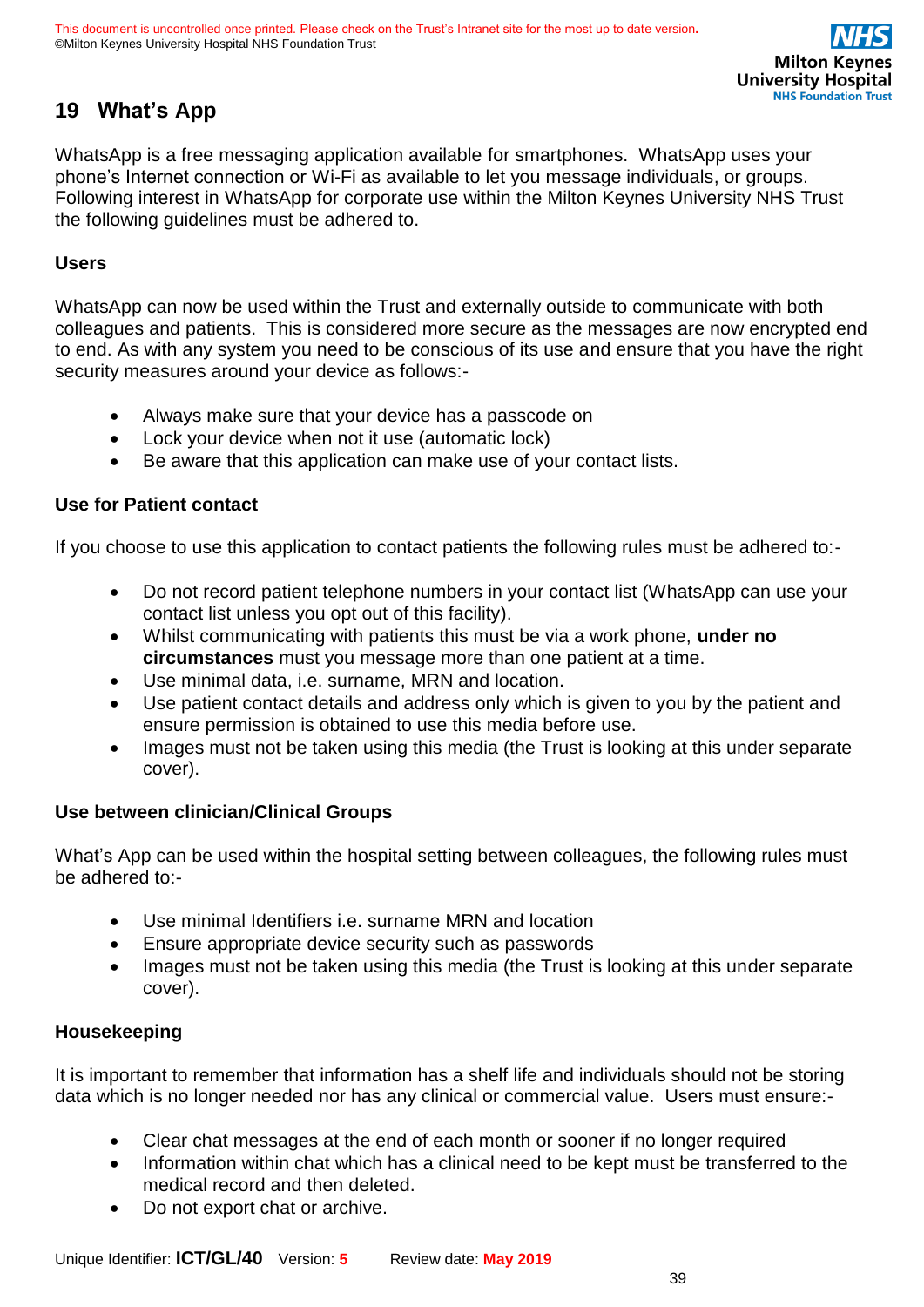# <span id="page-38-0"></span>**19 What's App**

WhatsApp is a free messaging application available for smartphones. WhatsApp uses your phone's Internet connection or Wi-Fi as available to let you message individuals, or groups. Following interest in WhatsApp for corporate use within the Milton Keynes University NHS Trust the following guidelines must be adhered to.

### **Users**

WhatsApp can now be used within the Trust and externally outside to communicate with both colleagues and patients. This is considered more secure as the messages are now encrypted end to end. As with any system you need to be conscious of its use and ensure that you have the right security measures around your device as follows:-

- Always make sure that your device has a passcode on
- Lock your device when not it use (automatic lock)
- Be aware that this application can make use of your contact lists.

### **Use for Patient contact**

If you choose to use this application to contact patients the following rules must be adhered to:-

- Do not record patient telephone numbers in your contact list (WhatsApp can use your contact list unless you opt out of this facility).
- Whilst communicating with patients this must be via a work phone, **under no circumstances** must you message more than one patient at a time.
- Use minimal data, i.e. surname, MRN and location.
- Use patient contact details and address only which is given to you by the patient and ensure permission is obtained to use this media before use.
- Images must not be taken using this media (the Trust is looking at this under separate cover).

### **Use between clinician/Clinical Groups**

What's App can be used within the hospital setting between colleagues, the following rules must be adhered to:-

- Use minimal Identifiers i.e. surname MRN and location
- Ensure appropriate device security such as passwords
- Images must not be taken using this media (the Trust is looking at this under separate cover).

### **Housekeeping**

It is important to remember that information has a shelf life and individuals should not be storing data which is no longer needed nor has any clinical or commercial value. Users must ensure:-

- Clear chat messages at the end of each month or sooner if no longer required
- Information within chat which has a clinical need to be kept must be transferred to the medical record and then deleted.
- Do not export chat or archive.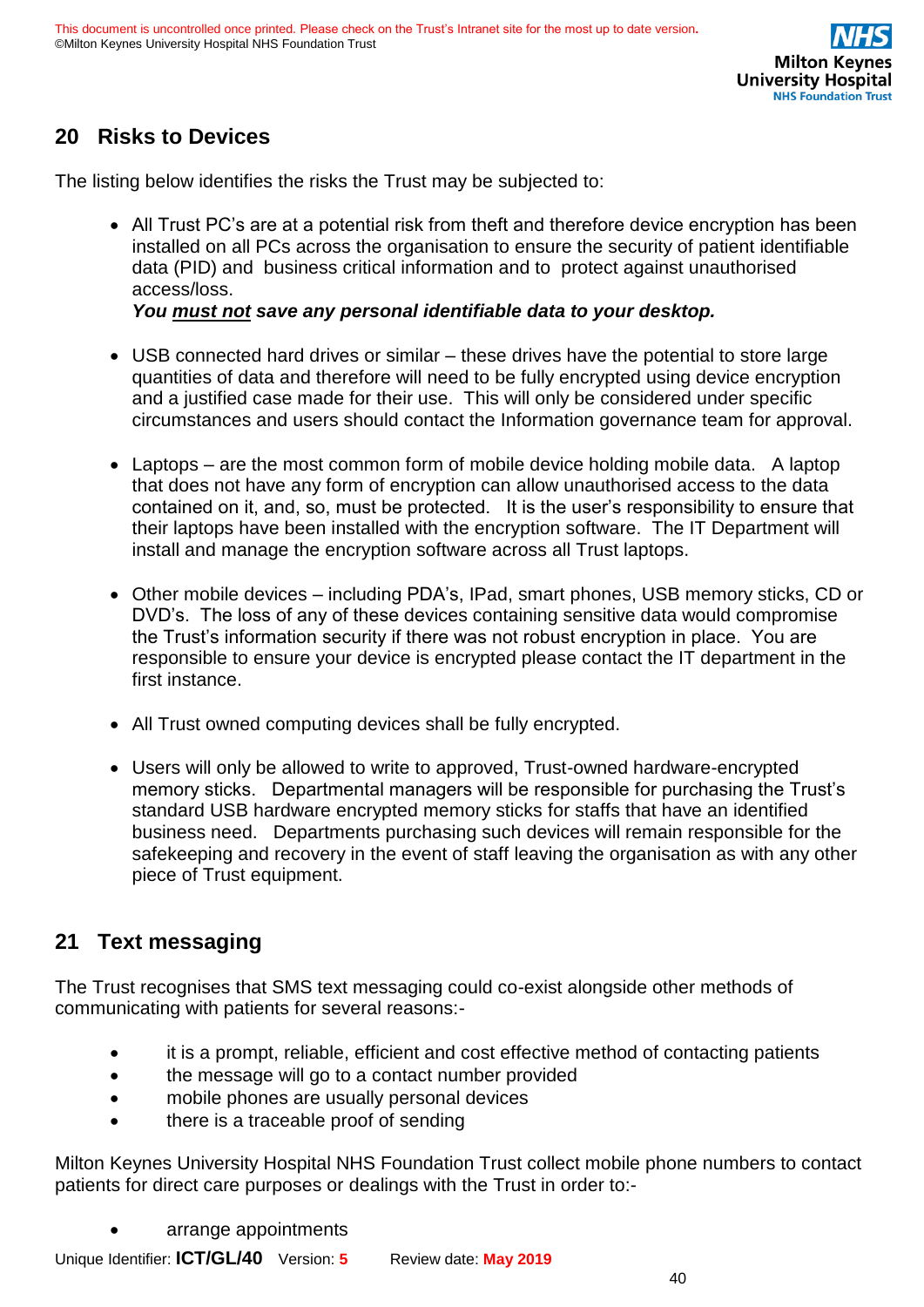# <span id="page-39-0"></span>**20 Risks to Devices**

The listing below identifies the risks the Trust may be subjected to:

• All Trust PC's are at a potential risk from theft and therefore device encryption has been installed on all PCs across the organisation to ensure the security of patient identifiable data (PID) and business critical information and to protect against unauthorised access/loss.

### *You must not save any personal identifiable data to your desktop.*

- USB connected hard drives or similar these drives have the potential to store large quantities of data and therefore will need to be fully encrypted using device encryption and a justified case made for their use. This will only be considered under specific circumstances and users should contact the Information governance team for approval.
- Laptops are the most common form of mobile device holding mobile data. A laptop that does not have any form of encryption can allow unauthorised access to the data contained on it, and, so, must be protected. It is the user's responsibility to ensure that their laptops have been installed with the encryption software. The IT Department will install and manage the encryption software across all Trust laptops.
- Other mobile devices including PDA's, IPad, smart phones, USB memory sticks, CD or DVD's. The loss of any of these devices containing sensitive data would compromise the Trust's information security if there was not robust encryption in place. You are responsible to ensure your device is encrypted please contact the IT department in the first instance.
- All Trust owned computing devices shall be fully encrypted.
- Users will only be allowed to write to approved, Trust-owned hardware-encrypted memory sticks. Departmental managers will be responsible for purchasing the Trust's standard USB hardware encrypted memory sticks for staffs that have an identified business need. Departments purchasing such devices will remain responsible for the safekeeping and recovery in the event of staff leaving the organisation as with any other piece of Trust equipment.

# <span id="page-39-1"></span>**21 Text messaging**

The Trust recognises that SMS text messaging could co-exist alongside other methods of communicating with patients for several reasons:-

- it is a prompt, reliable, efficient and cost effective method of contacting patients
- the message will go to a contact number provided
- mobile phones are usually personal devices
- there is a traceable proof of sending

Milton Keynes University Hospital NHS Foundation Trust collect mobile phone numbers to contact patients for direct care purposes or dealings with the Trust in order to:-

• arrange appointments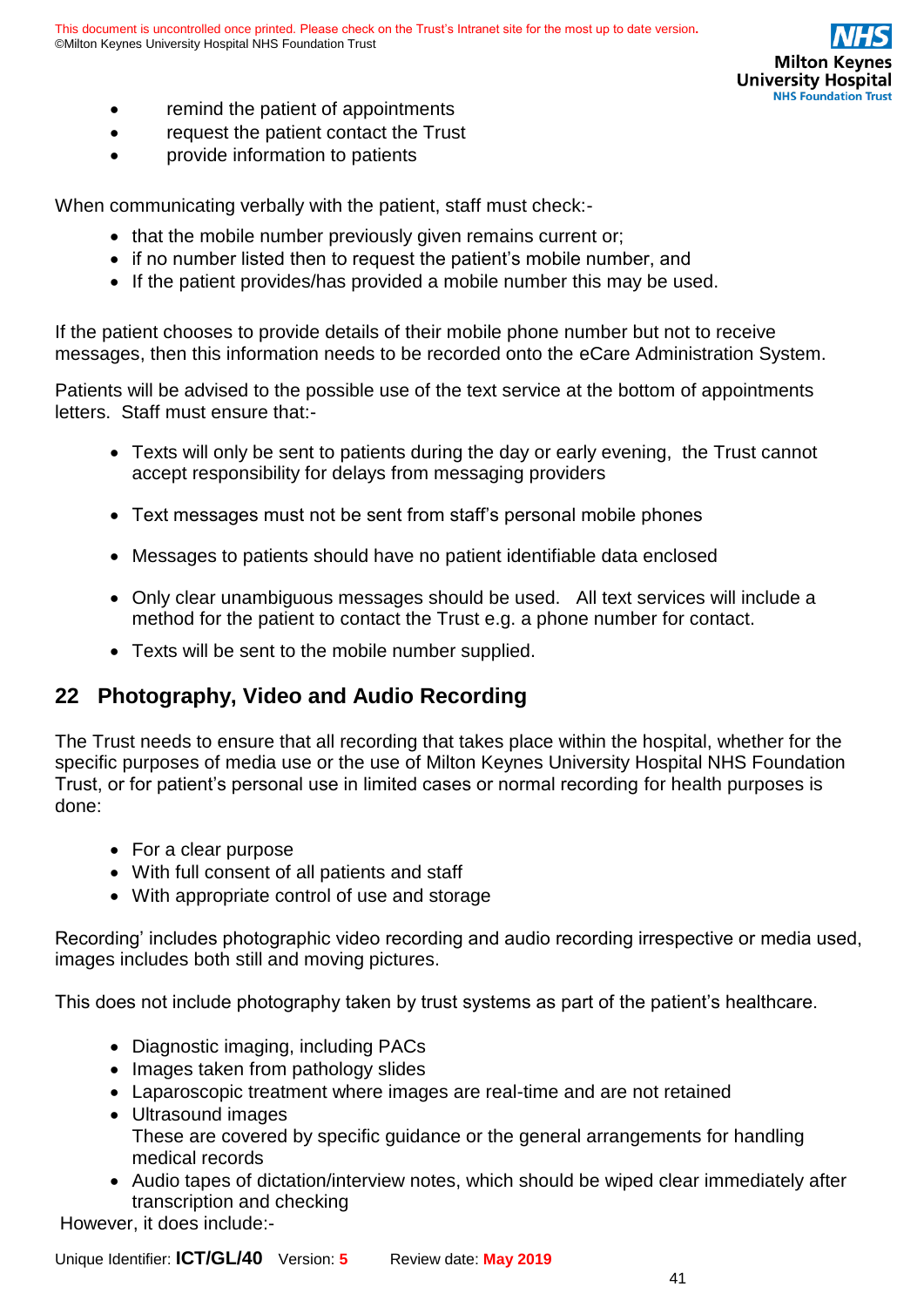

- remind the patient of appointments
- request the patient contact the Trust
- provide information to patients

When communicating verbally with the patient, staff must check:-

- that the mobile number previously given remains current or;
- if no number listed then to request the patient's mobile number, and
- If the patient provides/has provided a mobile number this may be used.

If the patient chooses to provide details of their mobile phone number but not to receive messages, then this information needs to be recorded onto the eCare Administration System.

Patients will be advised to the possible use of the text service at the bottom of appointments letters. Staff must ensure that:-

- Texts will only be sent to patients during the day or early evening, the Trust cannot accept responsibility for delays from messaging providers
- Text messages must not be sent from staff's personal mobile phones
- Messages to patients should have no patient identifiable data enclosed
- Only clear unambiguous messages should be used. All text services will include a method for the patient to contact the Trust e.g. a phone number for contact.
- Texts will be sent to the mobile number supplied.

# <span id="page-40-0"></span>**22 Photography, Video and Audio Recording**

The Trust needs to ensure that all recording that takes place within the hospital, whether for the specific purposes of media use or the use of Milton Keynes University Hospital NHS Foundation Trust, or for patient's personal use in limited cases or normal recording for health purposes is done:

- For a clear purpose
- With full consent of all patients and staff
- With appropriate control of use and storage

Recording' includes photographic video recording and audio recording irrespective or media used, images includes both still and moving pictures.

This does not include photography taken by trust systems as part of the patient's healthcare.

- Diagnostic imaging, including PACs
- Images taken from pathology slides
- Laparoscopic treatment where images are real-time and are not retained
- Ultrasound images These are covered by specific guidance or the general arrangements for handling medical records
- Audio tapes of dictation/interview notes, which should be wiped clear immediately after transcription and checking

However, it does include:-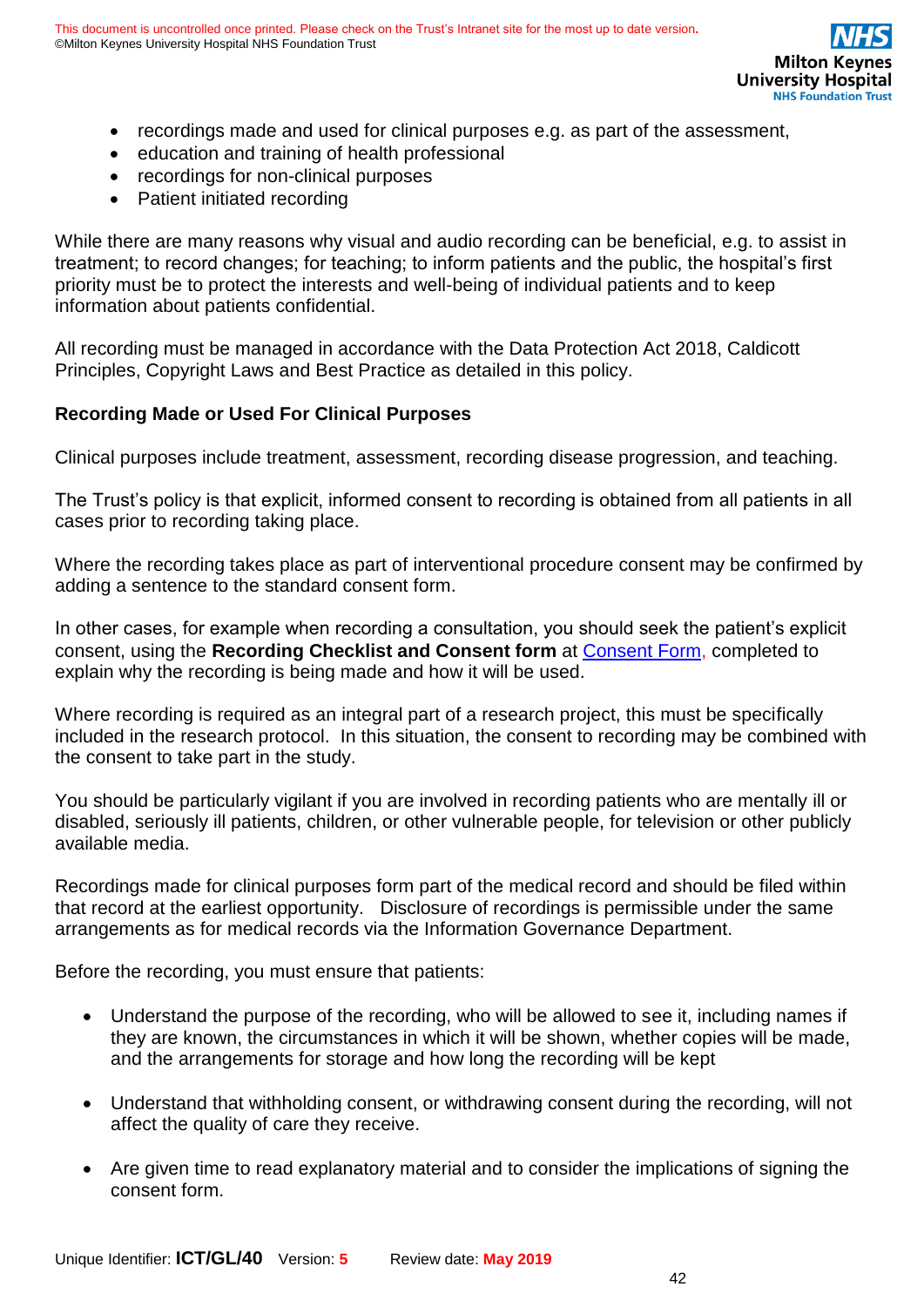- recordings made and used for clinical purposes e.g. as part of the assessment,
- education and training of health professional
- recordings for non-clinical purposes
- Patient initiated recording

While there are many reasons why visual and audio recording can be beneficial, e.g. to assist in treatment; to record changes; for teaching; to inform patients and the public, the hospital's first priority must be to protect the interests and well-being of individual patients and to keep information about patients confidential.

All recording must be managed in accordance with the Data Protection Act 2018, Caldicott Principles, Copyright Laws and Best Practice as detailed in this policy.

### **Recording Made or Used For Clinical Purposes**

Clinical purposes include treatment, assessment, recording disease progression, and teaching.

The Trust's policy is that explicit, informed consent to recording is obtained from all patients in all cases prior to recording taking place.

Where the recording takes place as part of interventional procedure consent may be confirmed by adding a sentence to the standard consent form.

In other cases, for example when recording a consultation, you should seek the patient's explicit consent, using the **Recording Checklist and Consent form** at [Consent Form,](https://intranet.mkuh.nhs.uk/information-governance) completed to explain why the recording is being made and how it will be used.

Where recording is required as an integral part of a research project, this must be specifically included in the research protocol. In this situation, the consent to recording may be combined with the consent to take part in the study.

You should be particularly vigilant if you are involved in recording patients who are mentally ill or disabled, seriously ill patients, children, or other vulnerable people, for television or other publicly available media.

Recordings made for clinical purposes form part of the medical record and should be filed within that record at the earliest opportunity. Disclosure of recordings is permissible under the same arrangements as for medical records via the Information Governance Department.

Before the recording, you must ensure that patients:

- Understand the purpose of the recording, who will be allowed to see it, including names if they are known, the circumstances in which it will be shown, whether copies will be made, and the arrangements for storage and how long the recording will be kept
- Understand that withholding consent, or withdrawing consent during the recording, will not affect the quality of care they receive.
- Are given time to read explanatory material and to consider the implications of signing the consent form.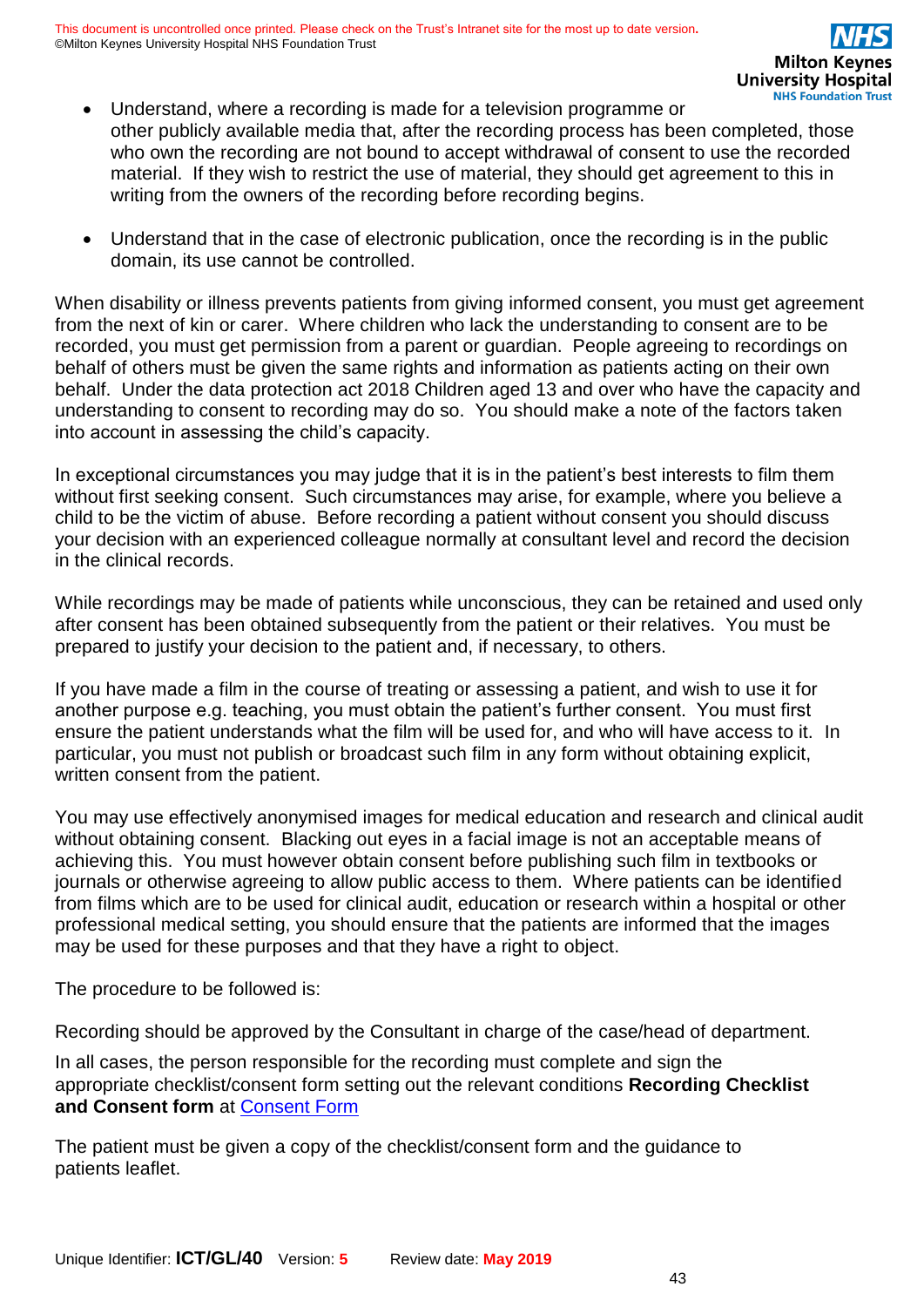- Understand, where a recording is made for a television programme or other publicly available media that, after the recording process has been completed, those who own the recording are not bound to accept withdrawal of consent to use the recorded material. If they wish to restrict the use of material, they should get agreement to this in writing from the owners of the recording before recording begins.
- Understand that in the case of electronic publication, once the recording is in the public domain, its use cannot be controlled.

When disability or illness prevents patients from giving informed consent, you must get agreement from the next of kin or carer. Where children who lack the understanding to consent are to be recorded, you must get permission from a parent or guardian. People agreeing to recordings on behalf of others must be given the same rights and information as patients acting on their own behalf. Under the data protection act 2018 Children aged 13 and over who have the capacity and understanding to consent to recording may do so. You should make a note of the factors taken into account in assessing the child's capacity.

In exceptional circumstances you may judge that it is in the patient's best interests to film them without first seeking consent. Such circumstances may arise, for example, where you believe a child to be the victim of abuse. Before recording a patient without consent you should discuss your decision with an experienced colleague normally at consultant level and record the decision in the clinical records.

While recordings may be made of patients while unconscious, they can be retained and used only after consent has been obtained subsequently from the patient or their relatives. You must be prepared to justify your decision to the patient and, if necessary, to others.

If you have made a film in the course of treating or assessing a patient, and wish to use it for another purpose e.g. teaching, you must obtain the patient's further consent. You must first ensure the patient understands what the film will be used for, and who will have access to it. In particular, you must not publish or broadcast such film in any form without obtaining explicit, written consent from the patient.

You may use effectively anonymised images for medical education and research and clinical audit without obtaining consent. Blacking out eyes in a facial image is not an acceptable means of achieving this. You must however obtain consent before publishing such film in textbooks or journals or otherwise agreeing to allow public access to them. Where patients can be identified from films which are to be used for clinical audit, education or research within a hospital or other professional medical setting, you should ensure that the patients are informed that the images may be used for these purposes and that they have a right to object.

The procedure to be followed is:

Recording should be approved by the Consultant in charge of the case/head of department.

In all cases, the person responsible for the recording must complete and sign the appropriate checklist/consent form setting out the relevant conditions **Recording Checklist and Consent form** at [Consent Form](https://intranet.mkuh.nhs.uk/information-governance)

The patient must be given a copy of the checklist/consent form and the guidance to patients leaflet.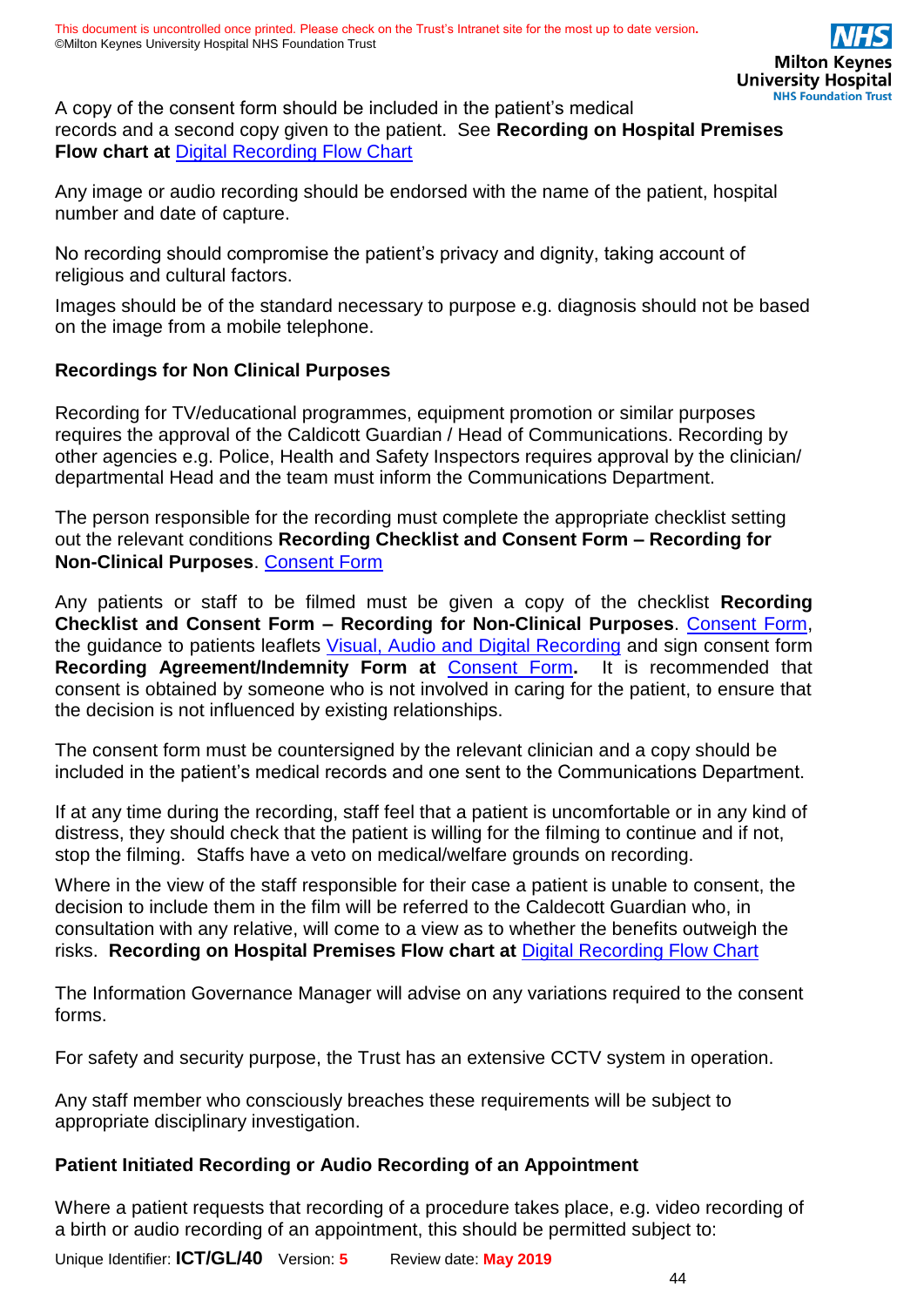A copy of the consent form should be included in the patient's medical records and a second copy given to the patient. See **Recording on Hospital Premises Flow chart at** [Digital Recording Flow](https://intranet.mkuh.nhs.uk/information-governance) Chart

Any image or audio recording should be endorsed with the name of the patient, hospital number and date of capture.

No recording should compromise the patient's privacy and dignity, taking account of religious and cultural factors.

Images should be of the standard necessary to purpose e.g. diagnosis should not be based on the image from a mobile telephone.

### **Recordings for Non Clinical Purposes**

Recording for TV/educational programmes, equipment promotion or similar purposes requires the approval of the Caldicott Guardian / Head of Communications. Recording by other agencies e.g. Police, Health and Safety Inspectors requires approval by the clinician/ departmental Head and the team must inform the Communications Department.

The person responsible for the recording must complete the appropriate checklist setting out the relevant conditions **Recording Checklist and Consent Form – Recording for Non-Clinical Purposes**. [Consent Form](https://intranet.mkuh.nhs.uk/information-governance)

Any patients or staff to be filmed must be given a copy of the checklist **Recording Checklist and Consent Form – Recording for Non-Clinical Purposes**. [Consent Form,](https://intranet.mkuh.nhs.uk/information-governance) the guidance to patients leaflets [Visual, Audio and Digital Recording](https://intranet.mkuh.nhs.uk/posters-booklets-and-leaflets) and sign consent form **Recording Agreement/Indemnity Form at** [Consent Form](https://intranet.mkuh.nhs.uk/information-governance)**.** It is recommended that consent is obtained by someone who is not involved in caring for the patient, to ensure that the decision is not influenced by existing relationships.

The consent form must be countersigned by the relevant clinician and a copy should be included in the patient's medical records and one sent to the Communications Department.

If at any time during the recording, staff feel that a patient is uncomfortable or in any kind of distress, they should check that the patient is willing for the filming to continue and if not, stop the filming. Staffs have a veto on medical/welfare grounds on recording.

Where in the view of the staff responsible for their case a patient is unable to consent, the decision to include them in the film will be referred to the Caldecott Guardian who, in consultation with any relative, will come to a view as to whether the benefits outweigh the risks. **Recording on Hospital Premises Flow chart at** [Digital Recording Flow Chart](https://intranet.mkuh.nhs.uk/information-governance)

The Information Governance Manager will advise on any variations required to the consent forms.

For safety and security purpose, the Trust has an extensive CCTV system in operation.

Any staff member who consciously breaches these requirements will be subject to appropriate disciplinary investigation.

### **Patient Initiated Recording or Audio Recording of an Appointment**

Where a patient requests that recording of a procedure takes place, e.g. video recording of a birth or audio recording of an appointment, this should be permitted subject to: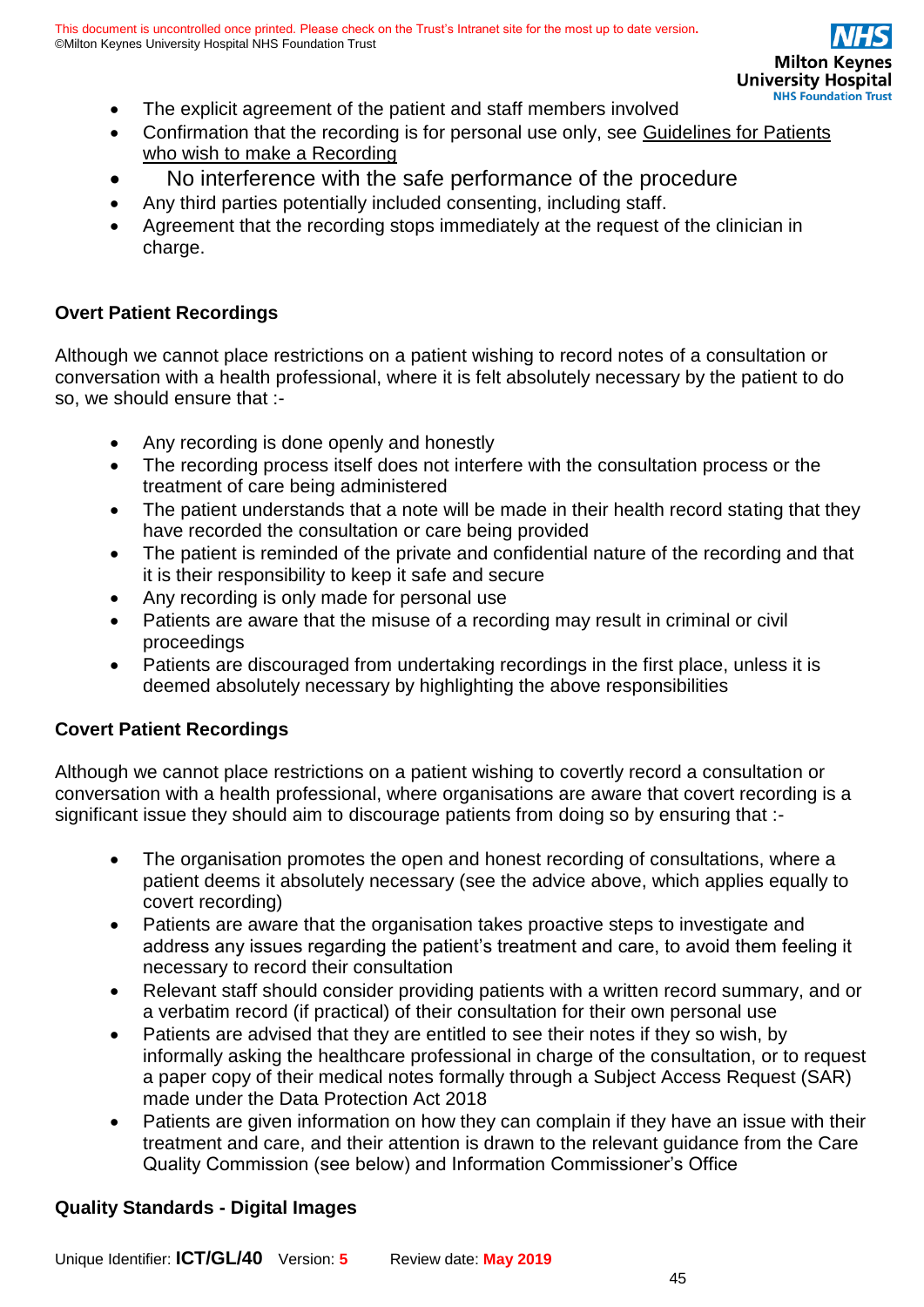- The explicit agreement of the patient and staff members involved
- Confirmation that the recording is for personal use only, see Guidelines for Patients [who wish to make a Recording](https://intranet.mkuh.nhs.uk/information-governance)
- No interference with the safe performance of the procedure
- Any third parties potentially included consenting, including staff.
- Agreement that the recording stops immediately at the request of the clinician in charge.

### **Overt Patient Recordings**

Although we cannot place restrictions on a patient wishing to record notes of a consultation or conversation with a health professional, where it is felt absolutely necessary by the patient to do so, we should ensure that :-

- Any recording is done openly and honestly
- The recording process itself does not interfere with the consultation process or the treatment of care being administered
- The patient understands that a note will be made in their health record stating that they have recorded the consultation or care being provided
- The patient is reminded of the private and confidential nature of the recording and that it is their responsibility to keep it safe and secure
- Any recording is only made for personal use
- Patients are aware that the misuse of a recording may result in criminal or civil proceedings
- Patients are discouraged from undertaking recordings in the first place, unless it is deemed absolutely necessary by highlighting the above responsibilities

### **Covert Patient Recordings**

Although we cannot place restrictions on a patient wishing to covertly record a consultation or conversation with a health professional, where organisations are aware that covert recording is a significant issue they should aim to discourage patients from doing so by ensuring that :-

- The organisation promotes the open and honest recording of consultations, where a patient deems it absolutely necessary (see the advice above, which applies equally to covert recording)
- Patients are aware that the organisation takes proactive steps to investigate and address any issues regarding the patient's treatment and care, to avoid them feeling it necessary to record their consultation
- Relevant staff should consider providing patients with a written record summary, and or a verbatim record (if practical) of their consultation for their own personal use
- Patients are advised that they are entitled to see their notes if they so wish, by informally asking the healthcare professional in charge of the consultation, or to request a paper copy of their medical notes formally through a Subject Access Request (SAR) made under the Data Protection Act 2018
- Patients are given information on how they can complain if they have an issue with their treatment and care, and their attention is drawn to the relevant guidance from the Care Quality Commission (see below) and Information Commissioner's Office

### **Quality Standards - Digital Images**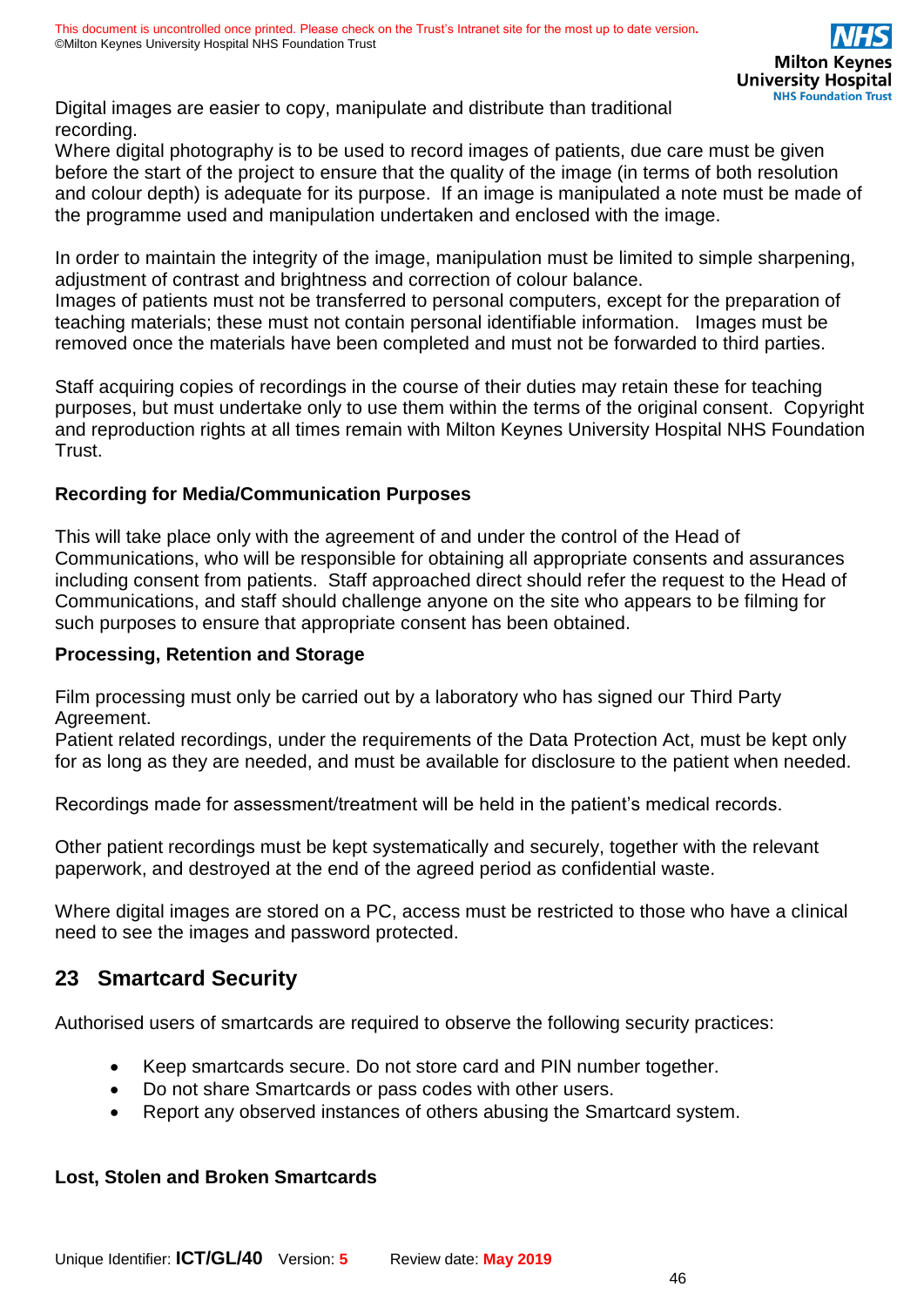Digital images are easier to copy, manipulate and distribute than traditional recording.

Where digital photography is to be used to record images of patients, due care must be given before the start of the project to ensure that the quality of the image (in terms of both resolution and colour depth) is adequate for its purpose. If an image is manipulated a note must be made of the programme used and manipulation undertaken and enclosed with the image.

In order to maintain the integrity of the image, manipulation must be limited to simple sharpening, adjustment of contrast and brightness and correction of colour balance.

Images of patients must not be transferred to personal computers, except for the preparation of teaching materials; these must not contain personal identifiable information. Images must be removed once the materials have been completed and must not be forwarded to third parties.

Staff acquiring copies of recordings in the course of their duties may retain these for teaching purposes, but must undertake only to use them within the terms of the original consent. Copyright and reproduction rights at all times remain with Milton Keynes University Hospital NHS Foundation Trust.

### **Recording for Media/Communication Purposes**

This will take place only with the agreement of and under the control of the Head of Communications, who will be responsible for obtaining all appropriate consents and assurances including consent from patients. Staff approached direct should refer the request to the Head of Communications, and staff should challenge anyone on the site who appears to be filming for such purposes to ensure that appropriate consent has been obtained.

### **Processing, Retention and Storage**

Film processing must only be carried out by a laboratory who has signed our Third Party Agreement.

Patient related recordings, under the requirements of the Data Protection Act, must be kept only for as long as they are needed, and must be available for disclosure to the patient when needed.

Recordings made for assessment/treatment will be held in the patient's medical records.

Other patient recordings must be kept systematically and securely, together with the relevant paperwork, and destroyed at the end of the agreed period as confidential waste.

Where digital images are stored on a PC, access must be restricted to those who have a clinical need to see the images and password protected.

# <span id="page-45-0"></span>**23 Smartcard Security**

Authorised users of smartcards are required to observe the following security practices:

- Keep smartcards secure. Do not store card and PIN number together.
- Do not share Smartcards or pass codes with other users.
- Report any observed instances of others abusing the Smartcard system.

### **Lost, Stolen and Broken Smartcards**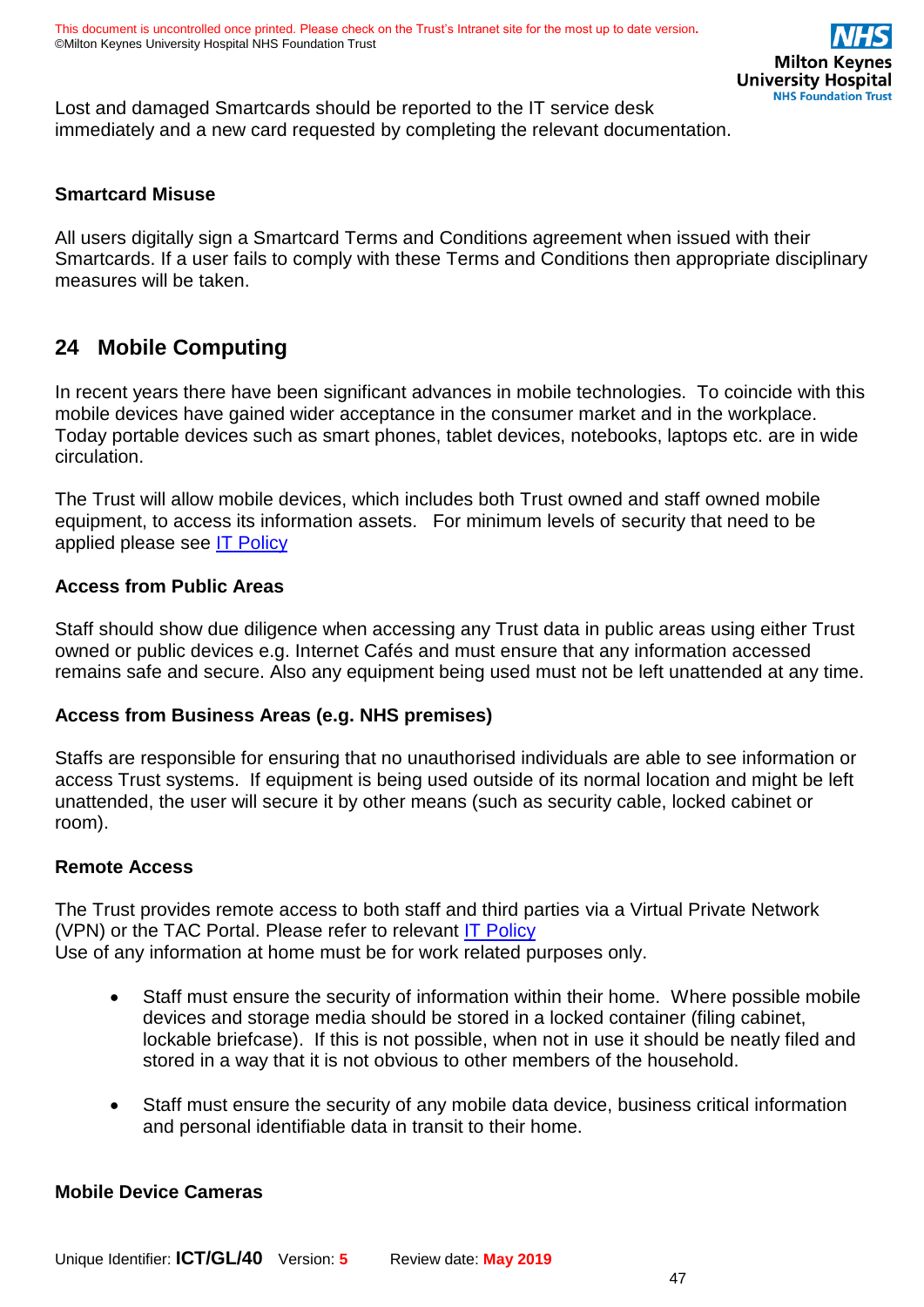Lost and damaged Smartcards should be reported to the IT service desk immediately and a new card requested by completing the relevant documentation.

### **Smartcard Misuse**

All users digitally sign a Smartcard Terms and Conditions agreement when issued with their Smartcards. If a user fails to comply with these Terms and Conditions then appropriate disciplinary measures will be taken.

# <span id="page-46-0"></span>**24 Mobile Computing**

In recent years there have been significant advances in mobile technologies. To coincide with this mobile devices have gained wider acceptance in the consumer market and in the workplace. Today portable devices such as smart phones, tablet devices, notebooks, laptops etc. are in wide circulation.

The Trust will allow mobile devices, which includes both Trust owned and staff owned mobile equipment, to access its information assets. For minimum levels of security that need to be applied please see [IT Policy](https://intranet.mkuh.nhs.uk/)

### **Access from Public Areas**

Staff should show due diligence when accessing any Trust data in public areas using either Trust owned or public devices e.g. Internet Cafés and must ensure that any information accessed remains safe and secure. Also any equipment being used must not be left unattended at any time.

### **Access from Business Areas (e.g. NHS premises)**

Staffs are responsible for ensuring that no unauthorised individuals are able to see information or access Trust systems. If equipment is being used outside of its normal location and might be left unattended, the user will secure it by other means (such as security cable, locked cabinet or room).

### **Remote Access**

The Trust provides remote access to both staff and third parties via a Virtual Private Network (VPN) or the TAC Portal. Please refer to relevant [IT Policy](https://intranet.mkuh.nhs.uk/) Use of any information at home must be for work related purposes only.

- Staff must ensure the security of information within their home. Where possible mobile devices and storage media should be stored in a locked container (filing cabinet, lockable briefcase). If this is not possible, when not in use it should be neatly filed and stored in a way that it is not obvious to other members of the household.
- Staff must ensure the security of any mobile data device, business critical information and personal identifiable data in transit to their home.

### **Mobile Device Cameras**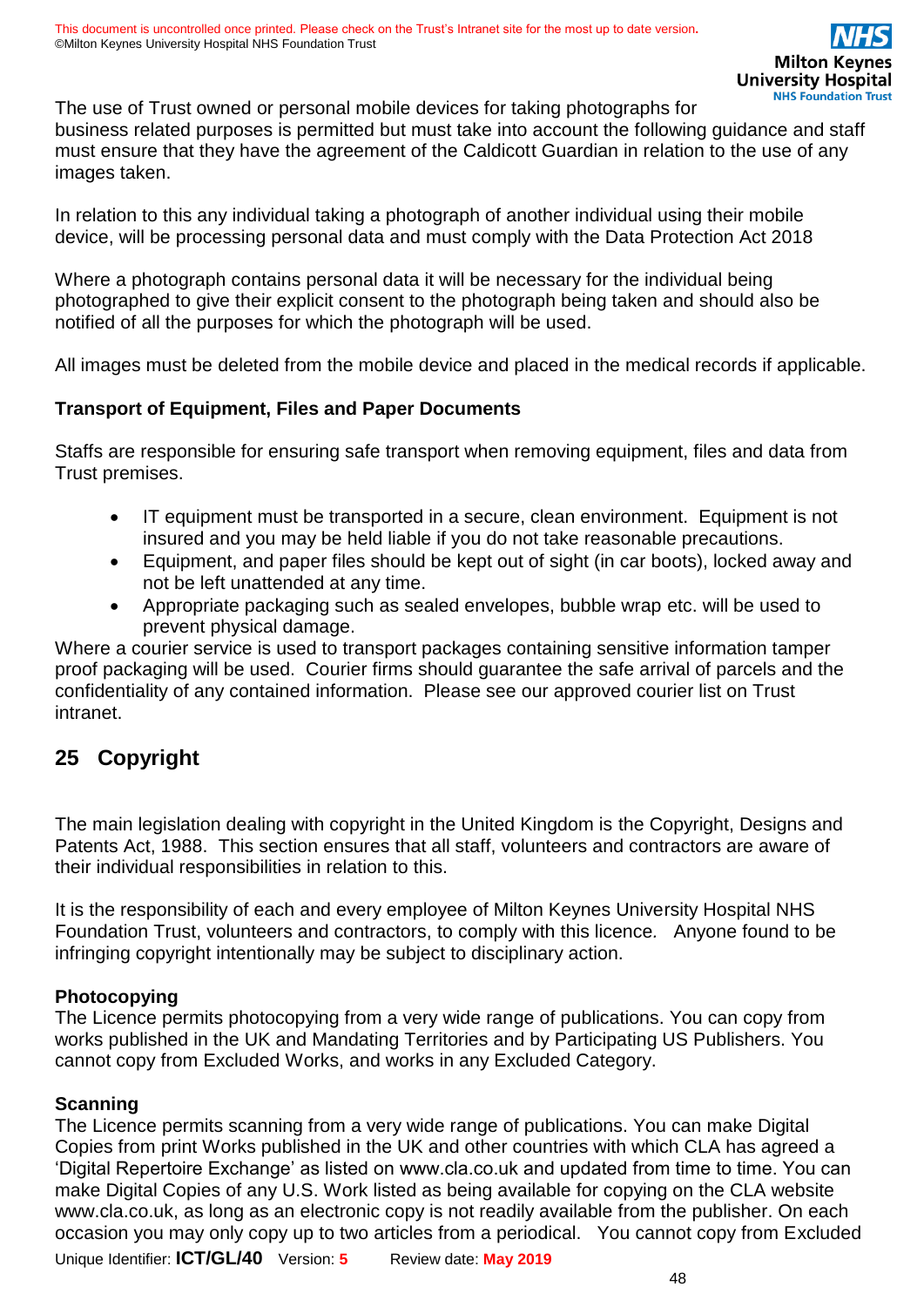The use of Trust owned or personal mobile devices for taking photographs for business related purposes is permitted but must take into account the following guidance and staff must ensure that they have the agreement of the Caldicott Guardian in relation to the use of any images taken.

In relation to this any individual taking a photograph of another individual using their mobile device, will be processing personal data and must comply with the Data Protection Act 2018

Where a photograph contains personal data it will be necessary for the individual being photographed to give their explicit consent to the photograph being taken and should also be notified of all the purposes for which the photograph will be used.

All images must be deleted from the mobile device and placed in the medical records if applicable.

### **Transport of Equipment, Files and Paper Documents**

Staffs are responsible for ensuring safe transport when removing equipment, files and data from Trust premises.

- IT equipment must be transported in a secure, clean environment. Equipment is not insured and you may be held liable if you do not take reasonable precautions.
- Equipment, and paper files should be kept out of sight (in car boots), locked away and not be left unattended at any time.
- Appropriate packaging such as sealed envelopes, bubble wrap etc. will be used to prevent physical damage.

Where a courier service is used to transport packages containing sensitive information tamper proof packaging will be used. Courier firms should guarantee the safe arrival of parcels and the confidentiality of any contained information. Please see our approved courier list on Trust intranet.

# <span id="page-47-1"></span><span id="page-47-0"></span>**25 Copyright**

The main legislation dealing with copyright in the United Kingdom is the Copyright, Designs and Patents Act, 1988. This section ensures that all staff, volunteers and contractors are aware of their individual responsibilities in relation to this.

It is the responsibility of each and every employee of Milton Keynes University Hospital NHS Foundation Trust, volunteers and contractors, to comply with this licence*.* Anyone found to be infringing copyright intentionally may be subject to disciplinary action.

### **Photocopying**

The Licence permits photocopying from a very wide range of publications. You can copy from works published in the UK and Mandating Territories and by Participating US Publishers. You cannot copy from Excluded Works, and works in any Excluded Category.

### **Scanning**

The Licence permits scanning from a very wide range of publications. You can make Digital Copies from print Works published in the UK and other countries with which CLA has agreed a 'Digital Repertoire Exchange' as listed on www.cla.co.uk and updated from time to time. You can make Digital Copies of any U.S. Work listed as being available for copying on the CLA website www.cla.co.uk, as long as an electronic copy is not readily available from the publisher. On each occasion you may only copy up to two articles from a periodical. You cannot copy from Excluded

Unique Identifier: **ICT/GL/40** Version: **5** Review date: **May 2019**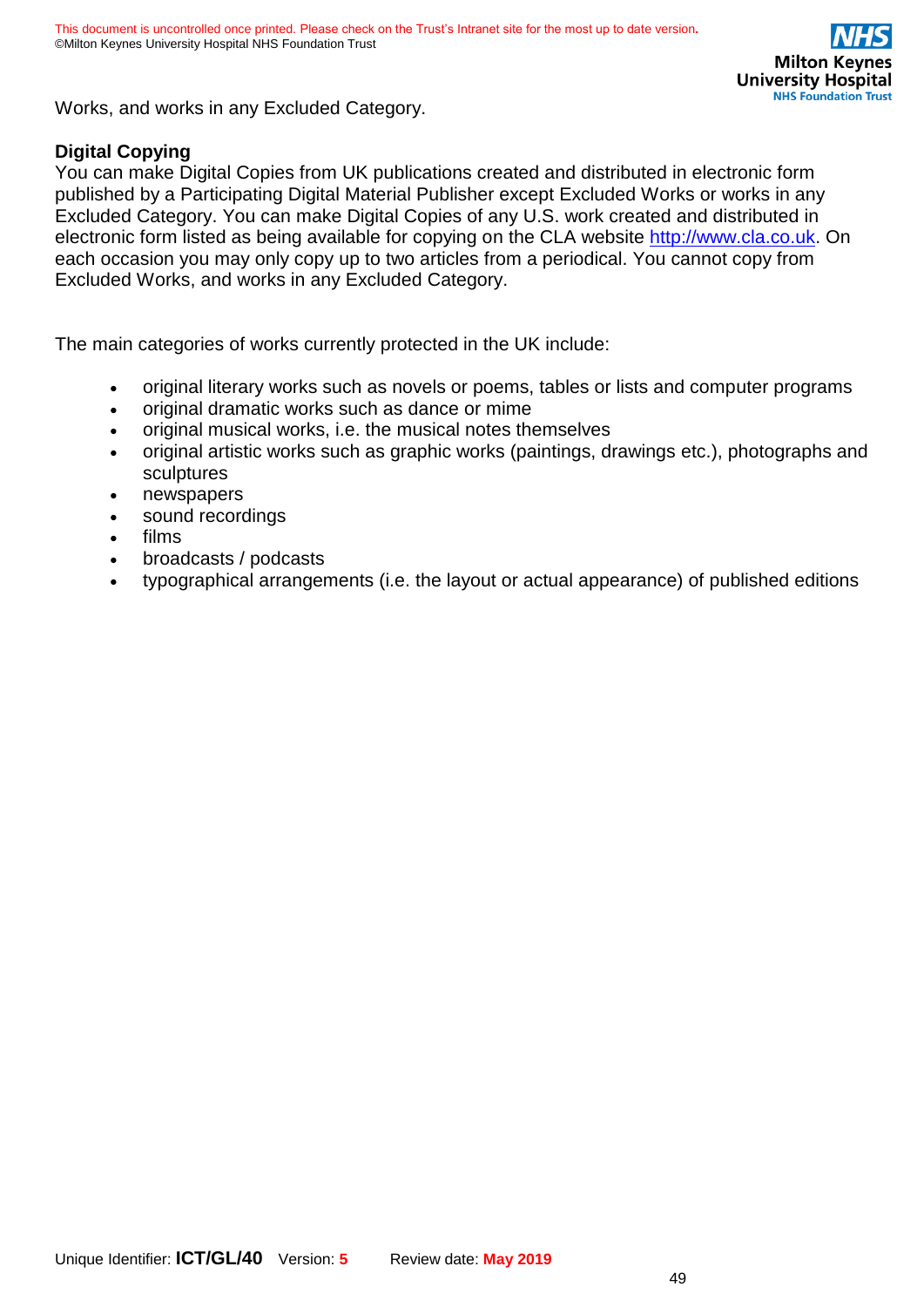

Works, and works in any Excluded Category.

### **Digital Copying**

You can make Digital Copies from UK publications created and distributed in electronic form published by a Participating Digital Material Publisher except Excluded Works or works in any Excluded Category. You can make Digital Copies of any U.S. work created and distributed in electronic form listed as being available for copying on the CLA website [http://www.cla.co.uk.](http://www.cla.co.uk/) On each occasion you may only copy up to two articles from a periodical. You cannot copy from Excluded Works, and works in any Excluded Category.

The main categories of works currently protected in the UK include:

- original literary works such as novels or poems, tables or lists and computer programs
- original dramatic works such as dance or mime
- original musical works, i.e. the musical notes themselves
- original artistic works such as graphic works (paintings, drawings etc.), photographs and sculptures
- newspapers
- sound recordings
- films
- broadcasts / podcasts
- typographical arrangements (i.e. the layout or actual appearance) of published editions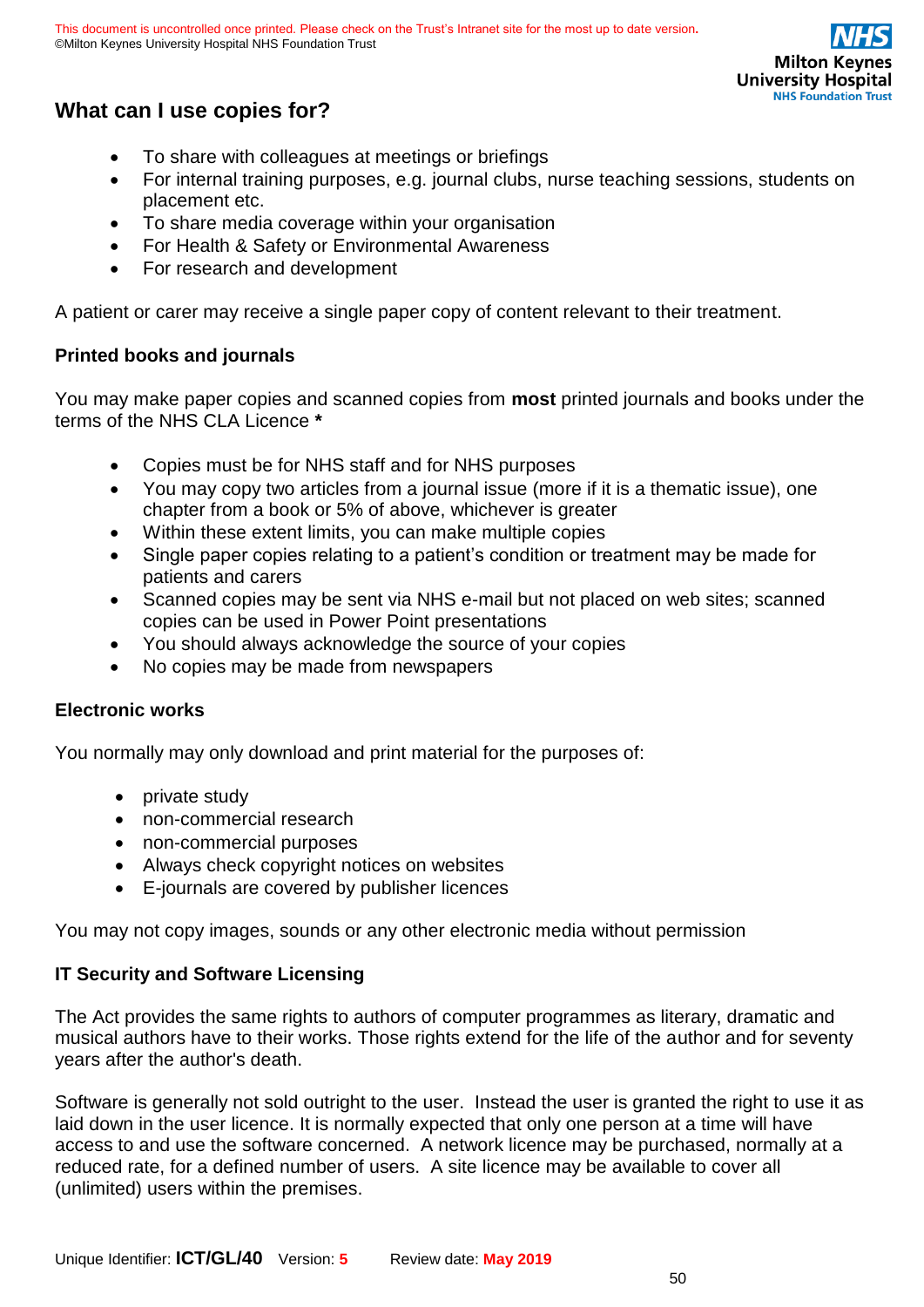

# **What can I use copies for?**

- To share with colleagues at meetings or briefings
- For internal training purposes, e.g. journal clubs, nurse teaching sessions, students on placement etc.
- To share media coverage within your organisation
- For Health & Safety or Environmental Awareness
- For research and development

A patient or carer may receive a single paper copy of content relevant to their treatment.

### **Printed books and journals**

You may make paper copies and scanned copies from **most** printed journals and books under the terms of the NHS CLA Licence **\***

- Copies must be for NHS staff and for NHS purposes
- You may copy two articles from a journal issue (more if it is a thematic issue), one chapter from a book or 5% of above, whichever is greater
- Within these extent limits, you can make multiple copies
- Single paper copies relating to a patient's condition or treatment may be made for patients and carers
- Scanned copies may be sent via NHS e-mail but not placed on web sites; scanned copies can be used in Power Point presentations
- You should always acknowledge the source of your copies
- No copies may be made from newspapers

### **Electronic works**

You normally may only download and print material for the purposes of:

- private study
- non-commercial research
- non-commercial purposes
- Always check copyright notices on websites
- E-journals are covered by publisher licences

You may not copy images, sounds or any other electronic media without permission

### **IT Security and Software Licensing**

The Act provides the same rights to authors of computer programmes as literary, dramatic and musical authors have to their works. Those rights extend for the life of the author and for seventy years after the author's death.

Software is generally not sold outright to the user. Instead the user is granted the right to use it as laid down in the user licence. It is normally expected that only one person at a time will have access to and use the software concerned. A network licence may be purchased, normally at a reduced rate, for a defined number of users. A site licence may be available to cover all (unlimited) users within the premises.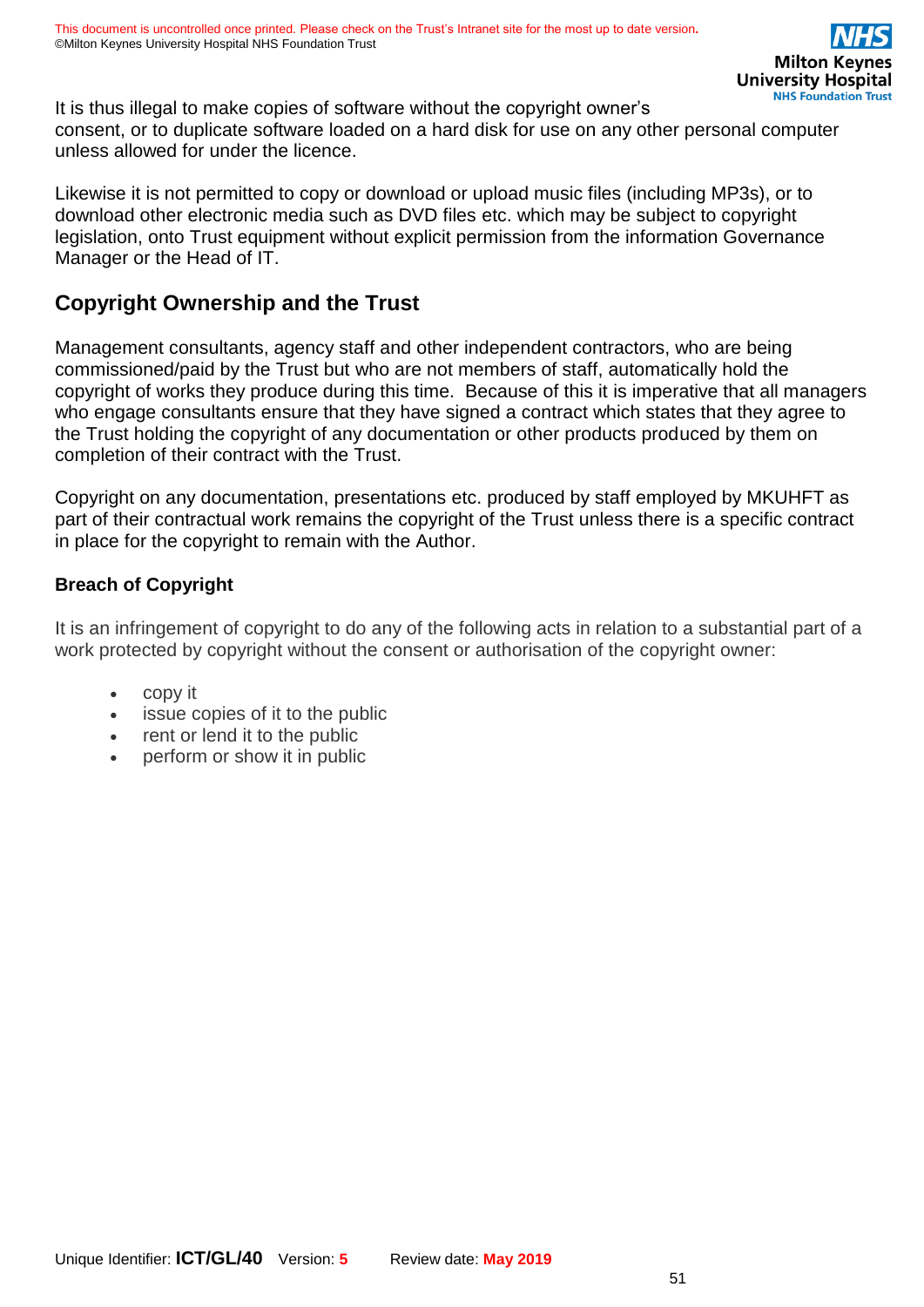It is thus illegal to make copies of software without the copyright owner's consent, or to duplicate software loaded on a hard disk for use on any other personal computer unless allowed for under the licence.

Likewise it is not permitted to copy or download or upload music files (including MP3s), or to download other electronic media such as DVD files etc. which may be subject to copyright legislation, onto Trust equipment without explicit permission from the information Governance Manager or the Head of IT.

# **Copyright Ownership and the Trust**

Management consultants, agency staff and other independent contractors, who are being commissioned/paid by the Trust but who are not members of staff, automatically hold the copyright of works they produce during this time. Because of this it is imperative that all managers who engage consultants ensure that they have signed a contract which states that they agree to the Trust holding the copyright of any documentation or other products produced by them on completion of their contract with the Trust.

Copyright on any documentation, presentations etc. produced by staff employed by MKUHFT as part of their contractual work remains the copyright of the Trust unless there is a specific contract in place for the copyright to remain with the Author.

### **Breach of Copyright**

It is an infringement of copyright to do any of the following acts in relation to a substantial part of a work protected by copyright without the consent or authorisation of the copyright owner:

- copy it
- issue copies of it to the public
- rent or lend it to the public
- perform or show it in public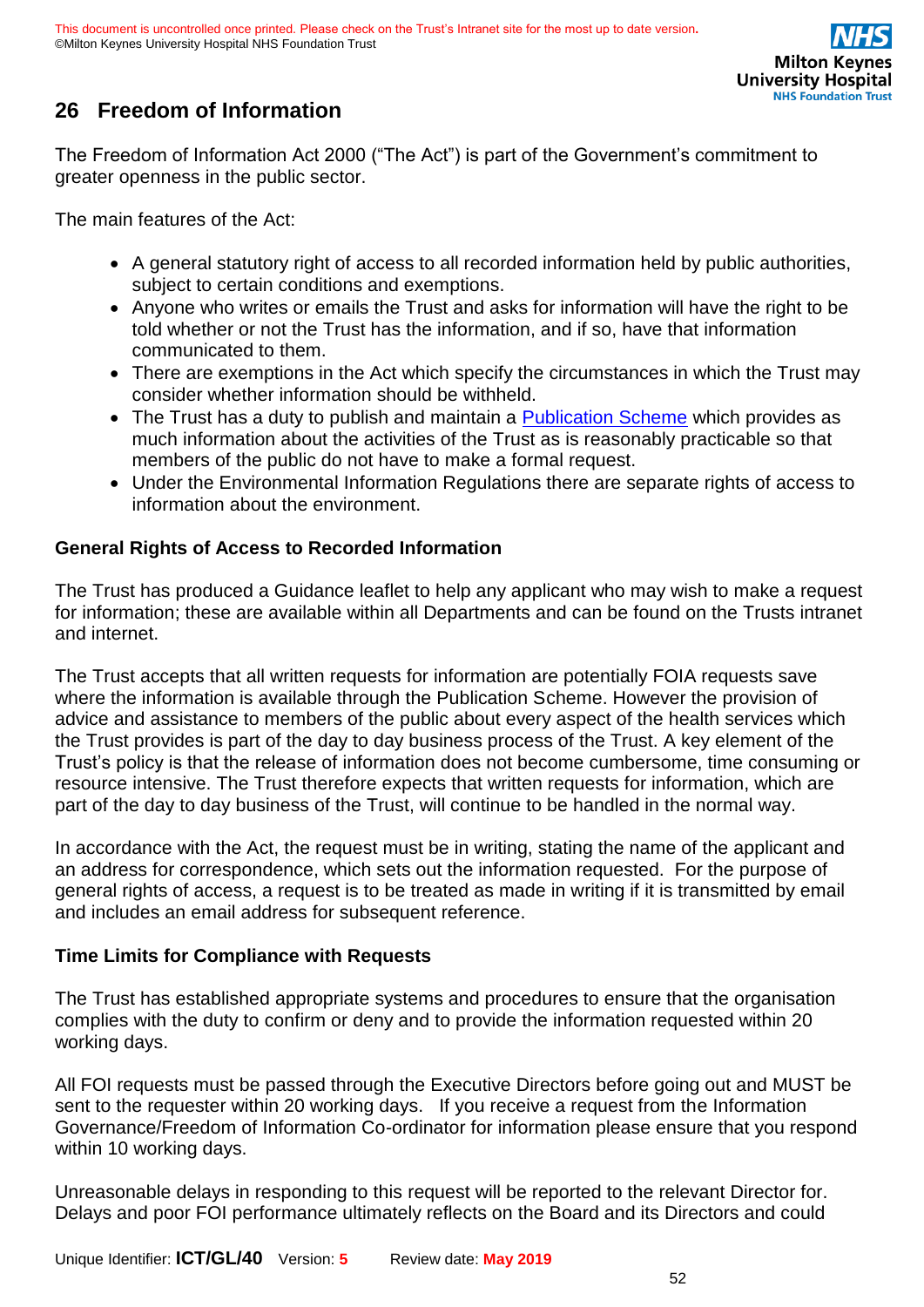

# <span id="page-51-0"></span>**26 Freedom of Information**

The Freedom of Information Act 2000 ("The Act") is part of the Government's commitment to greater openness in the public sector.

The main features of the Act:

- A general statutory right of access to all recorded information held by public authorities, subject to certain conditions and exemptions.
- Anyone who writes or emails the Trust and asks for information will have the right to be told whether or not the Trust has the information, and if so, have that information communicated to them.
- There are exemptions in the Act which specify the circumstances in which the Trust may consider whether information should be withheld.
- The Trust has a duty to publish and maintain a [Publication Scheme](https://intranet.mkuh.nhs.uk/) which provides as much information about the activities of the Trust as is reasonably practicable so that members of the public do not have to make a formal request.
- Under the Environmental Information Regulations there are separate rights of access to information about the environment.

### **General Rights of Access to Recorded Information**

The Trust has produced a Guidance leaflet to help any applicant who may wish to make a request for information; these are available within all Departments and can be found on the Trusts intranet and internet.

The Trust accepts that all written requests for information are potentially FOIA requests save where the information is available through the Publication Scheme. However the provision of advice and assistance to members of the public about every aspect of the health services which the Trust provides is part of the day to day business process of the Trust. A key element of the Trust's policy is that the release of information does not become cumbersome, time consuming or resource intensive. The Trust therefore expects that written requests for information, which are part of the day to day business of the Trust, will continue to be handled in the normal way.

In accordance with the Act, the request must be in writing, stating the name of the applicant and an address for correspondence, which sets out the information requested. For the purpose of general rights of access, a request is to be treated as made in writing if it is transmitted by email and includes an email address for subsequent reference.

### **Time Limits for Compliance with Requests**

The Trust has established appropriate systems and procedures to ensure that the organisation complies with the duty to confirm or deny and to provide the information requested within 20 working days.

All FOI requests must be passed through the Executive Directors before going out and MUST be sent to the requester within 20 working days. If you receive a request from the Information Governance/Freedom of Information Co-ordinator for information please ensure that you respond within 10 working days.

Unreasonable delays in responding to this request will be reported to the relevant Director for. Delays and poor FOI performance ultimately reflects on the Board and its Directors and could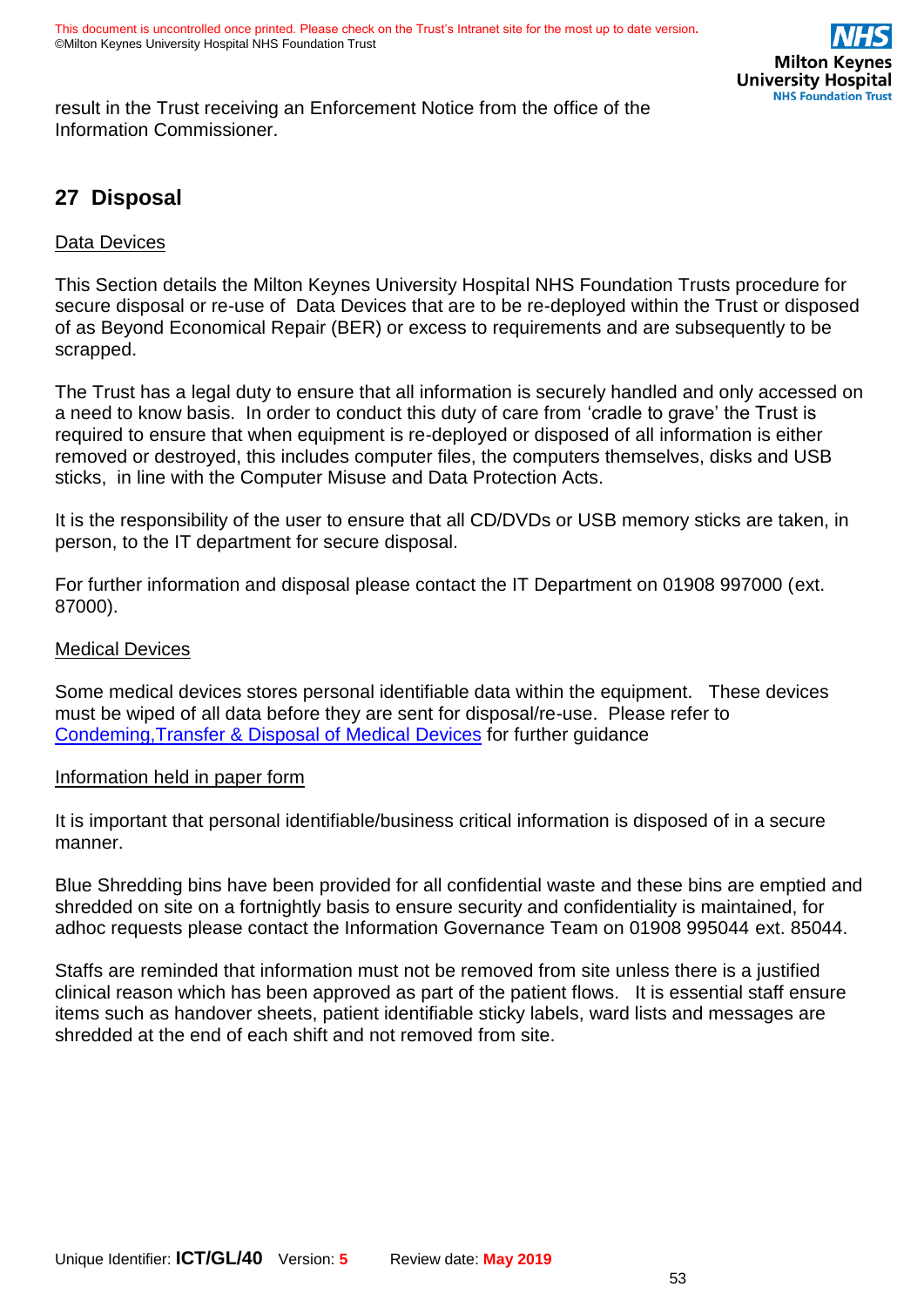

result in the Trust receiving an Enforcement Notice from the office of the Information Commissioner.

# <span id="page-52-0"></span>**27 Disposal**

### Data Devices

This Section details the Milton Keynes University Hospital NHS Foundation Trusts procedure for secure disposal or re-use of Data Devices that are to be re-deployed within the Trust or disposed of as Beyond Economical Repair (BER) or excess to requirements and are subsequently to be scrapped.

The Trust has a legal duty to ensure that all information is securely handled and only accessed on a need to know basis. In order to conduct this duty of care from 'cradle to grave' the Trust is required to ensure that when equipment is re-deployed or disposed of all information is either removed or destroyed, this includes computer files, the computers themselves, disks and USB sticks, in line with the Computer Misuse and Data Protection Acts.

It is the responsibility of the user to ensure that all CD/DVDs or USB memory sticks are taken, in person, to the IT department for secure disposal.

For further information and disposal please contact the IT Department on 01908 997000 (ext. 87000).

#### Medical Devices

Some medical devices stores personal identifiable data within the equipment. These devices must be wiped of all data before they are sent for disposal/re-use. Please refer to [Condeming,Transfer & Disposal of Medical](https://intranet.mkuh.nhs.uk/) Devices for further guidance

#### Information held in paper form

It is important that personal identifiable/business critical information is disposed of in a secure manner.

Blue Shredding bins have been provided for all confidential waste and these bins are emptied and shredded on site on a fortnightly basis to ensure security and confidentiality is maintained, for adhoc requests please contact the Information Governance Team on 01908 995044 ext. 85044.

Staffs are reminded that information must not be removed from site unless there is a justified clinical reason which has been approved as part of the patient flows. It is essential staff ensure items such as handover sheets, patient identifiable sticky labels, ward lists and messages are shredded at the end of each shift and not removed from site.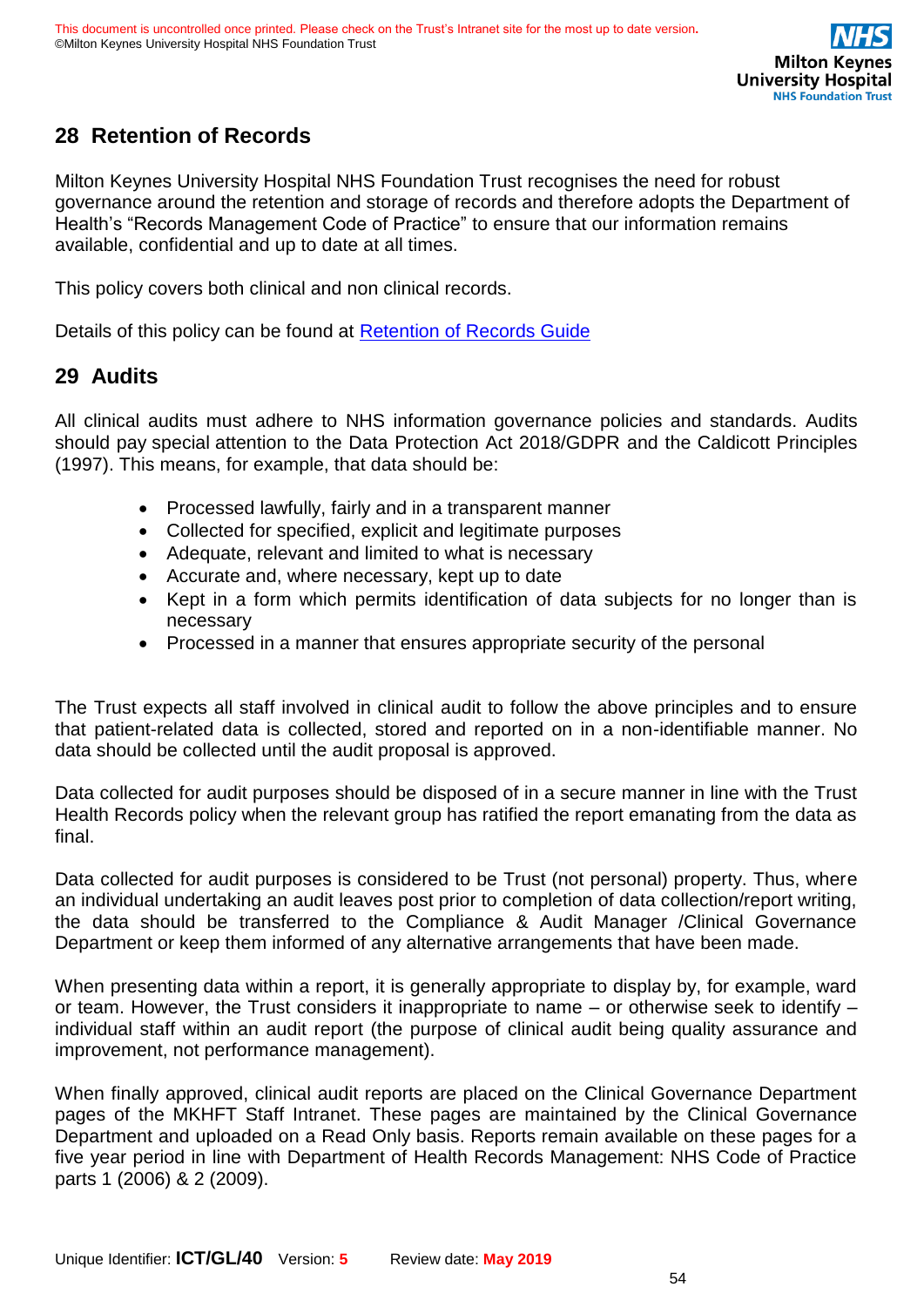# <span id="page-53-0"></span>**28 Retention of Records**

Milton Keynes University Hospital NHS Foundation Trust recognises the need for robust governance around the retention and storage of records and therefore adopts the Department of Health's "Records Management Code of Practice" to ensure that our information remains available, confidential and up to date at all times.

This policy covers both clinical and non clinical records.

Details of this policy can be found at [Retention of Records Guide](https://digital.nhs.uk/article/1202/Records-Management-Code-of-Practice-for-Health-and-Social-Care-2016)

## <span id="page-53-1"></span>**29 Audits**

All clinical audits must adhere to NHS information governance policies and standards. Audits should pay special attention to the Data Protection Act 2018/GDPR and the Caldicott Principles (1997). This means, for example, that data should be:

- Processed lawfully, fairly and in a transparent manner
- Collected for specified, explicit and legitimate purposes
- Adequate, relevant and limited to what is necessary
- Accurate and, where necessary, kept up to date
- Kept in a form which permits identification of data subjects for no longer than is necessary
- Processed in a manner that ensures appropriate security of the personal

The Trust expects all staff involved in clinical audit to follow the above principles and to ensure that patient-related data is collected, stored and reported on in a non-identifiable manner. No data should be collected until the audit proposal is approved.

Data collected for audit purposes should be disposed of in a secure manner in line with the Trust Health Records policy when the relevant group has ratified the report emanating from the data as final.

Data collected for audit purposes is considered to be Trust (not personal) property. Thus, where an individual undertaking an audit leaves post prior to completion of data collection/report writing, the data should be transferred to the Compliance & Audit Manager /Clinical Governance Department or keep them informed of any alternative arrangements that have been made.

When presenting data within a report, it is generally appropriate to display by, for example, ward or team. However, the Trust considers it inappropriate to name – or otherwise seek to identify – individual staff within an audit report (the purpose of clinical audit being quality assurance and improvement, not performance management).

When finally approved, clinical audit reports are placed on the Clinical Governance Department pages of the MKHFT Staff Intranet. These pages are maintained by the Clinical Governance Department and uploaded on a Read Only basis. Reports remain available on these pages for a five year period in line with Department of Health Records Management: NHS Code of Practice parts 1 (2006) & 2 (2009).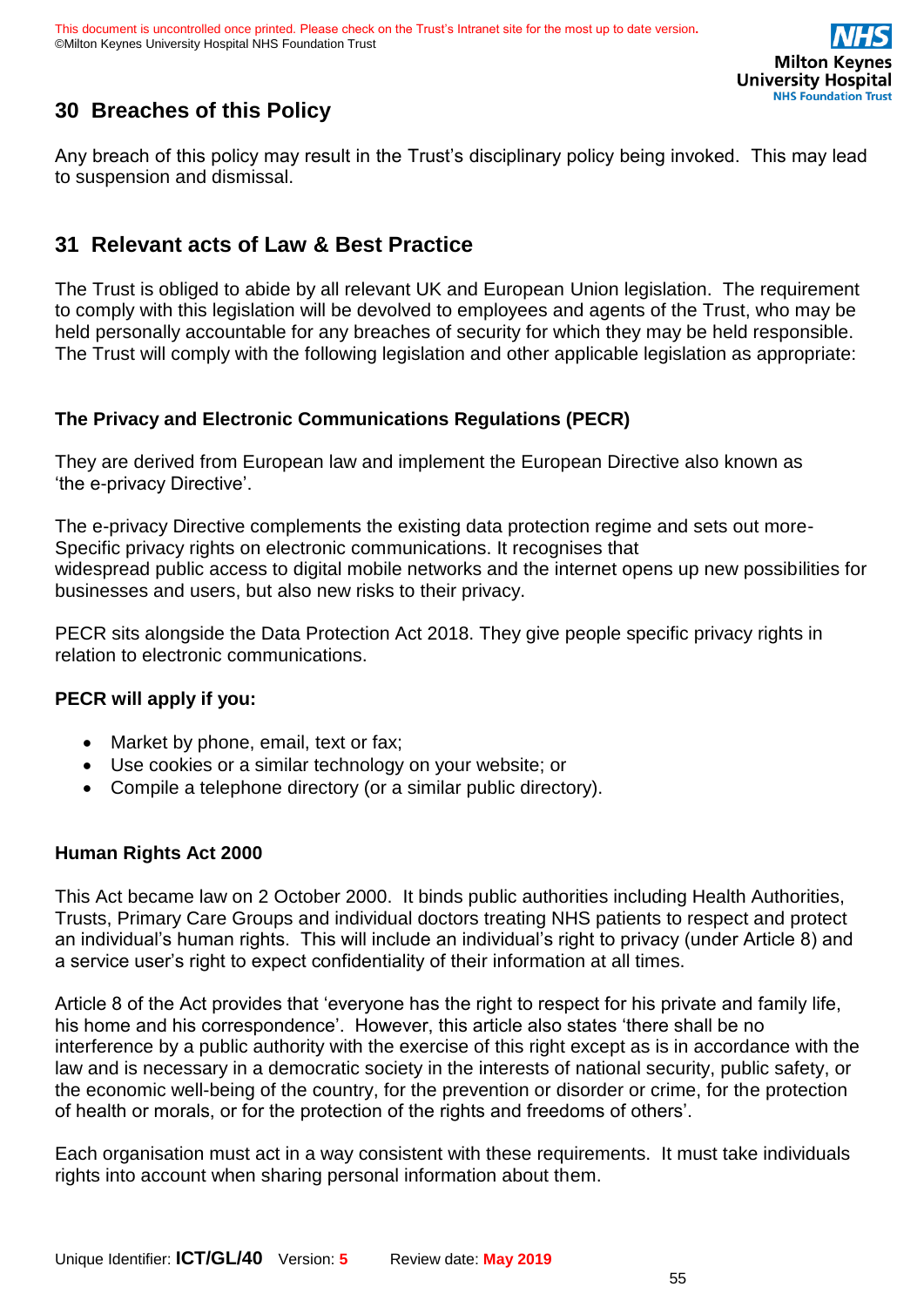

# <span id="page-54-0"></span>**30 Breaches of this Policy**

Any breach of this policy may result in the Trust's disciplinary policy being invoked. This may lead to suspension and dismissal.

# <span id="page-54-1"></span>**31 Relevant acts of Law & Best Practice**

The Trust is obliged to abide by all relevant UK and European Union legislation. The requirement to comply with this legislation will be devolved to employees and agents of the Trust, who may be held personally accountable for any breaches of security for which they may be held responsible. The Trust will comply with the following legislation and other applicable legislation as appropriate:

### **The Privacy and Electronic Communications Regulations (PECR)**

They are derived from European law and implement the European Directive also known as 'the e-privacy Directive'.

The e-privacy Directive complements the existing data protection regime and sets out more-Specific privacy rights on electronic communications. It recognises that widespread public access to digital mobile networks and the internet opens up new possibilities for businesses and users, but also new risks to their privacy.

PECR sits alongside the Data Protection Act 2018. They give people specific privacy rights in relation to electronic communications.

### **PECR will apply if you:**

- Market by phone, email, text or fax;
- Use cookies or a similar technology on your website; or
- Compile a telephone directory (or a similar public directory).

### **Human Rights Act 2000**

This Act became law on 2 October 2000. It binds public authorities including Health Authorities, Trusts, Primary Care Groups and individual doctors treating NHS patients to respect and protect an individual's human rights. This will include an individual's right to privacy (under Article 8) and a service user's right to expect confidentiality of their information at all times.

Article 8 of the Act provides that 'everyone has the right to respect for his private and family life, his home and his correspondence'. However, this article also states 'there shall be no interference by a public authority with the exercise of this right except as is in accordance with the law and is necessary in a democratic society in the interests of national security, public safety, or the economic well-being of the country, for the prevention or disorder or crime, for the protection of health or morals, or for the protection of the rights and freedoms of others'.

Each organisation must act in a way consistent with these requirements. It must take individuals rights into account when sharing personal information about them.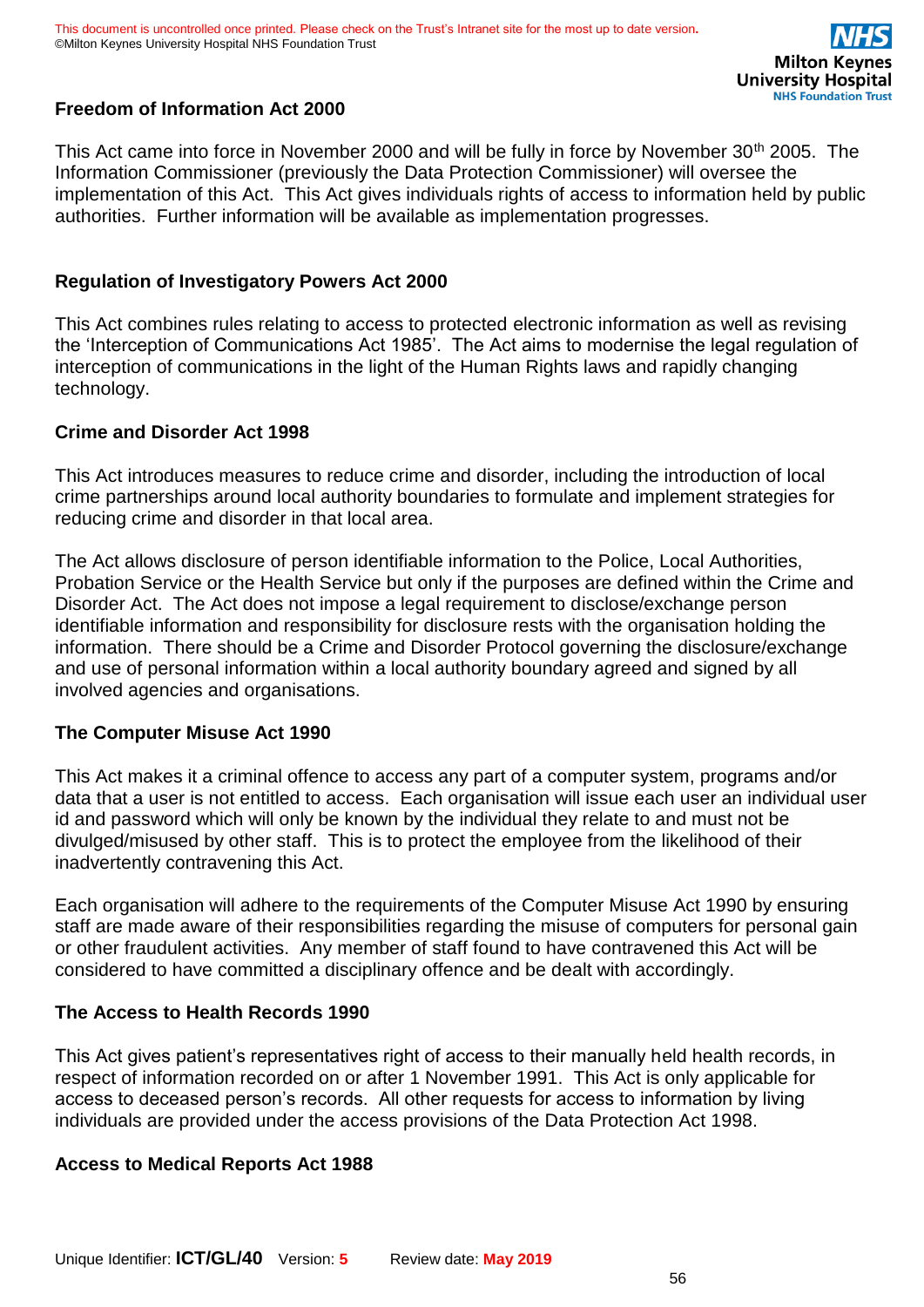

### **Freedom of Information Act 2000**

This Act came into force in November 2000 and will be fully in force by November 30<sup>th</sup> 2005. The Information Commissioner (previously the Data Protection Commissioner) will oversee the implementation of this Act. This Act gives individuals rights of access to information held by public authorities. Further information will be available as implementation progresses.

### **Regulation of Investigatory Powers Act 2000**

This Act combines rules relating to access to protected electronic information as well as revising the 'Interception of Communications Act 1985'. The Act aims to modernise the legal regulation of interception of communications in the light of the Human Rights laws and rapidly changing technology.

### **Crime and Disorder Act 1998**

This Act introduces measures to reduce crime and disorder, including the introduction of local crime partnerships around local authority boundaries to formulate and implement strategies for reducing crime and disorder in that local area.

The Act allows disclosure of person identifiable information to the Police, Local Authorities, Probation Service or the Health Service but only if the purposes are defined within the Crime and Disorder Act. The Act does not impose a legal requirement to disclose/exchange person identifiable information and responsibility for disclosure rests with the organisation holding the information. There should be a Crime and Disorder Protocol governing the disclosure/exchange and use of personal information within a local authority boundary agreed and signed by all involved agencies and organisations.

### **The Computer Misuse Act 1990**

This Act makes it a criminal offence to access any part of a computer system, programs and/or data that a user is not entitled to access. Each organisation will issue each user an individual user id and password which will only be known by the individual they relate to and must not be divulged/misused by other staff. This is to protect the employee from the likelihood of their inadvertently contravening this Act.

Each organisation will adhere to the requirements of the Computer Misuse Act 1990 by ensuring staff are made aware of their responsibilities regarding the misuse of computers for personal gain or other fraudulent activities. Any member of staff found to have contravened this Act will be considered to have committed a disciplinary offence and be dealt with accordingly.

### **The Access to Health Records 1990**

This Act gives patient's representatives right of access to their manually held health records, in respect of information recorded on or after 1 November 1991. This Act is only applicable for access to deceased person's records. All other requests for access to information by living individuals are provided under the access provisions of the Data Protection Act 1998.

### **Access to Medical Reports Act 1988**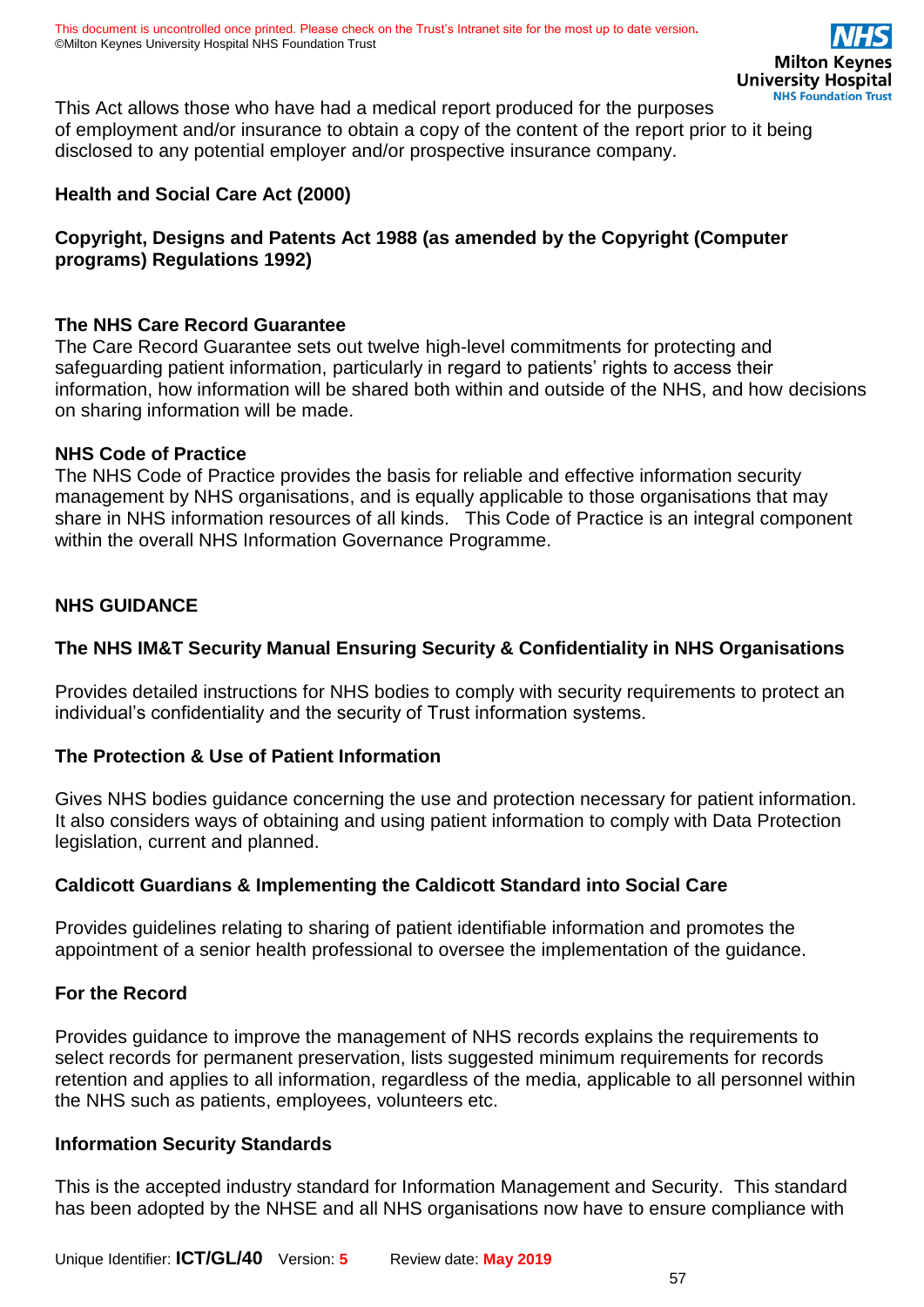This Act allows those who have had a medical report produced for the purposes of employment and/or insurance to obtain a copy of the content of the report prior to it being disclosed to any potential employer and/or prospective insurance company.

### **Health and Social Care Act (2000)**

### **Copyright, Designs and Patents Act 1988 (as amended by the Copyright (Computer programs) Regulations 1992)**

### **The NHS Care Record Guarantee**

The Care Record Guarantee sets out twelve high-level commitments for protecting and safeguarding patient information, particularly in regard to patients' rights to access their information, how information will be shared both within and outside of the NHS, and how decisions on sharing information will be made.

### **NHS Code of Practice**

The NHS Code of Practice provides the basis for reliable and effective information security management by NHS organisations, and is equally applicable to those organisations that may share in NHS information resources of all kinds. This Code of Practice is an integral component within the overall NHS Information Governance Programme.

### **NHS GUIDANCE**

### **The NHS IM&T Security Manual Ensuring Security & Confidentiality in NHS Organisations**

Provides detailed instructions for NHS bodies to comply with security requirements to protect an individual's confidentiality and the security of Trust information systems.

### **The Protection & Use of Patient Information**

Gives NHS bodies guidance concerning the use and protection necessary for patient information. It also considers ways of obtaining and using patient information to comply with Data Protection legislation, current and planned.

### **Caldicott Guardians & Implementing the Caldicott Standard into Social Care**

Provides guidelines relating to sharing of patient identifiable information and promotes the appointment of a senior health professional to oversee the implementation of the guidance.

### **For the Record**

Provides guidance to improve the management of NHS records explains the requirements to select records for permanent preservation, lists suggested minimum requirements for records retention and applies to all information, regardless of the media, applicable to all personnel within the NHS such as patients, employees, volunteers etc.

### **Information Security Standards**

This is the accepted industry standard for Information Management and Security. This standard has been adopted by the NHSE and all NHS organisations now have to ensure compliance with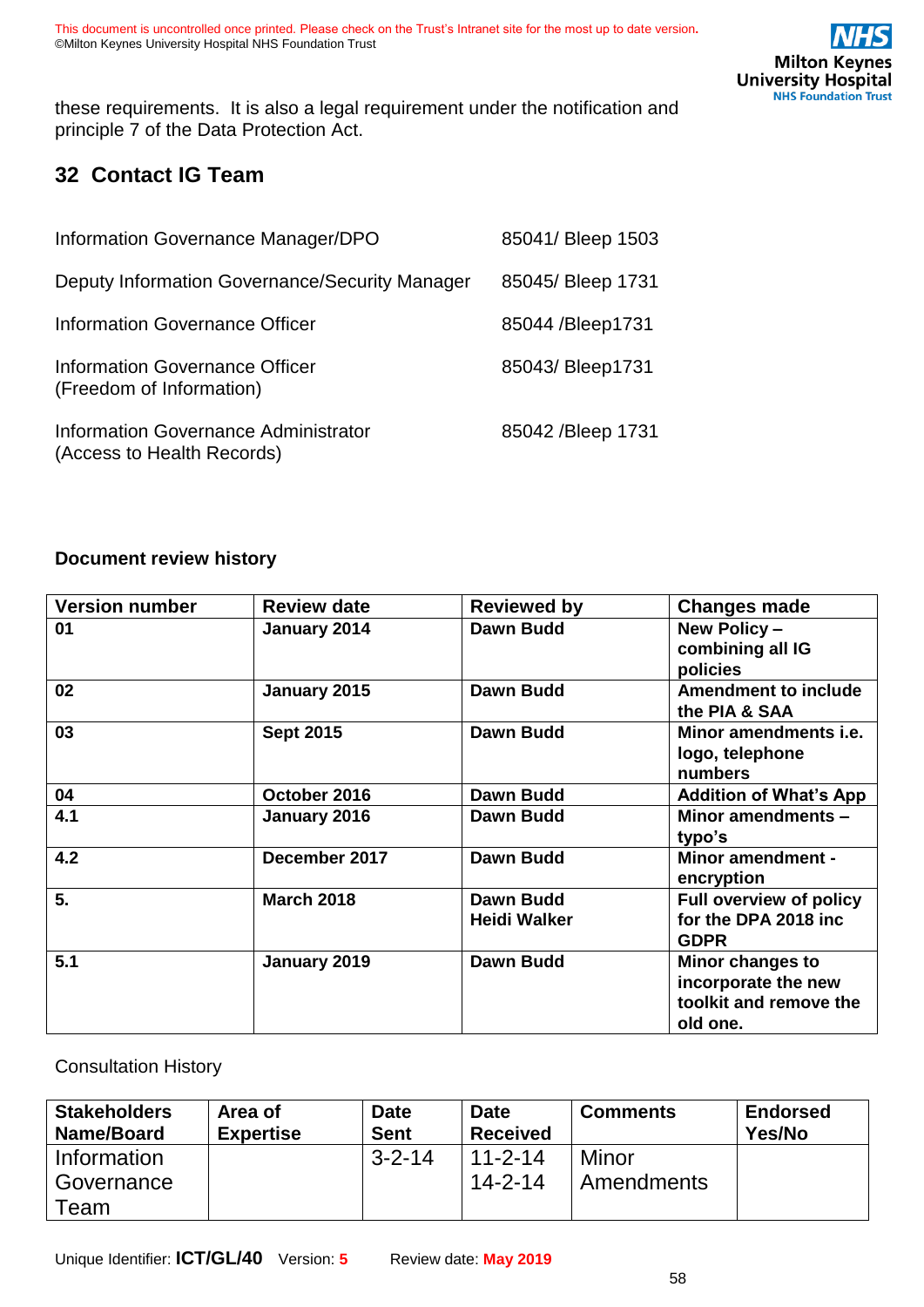these requirements. It is also a legal requirement under the notification and principle 7 of the Data Protection Act.

# <span id="page-57-0"></span>**32 Contact IG Team**

| Information Governance Manager/DPO                                 | 85041/ Bleep 1503  |
|--------------------------------------------------------------------|--------------------|
| Deputy Information Governance/Security Manager                     | 85045/ Bleep 1731  |
| Information Governance Officer                                     | 85044 / Bleep 1731 |
| Information Governance Officer<br>(Freedom of Information)         | 85043/Bleep1731    |
| Information Governance Administrator<br>(Access to Health Records) | 85042 / Bleep 1731 |

#### <span id="page-57-1"></span>**Document review history**

| <b>Version number</b> | <b>Review date</b> | <b>Reviewed by</b>  | <b>Changes made</b>                          |
|-----------------------|--------------------|---------------------|----------------------------------------------|
| 01                    | January 2014       | Dawn Budd           | New Policy -<br>combining all IG             |
|                       |                    |                     | policies                                     |
| 02                    | January 2015       | <b>Dawn Budd</b>    | <b>Amendment to include</b><br>the PIA & SAA |
| 03                    | <b>Sept 2015</b>   | <b>Dawn Budd</b>    | Minor amendments <i>i.e.</i>                 |
|                       |                    |                     | logo, telephone                              |
|                       |                    |                     | numbers                                      |
| 04                    | October 2016       | <b>Dawn Budd</b>    | <b>Addition of What's App</b>                |
| 4.1                   | January 2016       | Dawn Budd           | Minor amendments -                           |
|                       |                    |                     | typo's                                       |
| 4.2                   | December 2017      | <b>Dawn Budd</b>    | <b>Minor amendment -</b><br>encryption       |
| 5.                    | <b>March 2018</b>  | Dawn Budd           | <b>Full overview of policy</b>               |
|                       |                    | <b>Heidi Walker</b> | for the DPA 2018 inc                         |
|                       |                    |                     | <b>GDPR</b>                                  |
| 5.1                   | January 2019       | <b>Dawn Budd</b>    | Minor changes to                             |
|                       |                    |                     | incorporate the new                          |
|                       |                    |                     | toolkit and remove the                       |
|                       |                    |                     | old one.                                     |

<span id="page-57-2"></span>Consultation History

| <b>Stakeholders</b><br>Name/Board | Area of<br><b>Expertise</b> | <b>Date</b><br><b>Sent</b> | <b>Date</b><br><b>Received</b> | <b>Comments</b> | <b>Endorsed</b><br>Yes/No |
|-----------------------------------|-----------------------------|----------------------------|--------------------------------|-----------------|---------------------------|
| Information                       |                             | $3 - 2 - 14$               | $11 - 2 - 14$                  | Minor           |                           |
| Governance                        |                             |                            | $14 - 2 - 14$                  | Amendments      |                           |
| Team                              |                             |                            |                                |                 |                           |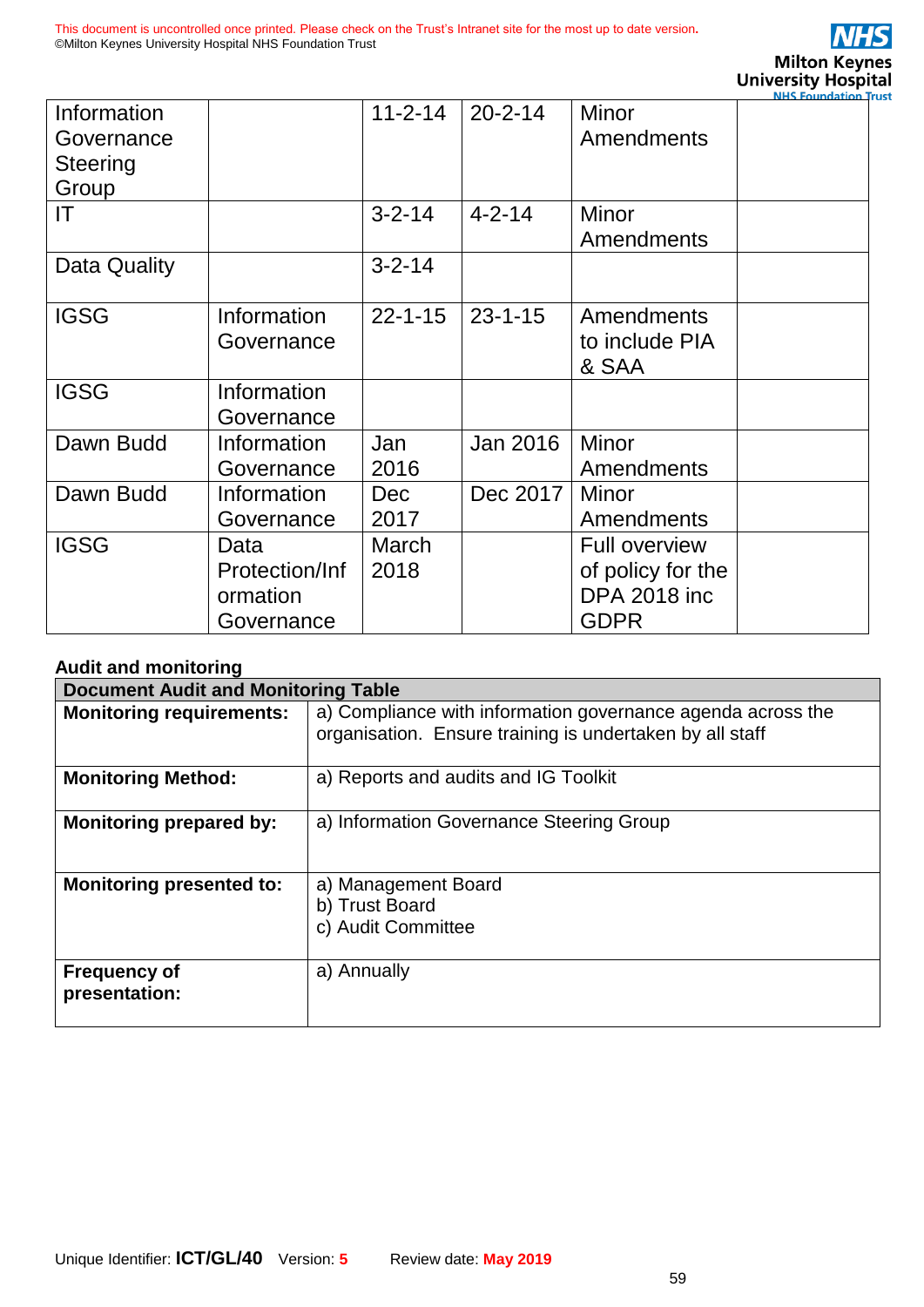

|              |                |               |               |                            | <b>NHS Foundation Tr</b> |
|--------------|----------------|---------------|---------------|----------------------------|--------------------------|
| Information  |                | $11 - 2 - 14$ | $20 - 2 - 14$ | <b>Minor</b>               |                          |
| Governance   |                |               |               | <b>Amendments</b>          |                          |
| Steering     |                |               |               |                            |                          |
| Group        |                |               |               |                            |                          |
| IT           |                | $3 - 2 - 14$  | $4 - 2 - 14$  | <b>Minor</b><br>Amendments |                          |
| Data Quality |                | $3 - 2 - 14$  |               |                            |                          |
| <b>IGSG</b>  | Information    | $22 - 1 - 15$ | $23 - 1 - 15$ | Amendments                 |                          |
|              | Governance     |               |               | to include PIA             |                          |
|              |                |               |               | & SAA                      |                          |
| <b>IGSG</b>  | Information    |               |               |                            |                          |
|              | Governance     |               |               |                            |                          |
| Dawn Budd    | Information    | Jan           | Jan 2016      | Minor                      |                          |
|              | Governance     | 2016          |               | Amendments                 |                          |
| Dawn Budd    | Information    | <b>Dec</b>    | Dec 2017      | Minor                      |                          |
|              | Governance     | 2017          |               | Amendments                 |                          |
| <b>IGSG</b>  | Data           | <b>March</b>  |               | <b>Full overview</b>       |                          |
|              | Protection/Inf | 2018          |               | of policy for the          |                          |
|              | ormation       |               |               | <b>DPA 2018 inc.</b>       |                          |
|              | Governance     |               |               | <b>GDPR</b>                |                          |

#### <span id="page-58-0"></span>**Audit and monitoring**

| <b>Document Audit and Monitoring Table</b> |                                                                                                                         |  |
|--------------------------------------------|-------------------------------------------------------------------------------------------------------------------------|--|
| <b>Monitoring requirements:</b>            | a) Compliance with information governance agenda across the<br>organisation. Ensure training is undertaken by all staff |  |
| <b>Monitoring Method:</b>                  | a) Reports and audits and IG Toolkit                                                                                    |  |
| <b>Monitoring prepared by:</b>             | a) Information Governance Steering Group                                                                                |  |
| <b>Monitoring presented to:</b>            | a) Management Board<br>b) Trust Board<br>c) Audit Committee                                                             |  |
| <b>Frequency of</b><br>presentation:       | a) Annually                                                                                                             |  |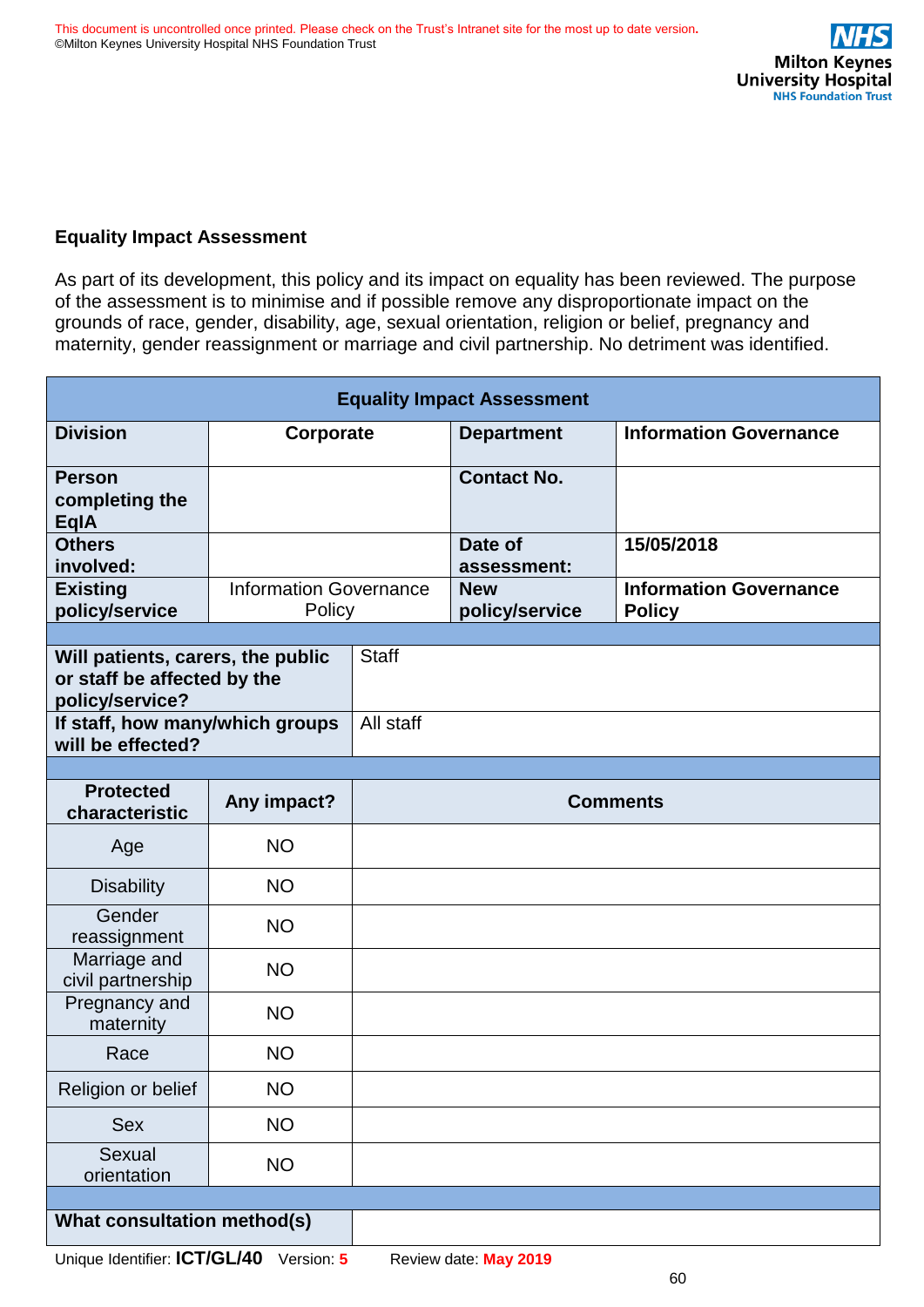### <span id="page-59-0"></span>**Equality Impact Assessment**

As part of its development, this policy and its impact on equality has been reviewed. The purpose of the assessment is to minimise and if possible remove any disproportionate impact on the grounds of race, gender, disability, age, sexual orientation, religion or belief, pregnancy and maternity, gender reassignment or marriage and civil partnership. No detriment was identified.

| <b>Equality Impact Assessment</b>                                                   |                                         |                 |                              |                                                |  |
|-------------------------------------------------------------------------------------|-----------------------------------------|-----------------|------------------------------|------------------------------------------------|--|
| <b>Division</b>                                                                     | Corporate                               |                 | <b>Department</b>            | <b>Information Governance</b>                  |  |
| <b>Person</b><br>completing the<br><b>EqlA</b>                                      |                                         |                 | <b>Contact No.</b>           |                                                |  |
| <b>Others</b><br>involved:                                                          |                                         |                 | Date of<br>assessment:       | 15/05/2018                                     |  |
| <b>Existing</b><br>policy/service                                                   | <b>Information Governance</b><br>Policy |                 | <b>New</b><br>policy/service | <b>Information Governance</b><br><b>Policy</b> |  |
| Will patients, carers, the public<br>or staff be affected by the<br>policy/service? |                                         | <b>Staff</b>    |                              |                                                |  |
| If staff, how many/which groups<br>will be effected?                                |                                         | All staff       |                              |                                                |  |
|                                                                                     |                                         |                 |                              |                                                |  |
| <b>Protected</b><br>characteristic                                                  | Any impact?                             | <b>Comments</b> |                              |                                                |  |
| Age                                                                                 | <b>NO</b>                               |                 |                              |                                                |  |
| <b>Disability</b>                                                                   | <b>NO</b>                               |                 |                              |                                                |  |
| Gender<br>reassignment                                                              | <b>NO</b>                               |                 |                              |                                                |  |
| Marriage and<br>civil partnership                                                   | <b>NO</b>                               |                 |                              |                                                |  |
| Pregnancy and<br>maternity                                                          | <b>NO</b>                               |                 |                              |                                                |  |
| Race                                                                                | <b>NO</b>                               |                 |                              |                                                |  |
| Religion or belief                                                                  | <b>NO</b>                               |                 |                              |                                                |  |
| Sex                                                                                 | <b>NO</b>                               |                 |                              |                                                |  |
| Sexual<br>orientation                                                               | <b>NO</b>                               |                 |                              |                                                |  |
|                                                                                     |                                         |                 |                              |                                                |  |
| What consultation method(s)                                                         |                                         |                 |                              |                                                |  |

Unique Identifier: **ICT/GL/40** Version: **5** Review date: **May 2019**